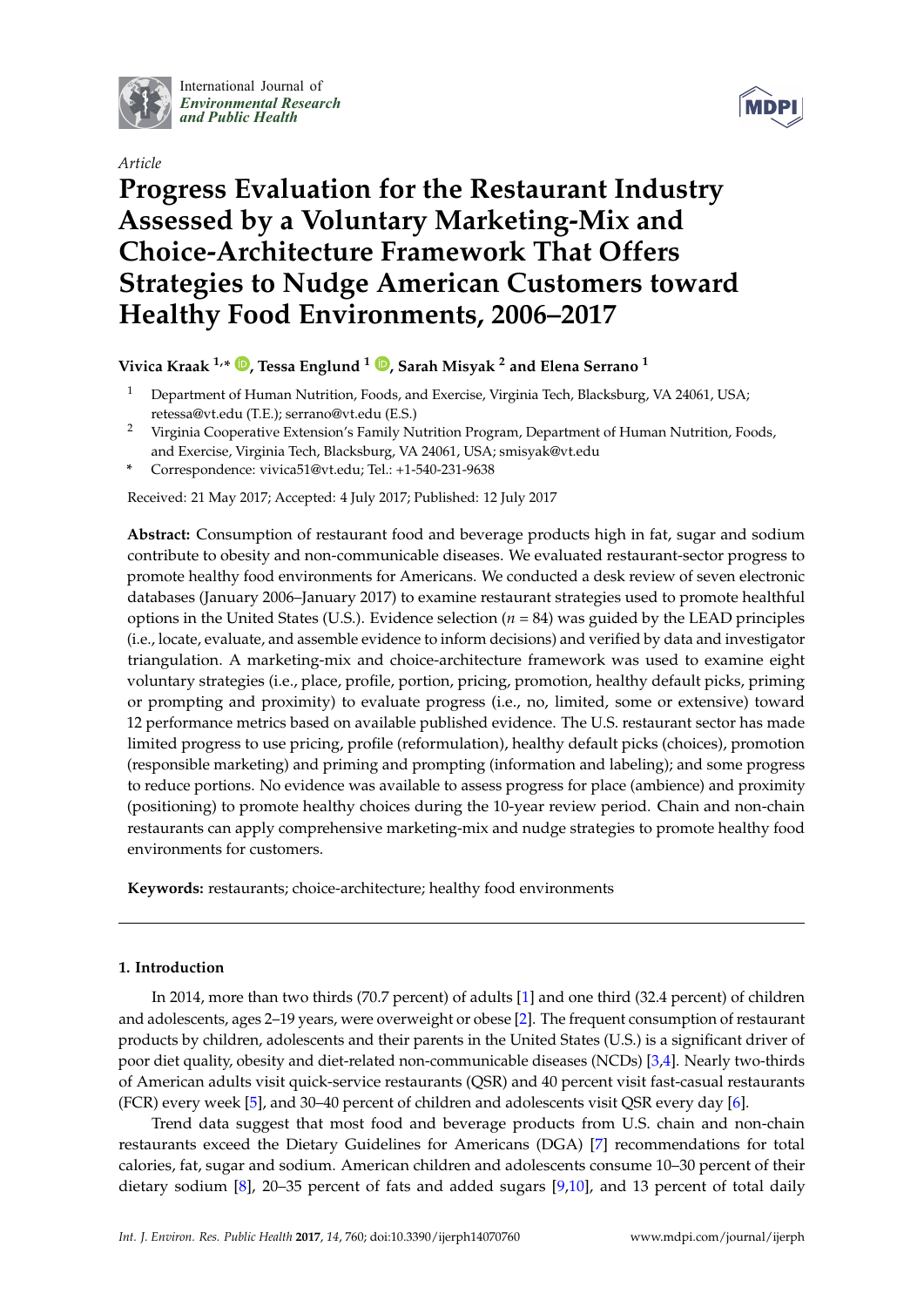

International Journal of *[Environmental Research](http://www.mdpi.com/journal/ijerph) and Public Health*

*Article*



# **Progress Evaluation for the Restaurant Industry Assessed by a Voluntary Marketing-Mix and Choice-Architecture Framework That Offers Strategies to Nudge American Customers toward Healthy Food Environments, 2006–2017**

# **Vivica Kraak 1,\* [,](https://orcid.org/0000-0002-9303-5530) Tessa Englund <sup>1</sup> [,](https://orcid.org/0000-0003-0418-7434) Sarah Misyak <sup>2</sup> and Elena Serrano <sup>1</sup>**

- <sup>1</sup> Department of Human Nutrition, Foods, and Exercise, Virginia Tech, Blacksburg, VA 24061, USA; retessa@vt.edu (T.E.); serrano@vt.edu (E.S.)
- <sup>2</sup> Virginia Cooperative Extension's Family Nutrition Program, Department of Human Nutrition, Foods, and Exercise, Virginia Tech, Blacksburg, VA 24061, USA; smisyak@vt.edu
- **\*** Correspondence: vivica51@vt.edu; Tel.: +1-540-231-9638

Received: 21 May 2017; Accepted: 4 July 2017; Published: 12 July 2017

**Abstract:** Consumption of restaurant food and beverage products high in fat, sugar and sodium contribute to obesity and non-communicable diseases. We evaluated restaurant-sector progress to promote healthy food environments for Americans. We conducted a desk review of seven electronic databases (January 2006–January 2017) to examine restaurant strategies used to promote healthful options in the United States (U.S.). Evidence selection (*n* = 84) was guided by the LEAD principles (i.e., locate, evaluate, and assemble evidence to inform decisions) and verified by data and investigator triangulation. A marketing-mix and choice-architecture framework was used to examine eight voluntary strategies (i.e., place, profile, portion, pricing, promotion, healthy default picks, priming or prompting and proximity) to evaluate progress (i.e., no, limited, some or extensive) toward 12 performance metrics based on available published evidence. The U.S. restaurant sector has made limited progress to use pricing, profile (reformulation), healthy default picks (choices), promotion (responsible marketing) and priming and prompting (information and labeling); and some progress to reduce portions. No evidence was available to assess progress for place (ambience) and proximity (positioning) to promote healthy choices during the 10-year review period. Chain and non-chain restaurants can apply comprehensive marketing-mix and nudge strategies to promote healthy food environments for customers.

**Keywords:** restaurants; choice-architecture; healthy food environments

# **1. Introduction**

In 2014, more than two thirds (70.7 percent) of adults [\[1\]](#page-22-0) and one third (32.4 percent) of children and adolescents, ages 2–19 years, were overweight or obese [\[2\]](#page-22-1). The frequent consumption of restaurant products by children, adolescents and their parents in the United States (U.S.) is a significant driver of poor diet quality, obesity and diet-related non-communicable diseases (NCDs) [\[3](#page-22-2)[,4\]](#page-22-3). Nearly two-thirds of American adults visit quick-service restaurants (QSR) and 40 percent visit fast-casual restaurants (FCR) every week [\[5\]](#page-22-4), and 30–40 percent of children and adolescents visit QSR every day [\[6\]](#page-22-5).

Trend data suggest that most food and beverage products from U.S. chain and non-chain restaurants exceed the Dietary Guidelines for Americans (DGA) [\[7\]](#page-22-6) recommendations for total calories, fat, sugar and sodium. American children and adolescents consume 10–30 percent of their dietary sodium [\[8\]](#page-22-7), 20–35 percent of fats and added sugars [\[9,](#page-22-8)[10\]](#page-22-9), and 13 percent of total daily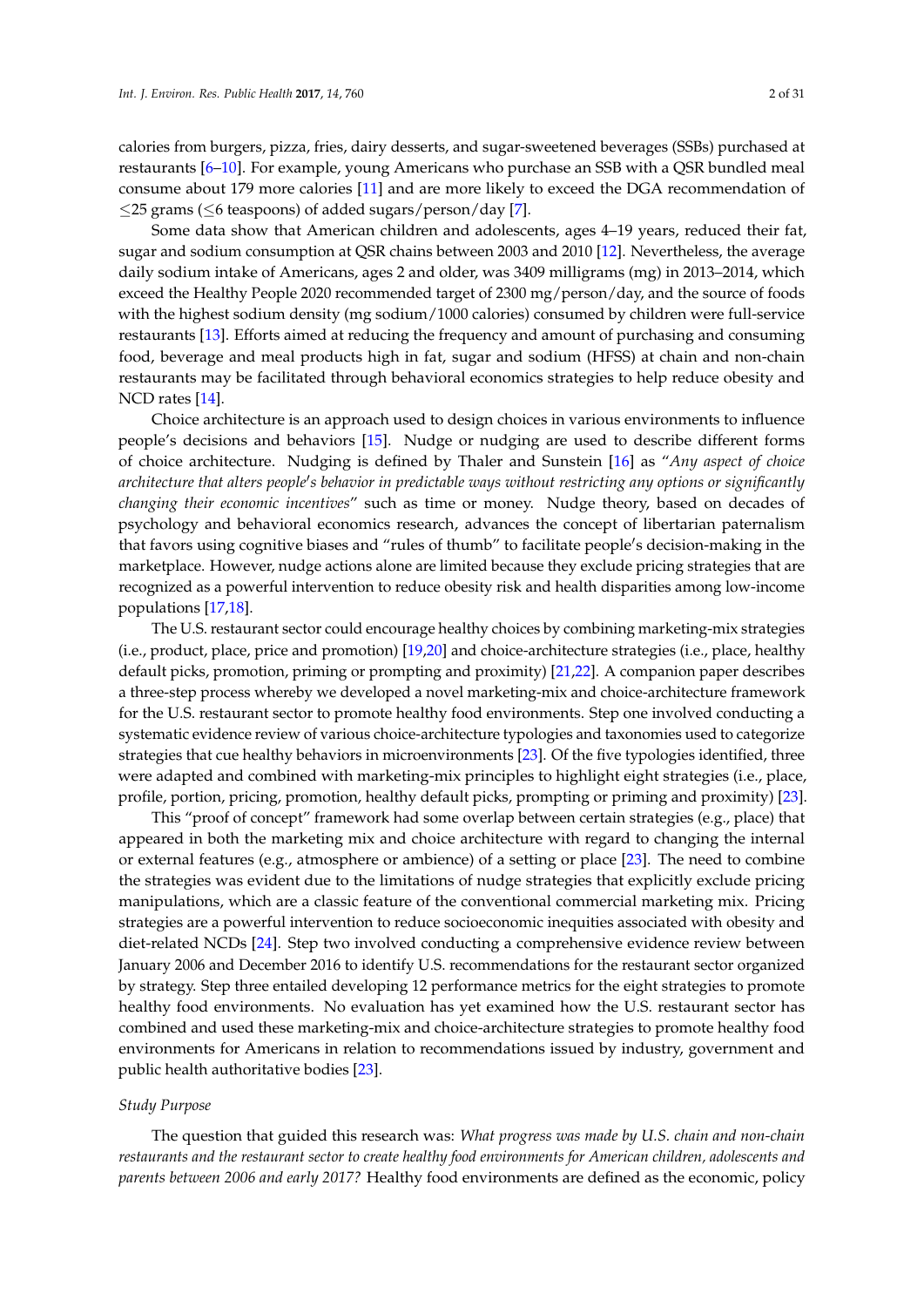calories from burgers, pizza, fries, dairy desserts, and sugar-sweetened beverages (SSBs) purchased at restaurants [\[6–](#page-22-5)[10\]](#page-22-9). For example, young Americans who purchase an SSB with a QSR bundled meal consume about 179 more calories [\[11\]](#page-22-10) and are more likely to exceed the DGA recommendation of  $\leq$ 25 grams ( $\leq$ 6 teaspoons) of added sugars/person/day [\[7\]](#page-22-6).

Some data show that American children and adolescents, ages 4–19 years, reduced their fat, sugar and sodium consumption at QSR chains between 2003 and 2010 [\[12\]](#page-22-11). Nevertheless, the average daily sodium intake of Americans, ages 2 and older, was 3409 milligrams (mg) in 2013–2014, which exceed the Healthy People 2020 recommended target of 2300 mg/person/day, and the source of foods with the highest sodium density (mg sodium/1000 calories) consumed by children were full-service restaurants [\[13\]](#page-22-12). Efforts aimed at reducing the frequency and amount of purchasing and consuming food, beverage and meal products high in fat, sugar and sodium (HFSS) at chain and non-chain restaurants may be facilitated through behavioral economics strategies to help reduce obesity and NCD rates [\[14\]](#page-23-0).

Choice architecture is an approach used to design choices in various environments to influence people's decisions and behaviors [\[15\]](#page-23-1). Nudge or nudging are used to describe different forms of choice architecture. Nudging is defined by Thaler and Sunstein [\[16\]](#page-23-2) as "*Any aspect of choice* architecture that alters people's behavior in predictable ways without restricting any options or significantly *changing their economic incentives*" such as time or money. Nudge theory, based on decades of psychology and behavioral economics research, advances the concept of libertarian paternalism that favors using cognitive biases and "rules of thumb" to facilitate people's decision-making in the marketplace. However, nudge actions alone are limited because they exclude pricing strategies that are recognized as a powerful intervention to reduce obesity risk and health disparities among low-income populations [\[17](#page-23-3)[,18\]](#page-23-4).

The U.S. restaurant sector could encourage healthy choices by combining marketing-mix strategies (i.e., product, place, price and promotion) [\[19,](#page-23-5)[20\]](#page-23-6) and choice-architecture strategies (i.e., place, healthy default picks, promotion, priming or prompting and proximity) [\[21,](#page-23-7)[22\]](#page-23-8). A companion paper describes a three-step process whereby we developed a novel marketing-mix and choice-architecture framework for the U.S. restaurant sector to promote healthy food environments. Step one involved conducting a systematic evidence review of various choice-architecture typologies and taxonomies used to categorize strategies that cue healthy behaviors in microenvironments [\[23\]](#page-23-9). Of the five typologies identified, three were adapted and combined with marketing-mix principles to highlight eight strategies (i.e., place, profile, portion, pricing, promotion, healthy default picks, prompting or priming and proximity) [\[23\]](#page-23-9).

This "proof of concept" framework had some overlap between certain strategies (e.g., place) that appeared in both the marketing mix and choice architecture with regard to changing the internal or external features (e.g., atmosphere or ambience) of a setting or place [\[23\]](#page-23-9). The need to combine the strategies was evident due to the limitations of nudge strategies that explicitly exclude pricing manipulations, which are a classic feature of the conventional commercial marketing mix. Pricing strategies are a powerful intervention to reduce socioeconomic inequities associated with obesity and diet-related NCDs [\[24\]](#page-23-10). Step two involved conducting a comprehensive evidence review between January 2006 and December 2016 to identify U.S. recommendations for the restaurant sector organized by strategy. Step three entailed developing 12 performance metrics for the eight strategies to promote healthy food environments. No evaluation has yet examined how the U.S. restaurant sector has combined and used these marketing-mix and choice-architecture strategies to promote healthy food environments for Americans in relation to recommendations issued by industry, government and public health authoritative bodies [\[23\]](#page-23-9).

#### *Study Purpose*

The question that guided this research was: *What progress was made by U.S. chain and non-chain restaurants and the restaurant sector to create healthy food environments for American children, adolescents and parents between 2006 and early 2017?* Healthy food environments are defined as the economic, policy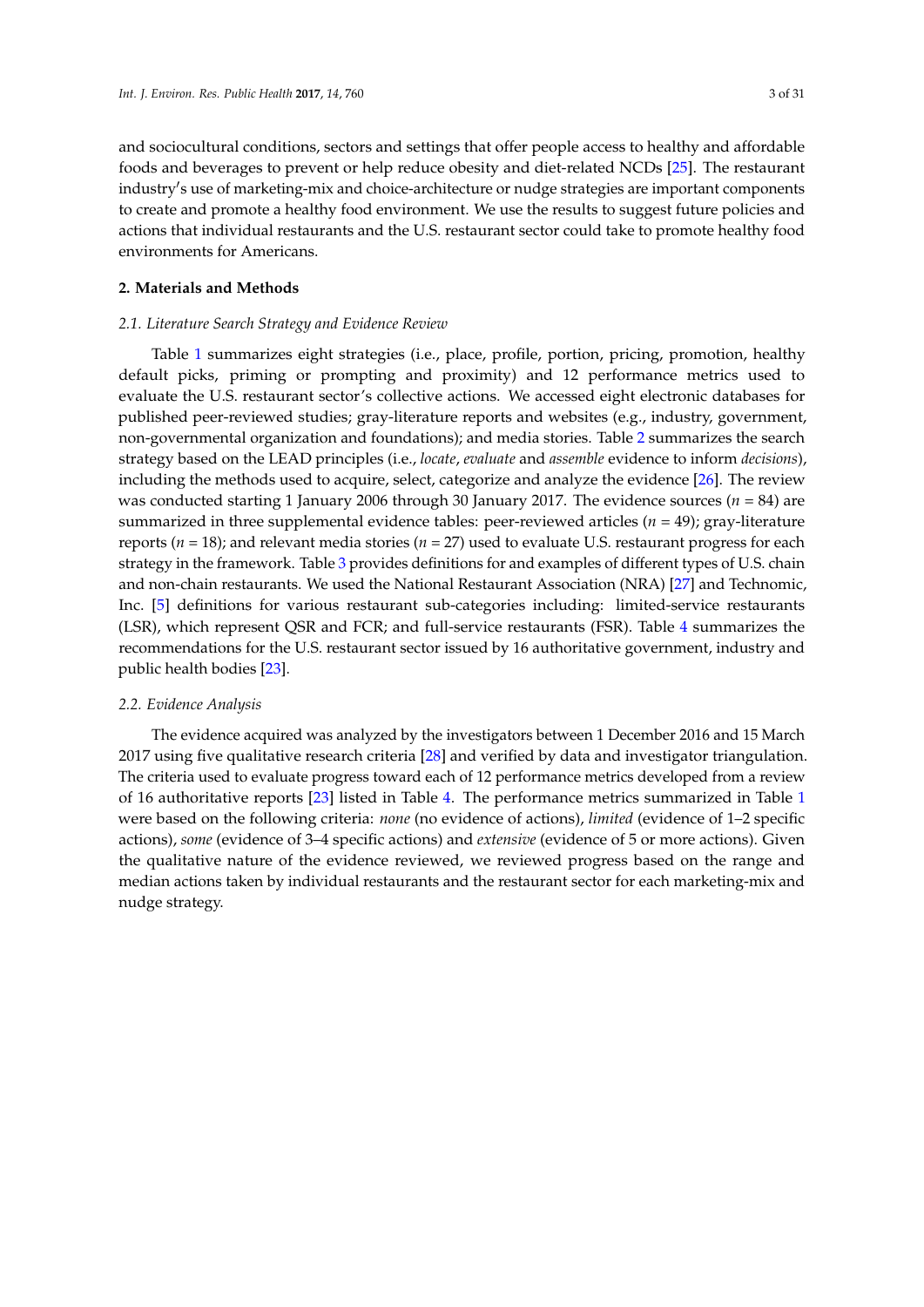and sociocultural conditions, sectors and settings that offer people access to healthy and affordable foods and beverages to prevent or help reduce obesity and diet-related NCDs [\[25\]](#page-23-11). The restaurant industry's use of marketing-mix and choice-architecture or nudge strategies are important components to create and promote a healthy food environment. We use the results to suggest future policies and actions that individual restaurants and the U.S. restaurant sector could take to promote healthy food environments for Americans.

## **2. Materials and Methods**

## *2.1. Literature Search Strategy and Evidence Review*

Table [1](#page-4-0) summarizes eight strategies (i.e., place, profile, portion, pricing, promotion, healthy default picks, priming or prompting and proximity) and 12 performance metrics used to evaluate the U.S. restaurant sector's collective actions. We accessed eight electronic databases for published peer-reviewed studies; gray-literature reports and websites (e.g., industry, government, non-governmental organization and foundations); and media stories. Table [2](#page-7-0) summarizes the search strategy based on the LEAD principles (i.e., *locate*, *evaluate* and *assemble* evidence to inform *decisions*), including the methods used to acquire, select, categorize and analyze the evidence [\[26\]](#page-23-12). The review was conducted starting 1 January 2006 through 30 January 2017. The evidence sources (*n* = 84) are summarized in three supplemental evidence tables: peer-reviewed articles  $(n = 49)$ ; gray-literature reports (*n* = 18); and relevant media stories (*n* = 27) used to evaluate U.S. restaurant progress for each strategy in the framework. Table [3](#page-8-0) provides definitions for and examples of different types of U.S. chain and non-chain restaurants. We used the National Restaurant Association (NRA) [\[27\]](#page-23-13) and Technomic, Inc. [\[5\]](#page-22-4) definitions for various restaurant sub-categories including: limited-service restaurants (LSR), which represent QSR and FCR; and full-service restaurants (FSR). Table [4](#page-9-0) summarizes the recommendations for the U.S. restaurant sector issued by 16 authoritative government, industry and public health bodies [\[23\]](#page-23-9).

### *2.2. Evidence Analysis*

The evidence acquired was analyzed by the investigators between 1 December 2016 and 15 March 2017 using five qualitative research criteria [\[28\]](#page-23-14) and verified by data and investigator triangulation. The criteria used to evaluate progress toward each of 12 performance metrics developed from a review of 16 authoritative reports [\[23\]](#page-23-9) listed in Table [4.](#page-9-0) The performance metrics summarized in Table [1](#page-4-0) were based on the following criteria: *none* (no evidence of actions), *limited* (evidence of 1–2 specific actions), *some* (evidence of 3–4 specific actions) and *extensive* (evidence of 5 or more actions). Given the qualitative nature of the evidence reviewed, we reviewed progress based on the range and median actions taken by individual restaurants and the restaurant sector for each marketing-mix and nudge strategy.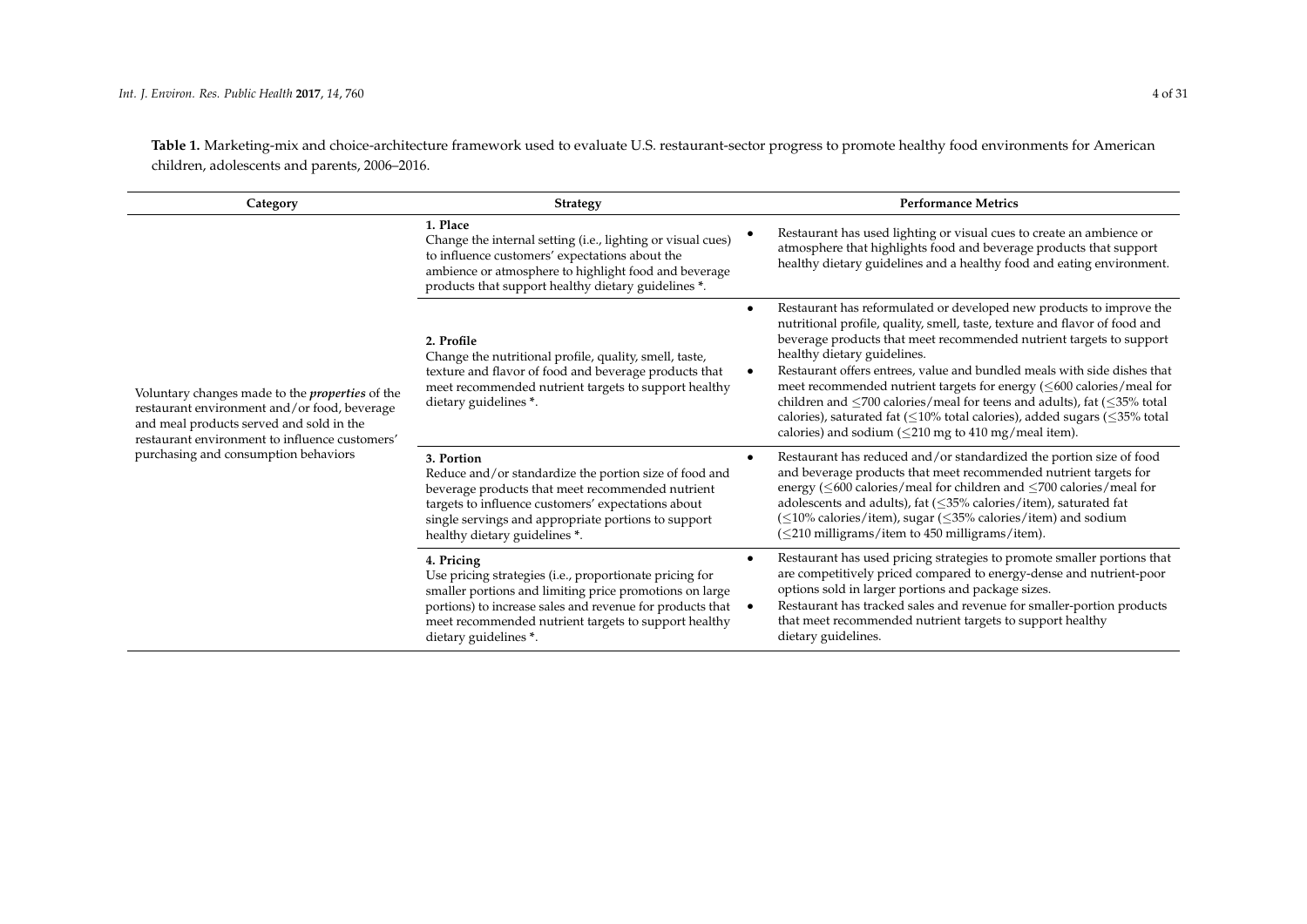**Table 1.** Marketing-mix and choice-architecture framework used to evaluate U.S. restaurant-sector progress to promote healthy food environments for American children, adolescents and parents, 2006–2016.

| Category                                                                                                                                                                                             | <b>Strategy</b>                                                                                                                                                                                                                                                                | <b>Performance Metrics</b>                                                                                                                                                                                                                                                                                                                                                                                                                                                                                                                                                                                                                                                                                  |
|------------------------------------------------------------------------------------------------------------------------------------------------------------------------------------------------------|--------------------------------------------------------------------------------------------------------------------------------------------------------------------------------------------------------------------------------------------------------------------------------|-------------------------------------------------------------------------------------------------------------------------------------------------------------------------------------------------------------------------------------------------------------------------------------------------------------------------------------------------------------------------------------------------------------------------------------------------------------------------------------------------------------------------------------------------------------------------------------------------------------------------------------------------------------------------------------------------------------|
|                                                                                                                                                                                                      | 1. Place<br>Change the internal setting (i.e., lighting or visual cues)<br>to influence customers' expectations about the<br>ambience or atmosphere to highlight food and beverage<br>products that support healthy dietary guidelines *.                                      | Restaurant has used lighting or visual cues to create an ambience or<br>atmosphere that highlights food and beverage products that support<br>healthy dietary guidelines and a healthy food and eating environment.                                                                                                                                                                                                                                                                                                                                                                                                                                                                                         |
| Voluntary changes made to the <i>properties</i> of the<br>restaurant environment and/or food, beverage<br>and meal products served and sold in the<br>restaurant environment to influence customers' | 2. Profile<br>Change the nutritional profile, quality, smell, taste,<br>texture and flavor of food and beverage products that<br>meet recommended nutrient targets to support healthy<br>dietary guidelines *.                                                                 | Restaurant has reformulated or developed new products to improve the<br>$\bullet$<br>nutritional profile, quality, smell, taste, texture and flavor of food and<br>beverage products that meet recommended nutrient targets to support<br>healthy dietary guidelines.<br>Restaurant offers entrees, value and bundled meals with side dishes that<br>$\bullet$<br>meet recommended nutrient targets for energy $(\leq 600 \text{ calories/} \text{meal}$ for<br>children and $\leq$ 700 calories/meal for teens and adults), fat ( $\leq$ 35% total<br>calories), saturated fat ( $\leq$ 10% total calories), added sugars ( $\leq$ 35% total<br>calories) and sodium ( $\leq$ 210 mg to 410 mg/meal item). |
| purchasing and consumption behaviors                                                                                                                                                                 | 3. Portion<br>Reduce and/or standardize the portion size of food and<br>beverage products that meet recommended nutrient<br>targets to influence customers' expectations about<br>single servings and appropriate portions to support<br>healthy dietary guidelines *.         | Restaurant has reduced and/or standardized the portion size of food<br>$\bullet$<br>and beverage products that meet recommended nutrient targets for<br>energy ( $\leq$ 600 calories/meal for children and $\leq$ 700 calories/meal for<br>adolescents and adults), fat $(\leq 35\%$ calories/item), saturated fat<br>$(\leq 10\%$ calories/item), sugar ( $\leq 35\%$ calories/item) and sodium<br>(<210 milligrams/item to 450 milligrams/item).                                                                                                                                                                                                                                                          |
|                                                                                                                                                                                                      | 4. Pricing<br>Use pricing strategies (i.e., proportionate pricing for<br>smaller portions and limiting price promotions on large<br>portions) to increase sales and revenue for products that<br>meet recommended nutrient targets to support healthy<br>dietary guidelines *. | Restaurant has used pricing strategies to promote smaller portions that<br>$\bullet$<br>are competitively priced compared to energy-dense and nutrient-poor<br>options sold in larger portions and package sizes.<br>Restaurant has tracked sales and revenue for smaller-portion products<br>$\bullet$<br>that meet recommended nutrient targets to support healthy<br>dietary guidelines.                                                                                                                                                                                                                                                                                                                 |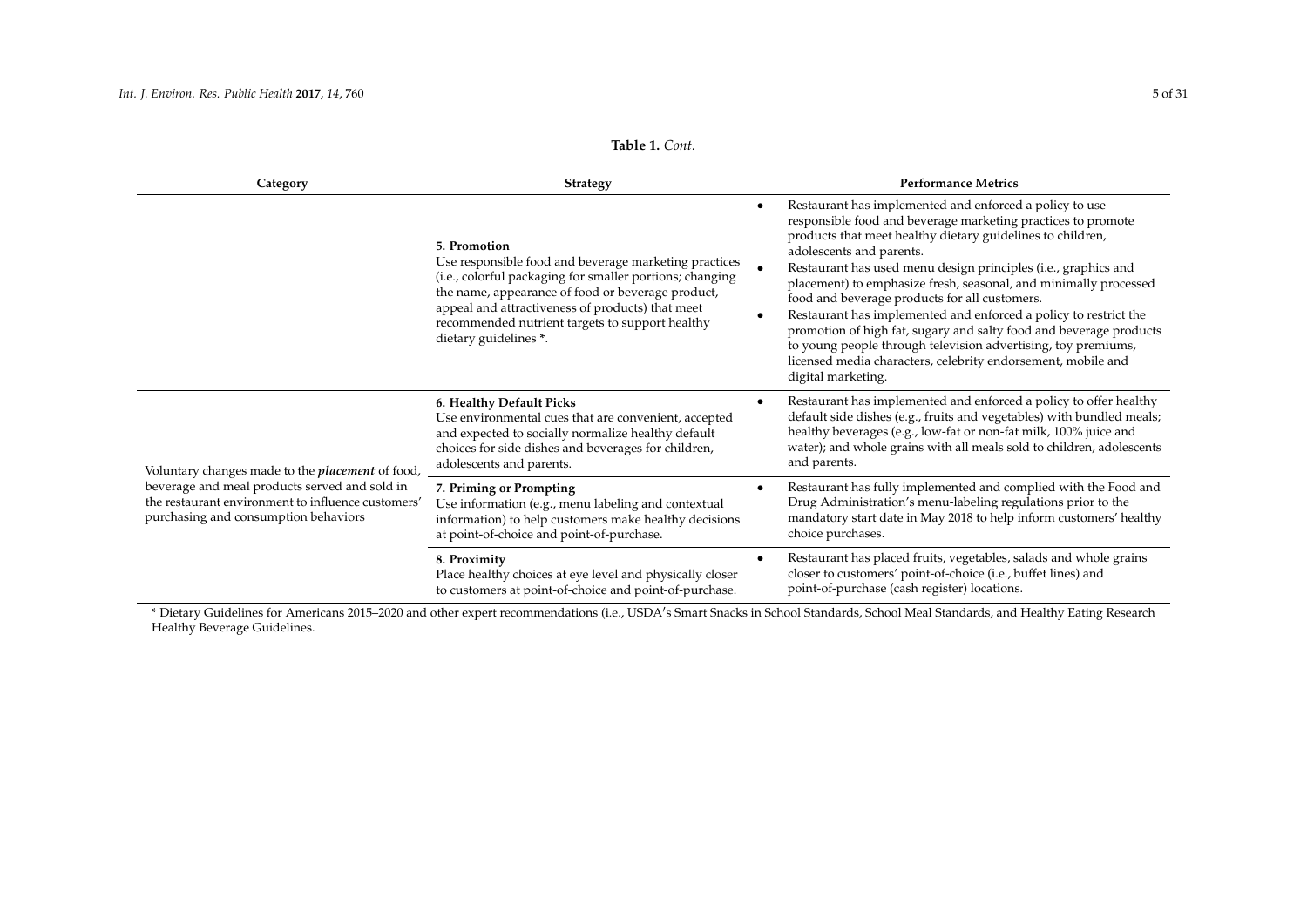| Table 1. Cont. |  |  |
|----------------|--|--|
|----------------|--|--|

<span id="page-4-1"></span>

| Category                                                                                                                                    | <b>Strategy</b>                                                                                                                                                                                                                                                                                                        |   | <b>Performance Metrics</b>                                                                                                                                                                                                                                                                                                                                                                                                                                                                                                                                                                                                                                                                                |
|---------------------------------------------------------------------------------------------------------------------------------------------|------------------------------------------------------------------------------------------------------------------------------------------------------------------------------------------------------------------------------------------------------------------------------------------------------------------------|---|-----------------------------------------------------------------------------------------------------------------------------------------------------------------------------------------------------------------------------------------------------------------------------------------------------------------------------------------------------------------------------------------------------------------------------------------------------------------------------------------------------------------------------------------------------------------------------------------------------------------------------------------------------------------------------------------------------------|
|                                                                                                                                             | 5. Promotion<br>Use responsible food and beverage marketing practices<br>(i.e., colorful packaging for smaller portions; changing<br>the name, appearance of food or beverage product,<br>appeal and attractiveness of products) that meet<br>recommended nutrient targets to support healthy<br>dietary guidelines *. |   | Restaurant has implemented and enforced a policy to use<br>responsible food and beverage marketing practices to promote<br>products that meet healthy dietary guidelines to children,<br>adolescents and parents.<br>Restaurant has used menu design principles (i.e., graphics and<br>placement) to emphasize fresh, seasonal, and minimally processed<br>food and beverage products for all customers.<br>Restaurant has implemented and enforced a policy to restrict the<br>promotion of high fat, sugary and salty food and beverage products<br>to young people through television advertising, toy premiums,<br>licensed media characters, celebrity endorsement, mobile and<br>digital marketing. |
| Voluntary changes made to the <i>placement</i> of food,                                                                                     | 6. Healthy Default Picks<br>Use environmental cues that are convenient, accepted<br>and expected to socially normalize healthy default<br>choices for side dishes and beverages for children,<br>adolescents and parents.                                                                                              |   | Restaurant has implemented and enforced a policy to offer healthy<br>default side dishes (e.g., fruits and vegetables) with bundled meals;<br>healthy beverages (e.g., low-fat or non-fat milk, 100% juice and<br>water); and whole grains with all meals sold to children, adolescents<br>and parents.                                                                                                                                                                                                                                                                                                                                                                                                   |
| beverage and meal products served and sold in<br>the restaurant environment to influence customers'<br>purchasing and consumption behaviors | 7. Priming or Prompting<br>Use information (e.g., menu labeling and contextual<br>information) to help customers make healthy decisions<br>at point-of-choice and point-of-purchase.                                                                                                                                   |   | Restaurant has fully implemented and complied with the Food and<br>Drug Administration's menu-labeling regulations prior to the<br>mandatory start date in May 2018 to help inform customers' healthy<br>choice purchases.                                                                                                                                                                                                                                                                                                                                                                                                                                                                                |
|                                                                                                                                             | 8. Proximity<br>Place healthy choices at eye level and physically closer<br>to customers at point-of-choice and point-of-purchase.                                                                                                                                                                                     | ٠ | Restaurant has placed fruits, vegetables, salads and whole grains<br>closer to customers' point-of-choice (i.e., buffet lines) and<br>point-of-purchase (cash register) locations.                                                                                                                                                                                                                                                                                                                                                                                                                                                                                                                        |

<span id="page-4-0"></span>\* Dietary Guidelines for Americans 2015–2020 and other expert recommendations (i.e., USDA's Smart Snacks in School Standards, School Meal Standards, and Healthy Eating Research Healthy Beverage Guidelines.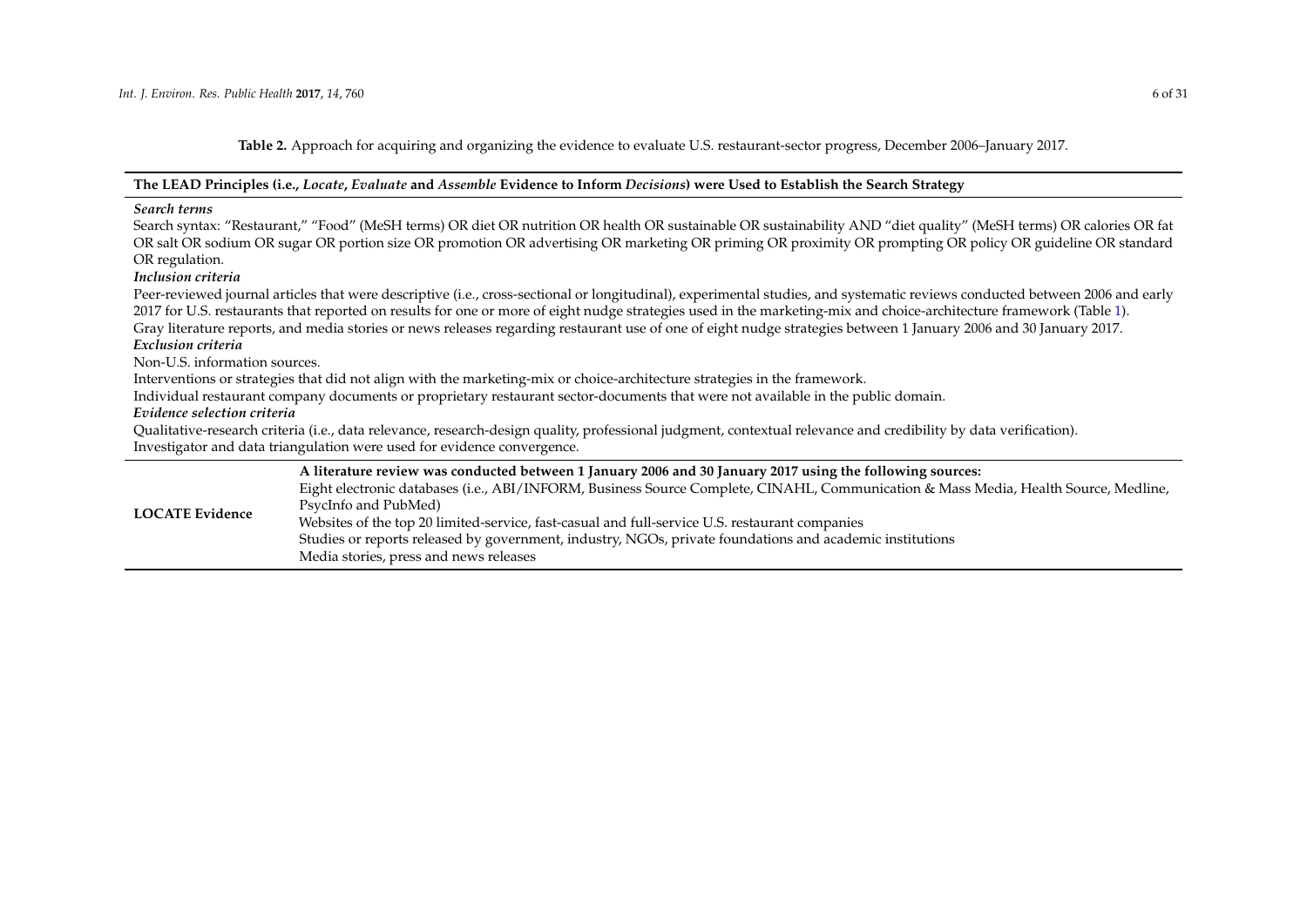**Table 2.** Approach for acquiring and organizing the evidence to evaluate U.S. restaurant-sector progress, December 2006–January 2017.

#### **The LEAD Principles (i.e.,** *Locate***,** *Evaluate* **and** *Assemble* **Evidence to Inform** *Decisions***) were Used to Establish the Search Strategy**

#### *Search terms*

Search syntax: "Restaurant," "Food" (MeSH terms) OR diet OR nutrition OR health OR sustainable OR sustainability AND "diet quality" (MeSH terms) OR calories OR fat OR salt OR sodium OR sugar OR portion size OR promotion OR advertising OR marketing OR priming OR proximity OR prompting OR policy OR guideline OR standard OR regulation.

#### *Inclusion criteria*

Peer-reviewed journal articles that were descriptive (i.e., cross-sectional or longitudinal), experimental studies, and systematic reviews conducted between 2006 and early 2017 for U.S. restaurants that reported on results for one or more of eight nudge strategies used in the marketing-mix and choice-architecture framework (Table [1\)](#page-4-1). Gray literature reports, and media stories or news releases regarding restaurant use of one of eight nudge strategies between 1 January 2006 and 30 January 2017.

#### *Exclusion criteria*

Non-U.S. information sources.

Interventions or strategies that did not align with the marketing-mix or choice-architecture strategies in the framework.

Individual restaurant company documents or proprietary restaurant sector-documents that were not available in the public domain.

#### *Evidence selection criteria*

Qualitative-research criteria (i.e., data relevance, research-design quality, professional judgment, contextual relevance and credibility by data verification). Investigator and data triangulation were used for evidence convergence.

|                        | A literature review was conducted between 1 January 2006 and 30 January 2017 using the following sources:                           |
|------------------------|-------------------------------------------------------------------------------------------------------------------------------------|
|                        | Eight electronic databases (i.e., ABI/INFORM, Business Source Complete, CINAHL, Communication & Mass Media, Health Source, Medline, |
|                        | PsycInfo and PubMed)                                                                                                                |
| <b>LOCATE Evidence</b> | Websites of the top 20 limited-service, fast-casual and full-service U.S. restaurant companies                                      |
|                        | Studies or reports released by government, industry, NGOs, private foundations and academic institutions                            |
|                        | Media stories, press and news releases                                                                                              |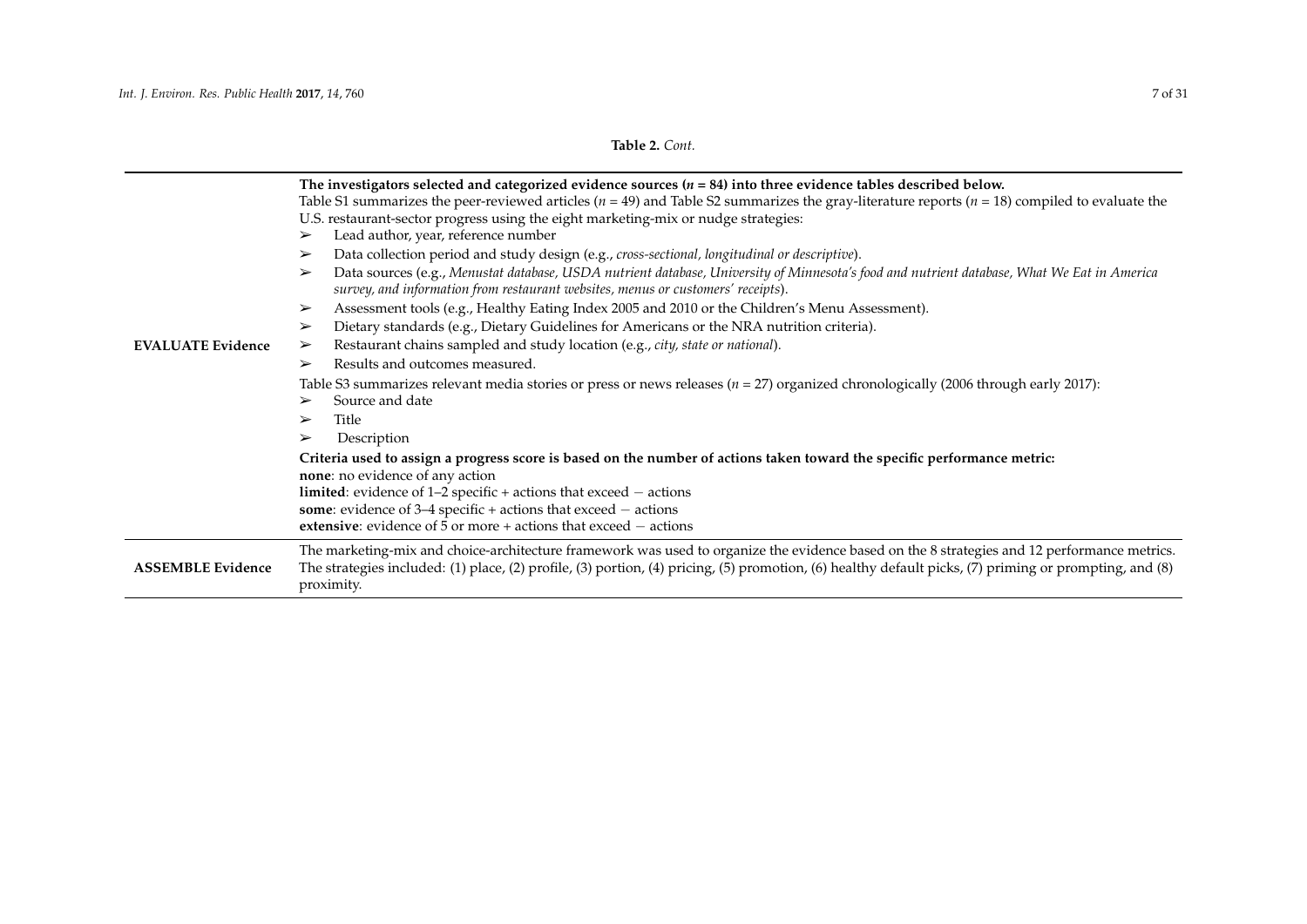# **Table 2.** *Cont.*

| <b>EVALUATE Evidence</b> | The investigators selected and categorized evidence sources $(n = 84)$ into three evidence tables described below.<br>Table S1 summarizes the peer-reviewed articles ( $n = 49$ ) and Table S2 summarizes the gray-literature reports ( $n = 18$ ) compiled to evaluate the<br>U.S. restaurant-sector progress using the eight marketing-mix or nudge strategies:<br>Lead author, year, reference number<br>➤<br>Data collection period and study design (e.g., cross-sectional, longitudinal or descriptive).<br>➤<br>Data sources (e.g., Menustat database, USDA nutrient database, University of Minnesota's food and nutrient database, What We Eat in America<br>➤<br>survey, and information from restaurant websites, menus or customers' receipts).<br>Assessment tools (e.g., Healthy Eating Index 2005 and 2010 or the Children's Menu Assessment).<br>➤<br>Dietary standards (e.g., Dietary Guidelines for Americans or the NRA nutrition criteria).<br>➤<br>Restaurant chains sampled and study location (e.g., city, state or national).<br>➤<br>Results and outcomes measured.<br>➤<br>Table S3 summarizes relevant media stories or press or news releases ( $n = 27$ ) organized chronologically (2006 through early 2017):<br>Source and date<br>➤<br>Title<br>➤<br>Description<br>➤<br>Criteria used to assign a progress score is based on the number of actions taken toward the specific performance metric:<br>none: no evidence of any action<br><b>limited</b> : evidence of $1-2$ specific + actions that exceed $-$ actions<br>some: evidence of $3-4$ specific + actions that exceed $-$ actions<br>extensive: evidence of $5$ or more + actions that exceed $-$ actions |
|--------------------------|-----------------------------------------------------------------------------------------------------------------------------------------------------------------------------------------------------------------------------------------------------------------------------------------------------------------------------------------------------------------------------------------------------------------------------------------------------------------------------------------------------------------------------------------------------------------------------------------------------------------------------------------------------------------------------------------------------------------------------------------------------------------------------------------------------------------------------------------------------------------------------------------------------------------------------------------------------------------------------------------------------------------------------------------------------------------------------------------------------------------------------------------------------------------------------------------------------------------------------------------------------------------------------------------------------------------------------------------------------------------------------------------------------------------------------------------------------------------------------------------------------------------------------------------------------------------------------------------------------------------------------------------------------------------------------------------------------|
| <b>ASSEMBLE Evidence</b> | The marketing-mix and choice-architecture framework was used to organize the evidence based on the 8 strategies and 12 performance metrics.<br>The strategies included: (1) place, (2) profile, (3) portion, (4) pricing, (5) promotion, (6) healthy default picks, (7) priming or prompting, and (8)<br>proximity.                                                                                                                                                                                                                                                                                                                                                                                                                                                                                                                                                                                                                                                                                                                                                                                                                                                                                                                                                                                                                                                                                                                                                                                                                                                                                                                                                                                 |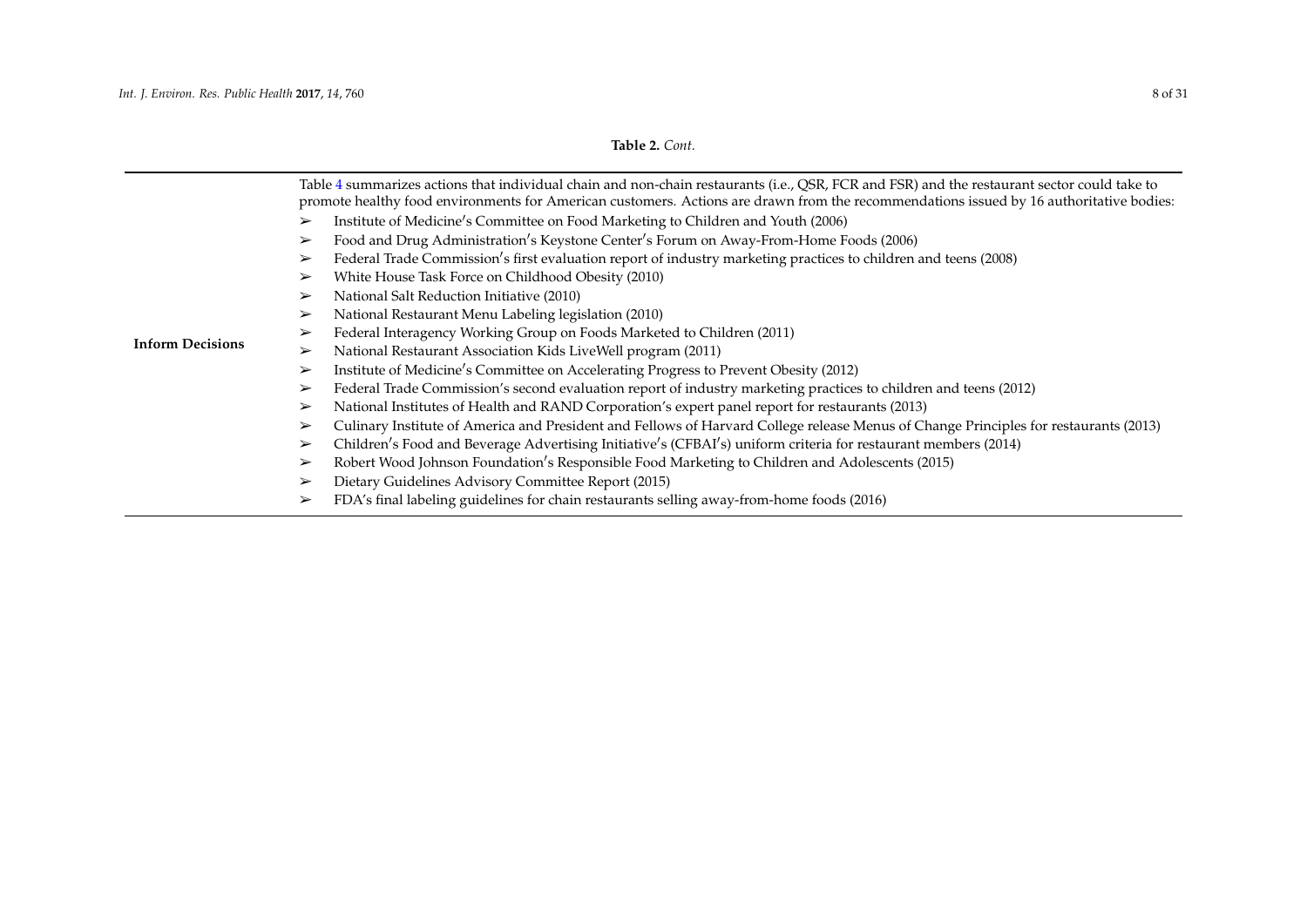<span id="page-7-0"></span>

|                         | Table 4 summarizes actions that individual chain and non-chain restaurants (i.e., QSR, FCR and FSR) and the restaurant sector could take to<br>promote healthy food environments for American customers. Actions are drawn from the recommendations issued by 16 authoritative bodies: |  |  |  |
|-------------------------|----------------------------------------------------------------------------------------------------------------------------------------------------------------------------------------------------------------------------------------------------------------------------------------|--|--|--|
|                         | Institute of Medicine's Committee on Food Marketing to Children and Youth (2006)<br>➤                                                                                                                                                                                                  |  |  |  |
|                         | Food and Drug Administration's Keystone Center's Forum on Away-From-Home Foods (2006)<br>$\blacktriangleright$                                                                                                                                                                         |  |  |  |
|                         | Federal Trade Commission's first evaluation report of industry marketing practices to children and teens (2008)<br>$\blacktriangleright$                                                                                                                                               |  |  |  |
|                         | White House Task Force on Childhood Obesity (2010)<br>$\blacktriangleright$                                                                                                                                                                                                            |  |  |  |
|                         | National Salt Reduction Initiative (2010)<br>➤                                                                                                                                                                                                                                         |  |  |  |
|                         | National Restaurant Menu Labeling legislation (2010)<br>$\blacktriangleright$                                                                                                                                                                                                          |  |  |  |
|                         | Federal Interagency Working Group on Foods Marketed to Children (2011)<br>➤                                                                                                                                                                                                            |  |  |  |
| <b>Inform Decisions</b> | National Restaurant Association Kids LiveWell program (2011)<br>$\blacktriangleright$                                                                                                                                                                                                  |  |  |  |
|                         | Institute of Medicine's Committee on Accelerating Progress to Prevent Obesity (2012)<br>➤                                                                                                                                                                                              |  |  |  |
|                         | Federal Trade Commission's second evaluation report of industry marketing practices to children and teens (2012)<br>$\blacktriangleright$                                                                                                                                              |  |  |  |
|                         | National Institutes of Health and RAND Corporation's expert panel report for restaurants (2013)<br>$\blacktriangleright$                                                                                                                                                               |  |  |  |
|                         | Culinary Institute of America and President and Fellows of Harvard College release Menus of Change Principles for restaurants (2013)<br>➤                                                                                                                                              |  |  |  |
|                         | Children's Food and Beverage Advertising Initiative's (CFBAI's) uniform criteria for restaurant members (2014)<br>$\blacktriangleright$                                                                                                                                                |  |  |  |
|                         | Robert Wood Johnson Foundation's Responsible Food Marketing to Children and Adolescents (2015)<br>➤                                                                                                                                                                                    |  |  |  |
|                         | Dietary Guidelines Advisory Committee Report (2015)<br>$\blacktriangleright$                                                                                                                                                                                                           |  |  |  |
|                         | FDA's final labeling guidelines for chain restaurants selling away-from-home foods (2016)<br>➤                                                                                                                                                                                         |  |  |  |
|                         |                                                                                                                                                                                                                                                                                        |  |  |  |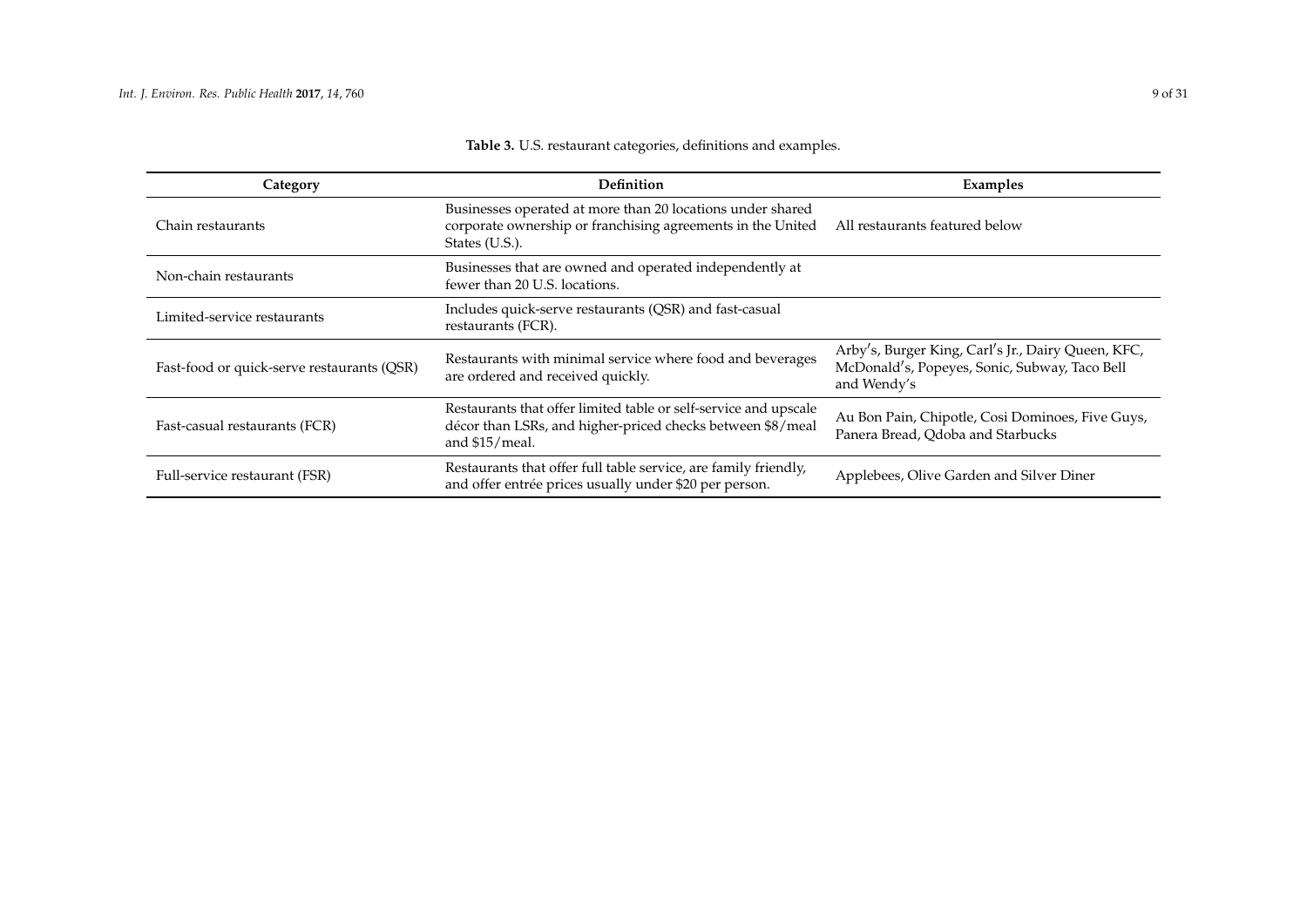<span id="page-8-0"></span>

| Category                                   | Definition                                                                                                                                         | Examples                                                                                                           |
|--------------------------------------------|----------------------------------------------------------------------------------------------------------------------------------------------------|--------------------------------------------------------------------------------------------------------------------|
| Chain restaurants                          | Businesses operated at more than 20 locations under shared<br>corporate ownership or franchising agreements in the United<br>States (U.S.).        | All restaurants featured below                                                                                     |
| Non-chain restaurants                      | Businesses that are owned and operated independently at<br>fewer than 20 U.S. locations.                                                           |                                                                                                                    |
| Limited-service restaurants                | Includes quick-serve restaurants (QSR) and fast-casual<br>restaurants (FCR).                                                                       |                                                                                                                    |
| Fast-food or quick-serve restaurants (QSR) | Restaurants with minimal service where food and beverages<br>are ordered and received quickly.                                                     | Arby's, Burger King, Carl's Jr., Dairy Queen, KFC,<br>McDonald's, Popeyes, Sonic, Subway, Taco Bell<br>and Wendy's |
| Fast-casual restaurants (FCR)              | Restaurants that offer limited table or self-service and upscale<br>décor than LSRs, and higher-priced checks between \$8/meal<br>and $$15/$ meal. | Au Bon Pain, Chipotle, Cosi Dominoes, Five Guys,<br>Panera Bread, Qdoba and Starbucks                              |
| Full-service restaurant (FSR)              | Restaurants that offer full table service, are family friendly,<br>and offer entrée prices usually under \$20 per person.                          | Applebees, Olive Garden and Silver Diner                                                                           |

# **Table 3.** U.S. restaurant categories, definitions and examples.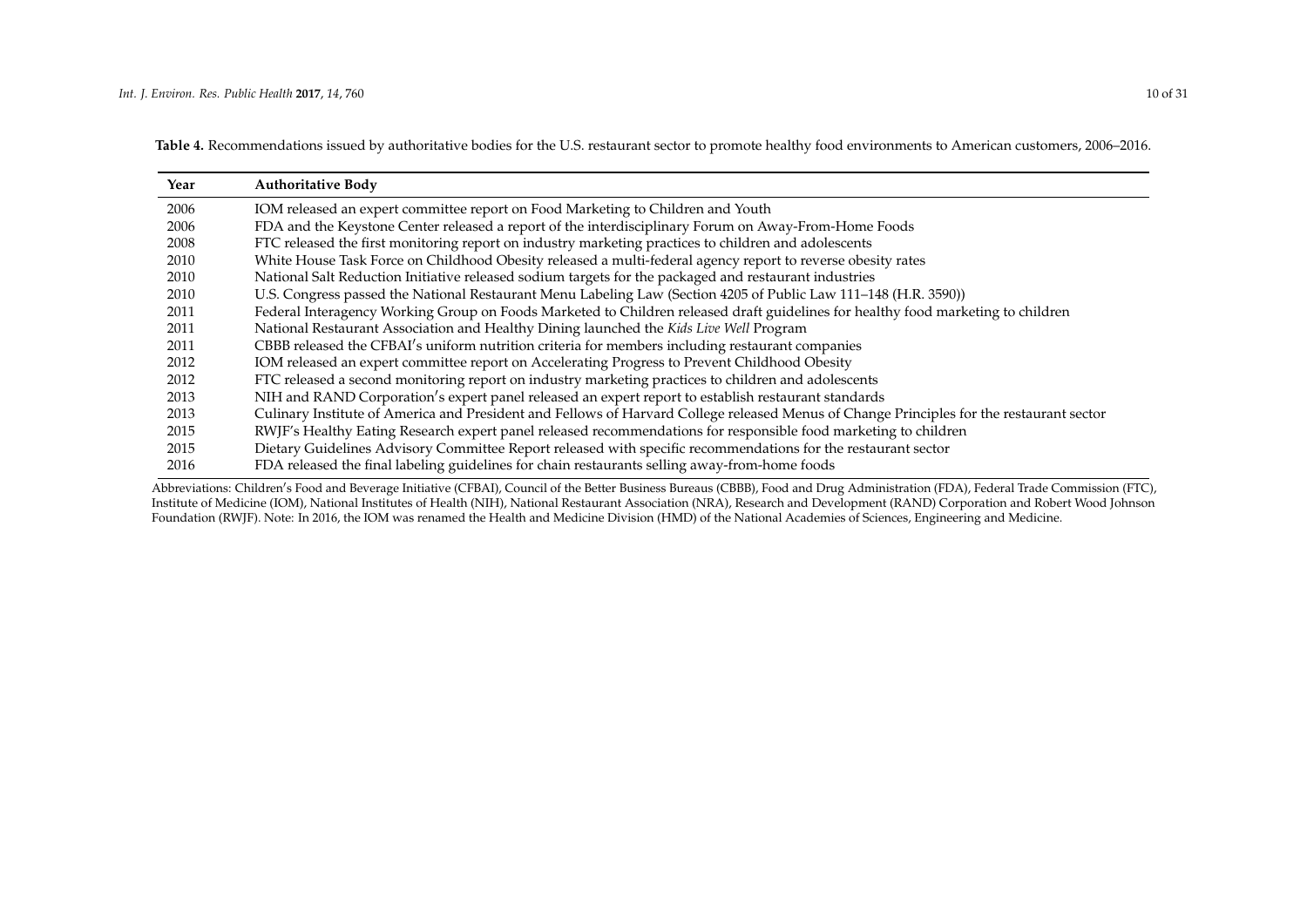<span id="page-9-1"></span>**Table 4.** Recommendations issued by authoritative bodies for the U.S. restaurant sector to promote healthy food environments to American customers, 2006–2016.

| Year | <b>Authoritative Body</b>                                                                                                                |
|------|------------------------------------------------------------------------------------------------------------------------------------------|
| 2006 | IOM released an expert committee report on Food Marketing to Children and Youth                                                          |
| 2006 | FDA and the Keystone Center released a report of the interdisciplinary Forum on Away-From-Home Foods                                     |
| 2008 | FTC released the first monitoring report on industry marketing practices to children and adolescents                                     |
| 2010 | White House Task Force on Childhood Obesity released a multi-federal agency report to reverse obesity rates                              |
| 2010 | National Salt Reduction Initiative released sodium targets for the packaged and restaurant industries                                    |
| 2010 | U.S. Congress passed the National Restaurant Menu Labeling Law (Section 4205 of Public Law 111-148 (H.R. 3590))                          |
| 2011 | Federal Interagency Working Group on Foods Marketed to Children released draft guidelines for healthy food marketing to children         |
| 2011 | National Restaurant Association and Healthy Dining launched the Kids Live Well Program                                                   |
| 2011 | CBBB released the CFBAI's uniform nutrition criteria for members including restaurant companies                                          |
| 2012 | IOM released an expert committee report on Accelerating Progress to Prevent Childhood Obesity                                            |
| 2012 | FTC released a second monitoring report on industry marketing practices to children and adolescents                                      |
| 2013 | NIH and RAND Corporation's expert panel released an expert report to establish restaurant standards                                      |
| 2013 | Culinary Institute of America and President and Fellows of Harvard College released Menus of Change Principles for the restaurant sector |
| 2015 | RWJF's Healthy Eating Research expert panel released recommendations for responsible food marketing to children                          |
| 2015 | Dietary Guidelines Advisory Committee Report released with specific recommendations for the restaurant sector                            |
| 2016 | FDA released the final labeling guidelines for chain restaurants selling away-from-home foods                                            |

<span id="page-9-0"></span>Abbreviations: Children's Food and Beverage Initiative (CFBAI), Council of the Better Business Bureaus (CBBB), Food and Drug Administration (FDA), Federal Trade Commission (FTC), Institute of Medicine (IOM), National Institutes of Health (NIH), National Restaurant Association (NRA), Research and Development (RAND) Corporation and Robert Wood Johnson Foundation (RWJF). Note: In 2016, the IOM was renamed the Health and Medicine Division (HMD) of the National Academies of Sciences, Engineering and Medicine.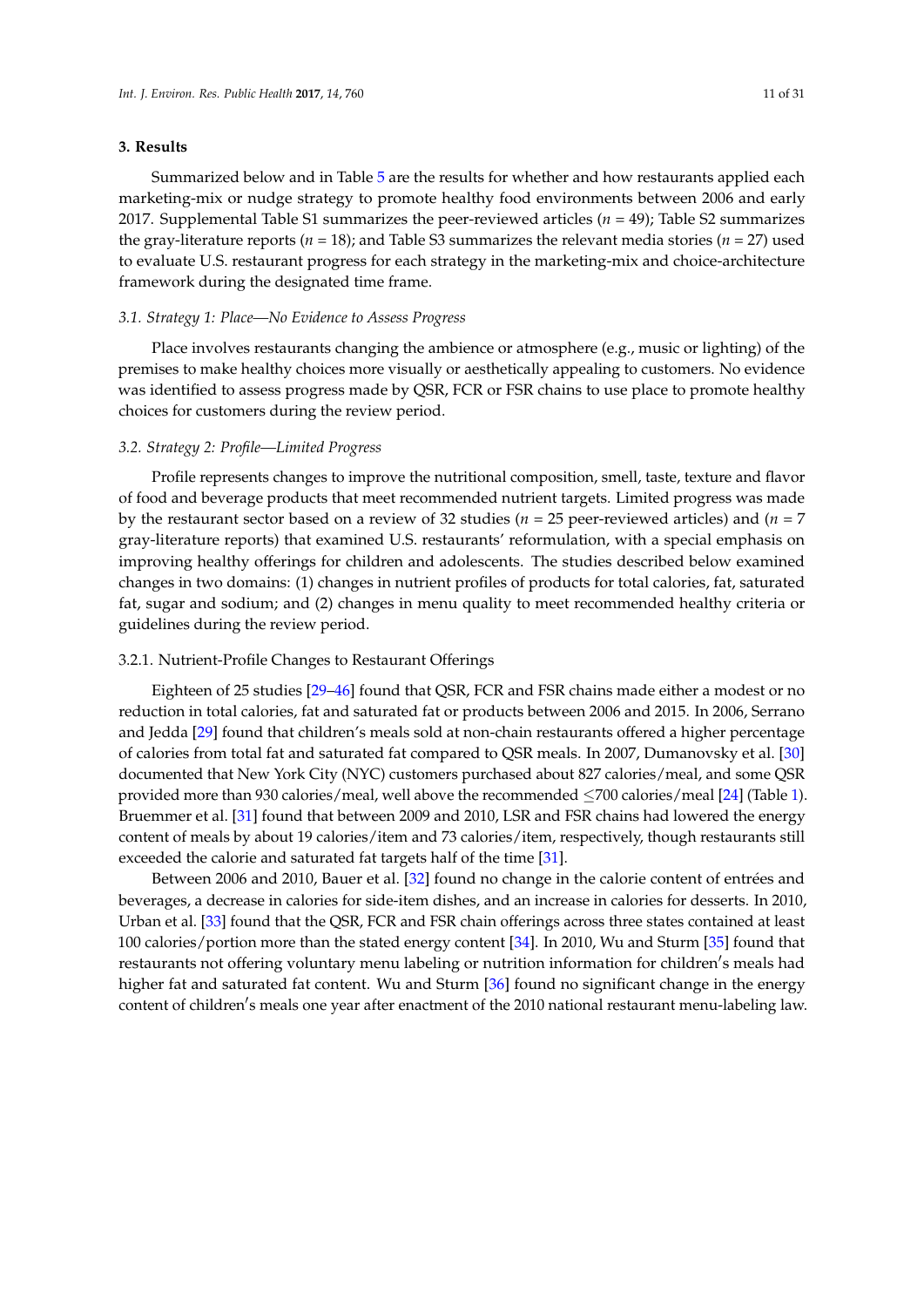### **3. Results**

Summarized below and in Table [5](#page-13-0) are the results for whether and how restaurants applied each marketing-mix or nudge strategy to promote healthy food environments between 2006 and early 2017. Supplemental Table S1 summarizes the peer-reviewed articles (*n* = 49); Table S2 summarizes the gray-literature reports (*n* = 18); and Table S3 summarizes the relevant media stories (*n* = 27) used to evaluate U.S. restaurant progress for each strategy in the marketing-mix and choice-architecture framework during the designated time frame.

#### *3.1. Strategy 1: Place—No Evidence to Assess Progress*

Place involves restaurants changing the ambience or atmosphere (e.g., music or lighting) of the premises to make healthy choices more visually or aesthetically appealing to customers. No evidence was identified to assess progress made by QSR, FCR or FSR chains to use place to promote healthy choices for customers during the review period.

#### *3.2. Strategy 2: Profile—Limited Progress*

Profile represents changes to improve the nutritional composition, smell, taste, texture and flavor of food and beverage products that meet recommended nutrient targets. Limited progress was made by the restaurant sector based on a review of 32 studies (*n* = 25 peer-reviewed articles) and (*n* = 7 gray-literature reports) that examined U.S. restaurants' reformulation, with a special emphasis on improving healthy offerings for children and adolescents. The studies described below examined changes in two domains: (1) changes in nutrient profiles of products for total calories, fat, saturated fat, sugar and sodium; and (2) changes in menu quality to meet recommended healthy criteria or guidelines during the review period.

#### 3.2.1. Nutrient-Profile Changes to Restaurant Offerings

Eighteen of 25 studies [\[29–](#page-23-15)[46\]](#page-24-0) found that QSR, FCR and FSR chains made either a modest or no reduction in total calories, fat and saturated fat or products between 2006 and 2015. In 2006, Serrano and Jedda [\[29\]](#page-23-15) found that children's meals sold at non-chain restaurants offered a higher percentage of calories from total fat and saturated fat compared to QSR meals. In 2007, Dumanovsky et al. [\[30\]](#page-23-16) documented that New York City (NYC) customers purchased about 827 calories/meal, and some QSR provided more than 930 calories/meal, well above the recommended  $\leq$ 700 calories/meal [\[24\]](#page-23-10) (Table [1\)](#page-4-0). Bruemmer et al. [\[31\]](#page-23-17) found that between 2009 and 2010, LSR and FSR chains had lowered the energy content of meals by about 19 calories/item and 73 calories/item, respectively, though restaurants still exceeded the calorie and saturated fat targets half of the time [\[31\]](#page-23-17).

Between 2006 and 2010, Bauer et al. [\[32\]](#page-23-18) found no change in the calorie content of entrées and beverages, a decrease in calories for side-item dishes, and an increase in calories for desserts. In 2010, Urban et al. [\[33\]](#page-23-19) found that the QSR, FCR and FSR chain offerings across three states contained at least 100 calories/portion more than the stated energy content [\[34\]](#page-23-20). In 2010, Wu and Sturm [\[35\]](#page-24-1) found that restaurants not offering voluntary menu labeling or nutrition information for children's meals had higher fat and saturated fat content. Wu and Sturm [\[36\]](#page-24-2) found no significant change in the energy content of children's meals one year after enactment of the 2010 national restaurant menu-labeling law.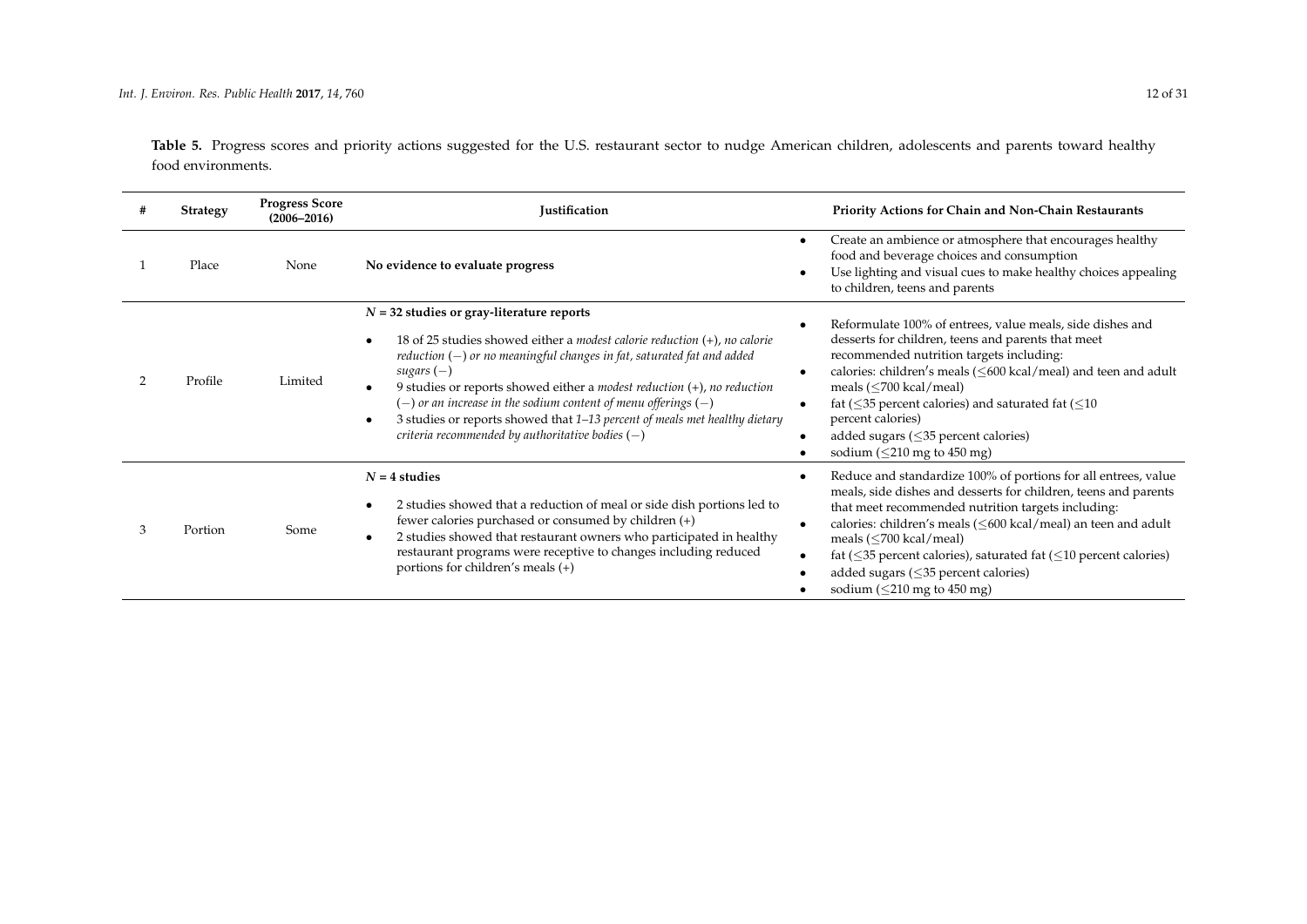Table 5. Progress scores and priority actions suggested for the U.S. restaurant sector to nudge American children, adolescents and parents toward healthy food environments.

|   | <b>Strategy</b> | <b>Progress Score</b><br>$(2006 - 2016)$ | Justification                                                                                                                                                                                                                                                                                                                                                                                                                                                                                                                                  | Priority Actions for Chain and Non-Chain Restaurants                                                                                                                                                                                                                                                                                                                                                                                                                                                   |
|---|-----------------|------------------------------------------|------------------------------------------------------------------------------------------------------------------------------------------------------------------------------------------------------------------------------------------------------------------------------------------------------------------------------------------------------------------------------------------------------------------------------------------------------------------------------------------------------------------------------------------------|--------------------------------------------------------------------------------------------------------------------------------------------------------------------------------------------------------------------------------------------------------------------------------------------------------------------------------------------------------------------------------------------------------------------------------------------------------------------------------------------------------|
|   | Place           | None                                     | No evidence to evaluate progress                                                                                                                                                                                                                                                                                                                                                                                                                                                                                                               | Create an ambience or atmosphere that encourages healthy<br>$\bullet$<br>food and beverage choices and consumption<br>Use lighting and visual cues to make healthy choices appealing<br>$\bullet$<br>to children, teens and parents                                                                                                                                                                                                                                                                    |
|   | Profile         | Limited                                  | $N = 32$ studies or gray-literature reports<br>18 of 25 studies showed either a <i>modest calorie reduction</i> $(+)$ <i>, no calorie</i><br>$reduction$ ( $-)$ or no meaningful changes in fat, saturated fat and added<br>sugars $(-)$<br>9 studies or reports showed either a <i>modest reduction</i> $(+)$ <i>, no reduction</i><br>$(-)$ or an increase in the sodium content of menu offerings $(-)$<br>3 studies or reports showed that 1-13 percent of meals met healthy dietary<br>criteria recommended by authoritative bodies $(-)$ | Reformulate 100% of entrees, value meals, side dishes and<br>$\bullet$<br>desserts for children, teens and parents that meet<br>recommended nutrition targets including:<br>calories: children's meals (<600 kcal/meal) and teen and adult<br>$\bullet$<br>meals $(< 700$ kcal/meal)<br>fat ( $\leq$ 35 percent calories) and saturated fat ( $\leq$ 10<br>$\bullet$<br>percent calories)<br>added sugars ( $\leq$ 35 percent calories)<br>$\bullet$<br>sodium ( $\leq$ 210 mg to 450 mg)<br>$\bullet$ |
| 3 | Portion         | Some                                     | $N = 4$ studies<br>2 studies showed that a reduction of meal or side dish portions led to<br>$\bullet$<br>fewer calories purchased or consumed by children (+)<br>2 studies showed that restaurant owners who participated in healthy<br>$\bullet$<br>restaurant programs were receptive to changes including reduced<br>portions for children's meals (+)                                                                                                                                                                                     | Reduce and standardize 100% of portions for all entrees, value<br>meals, side dishes and desserts for children, teens and parents<br>that meet recommended nutrition targets including:<br>calories: children's meals (<600 kcal/meal) an teen and adult<br>$\bullet$<br>meals $(< 700$ kcal/meal)<br>fat ( $\leq$ 35 percent calories), saturated fat ( $\leq$ 10 percent calories)<br>$\bullet$<br>added sugars $(\leq 35$ percent calories)<br>sodium ( $\leq$ 210 mg to 450 mg)                    |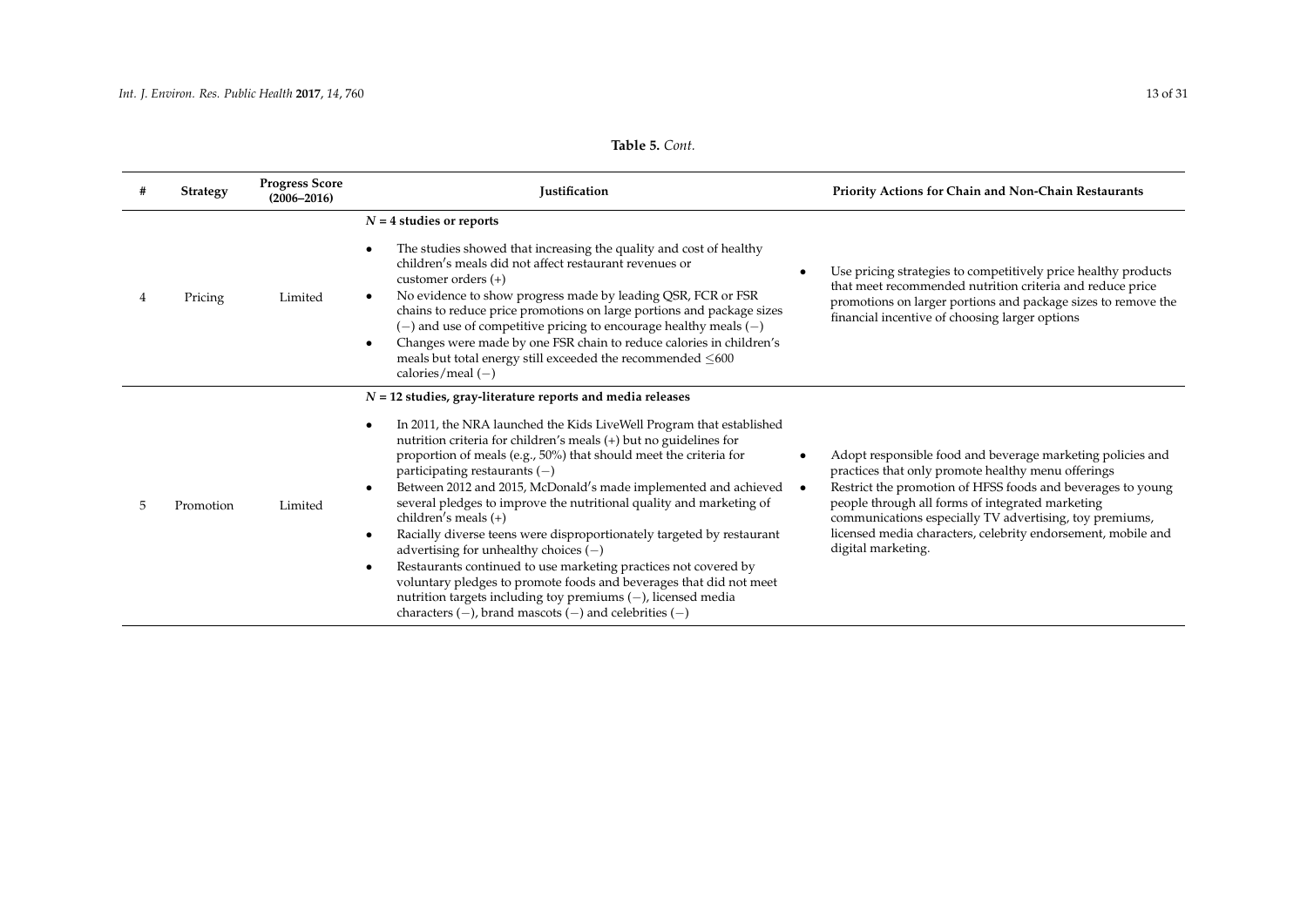| $\mathbf{r}$ , $\mathbf{r}$ , $\mathbf{r}$ , $\mathbf{r}$ , $\mathbf{r}$ , $\mathbf{r}$ , $\mathbf{r}$ , $\mathbf{r}$ , $\mathbf{r}$ |  |
|--------------------------------------------------------------------------------------------------------------------------------------|--|
|                                                                                                                                      |  |
|                                                                                                                                      |  |
|                                                                                                                                      |  |
|                                                                                                                                      |  |
|                                                                                                                                      |  |
|                                                                                                                                      |  |

| <b>Table 5. Cont.</b> |  |  |
|-----------------------|--|--|
|-----------------------|--|--|

| # | Strategy  | <b>Progress Score</b><br>$(2006 - 2016)$ | Justification                                                                                                                                                                                                                                                                                                                                                                                                                                                                                                                                                                                                                                                                                                                                                                                                                                                                                           | Priority Actions for Chain and Non-Chain Restaurants                                                                                                                                                                                                                                                                                                                                              |
|---|-----------|------------------------------------------|---------------------------------------------------------------------------------------------------------------------------------------------------------------------------------------------------------------------------------------------------------------------------------------------------------------------------------------------------------------------------------------------------------------------------------------------------------------------------------------------------------------------------------------------------------------------------------------------------------------------------------------------------------------------------------------------------------------------------------------------------------------------------------------------------------------------------------------------------------------------------------------------------------|---------------------------------------------------------------------------------------------------------------------------------------------------------------------------------------------------------------------------------------------------------------------------------------------------------------------------------------------------------------------------------------------------|
| 4 | Pricing   | Limited                                  | $N = 4$ studies or reports<br>The studies showed that increasing the quality and cost of healthy<br>children's meals did not affect restaurant revenues or<br>customer orders $(+)$<br>No evidence to show progress made by leading QSR, FCR or FSR<br>$\bullet$<br>chains to reduce price promotions on large portions and package sizes<br>$(-)$ and use of competitive pricing to encourage healthy meals $(-)$<br>Changes were made by one FSR chain to reduce calories in children's<br>$\bullet$<br>meals but total energy still exceeded the recommended $\leq 600$<br>calories/meal $(-)$                                                                                                                                                                                                                                                                                                       | Use pricing strategies to competitively price healthy products<br>that meet recommended nutrition criteria and reduce price<br>promotions on larger portions and package sizes to remove the<br>financial incentive of choosing larger options                                                                                                                                                    |
| 5 | Promotion | Limited                                  | $N = 12$ studies, gray-literature reports and media releases<br>In 2011, the NRA launched the Kids LiveWell Program that established<br>nutrition criteria for children's meals (+) but no guidelines for<br>proportion of meals (e.g., 50%) that should meet the criteria for<br>participating restaurants $(-)$<br>Between 2012 and 2015, McDonald's made implemented and achieved<br>$\bullet$<br>several pledges to improve the nutritional quality and marketing of<br>children's meals $(+)$<br>Racially diverse teens were disproportionately targeted by restaurant<br>advertising for unhealthy choices $(-)$<br>Restaurants continued to use marketing practices not covered by<br>٠<br>voluntary pledges to promote foods and beverages that did not meet<br>nutrition targets including toy premiums $(-)$ , licensed media<br>characters $(-)$ , brand mascots $(-)$ and celebrities $(-)$ | Adopt responsible food and beverage marketing policies and<br>practices that only promote healthy menu offerings<br>Restrict the promotion of HFSS foods and beverages to young<br>$\bullet$<br>people through all forms of integrated marketing<br>communications especially TV advertising, toy premiums,<br>licensed media characters, celebrity endorsement, mobile and<br>digital marketing. |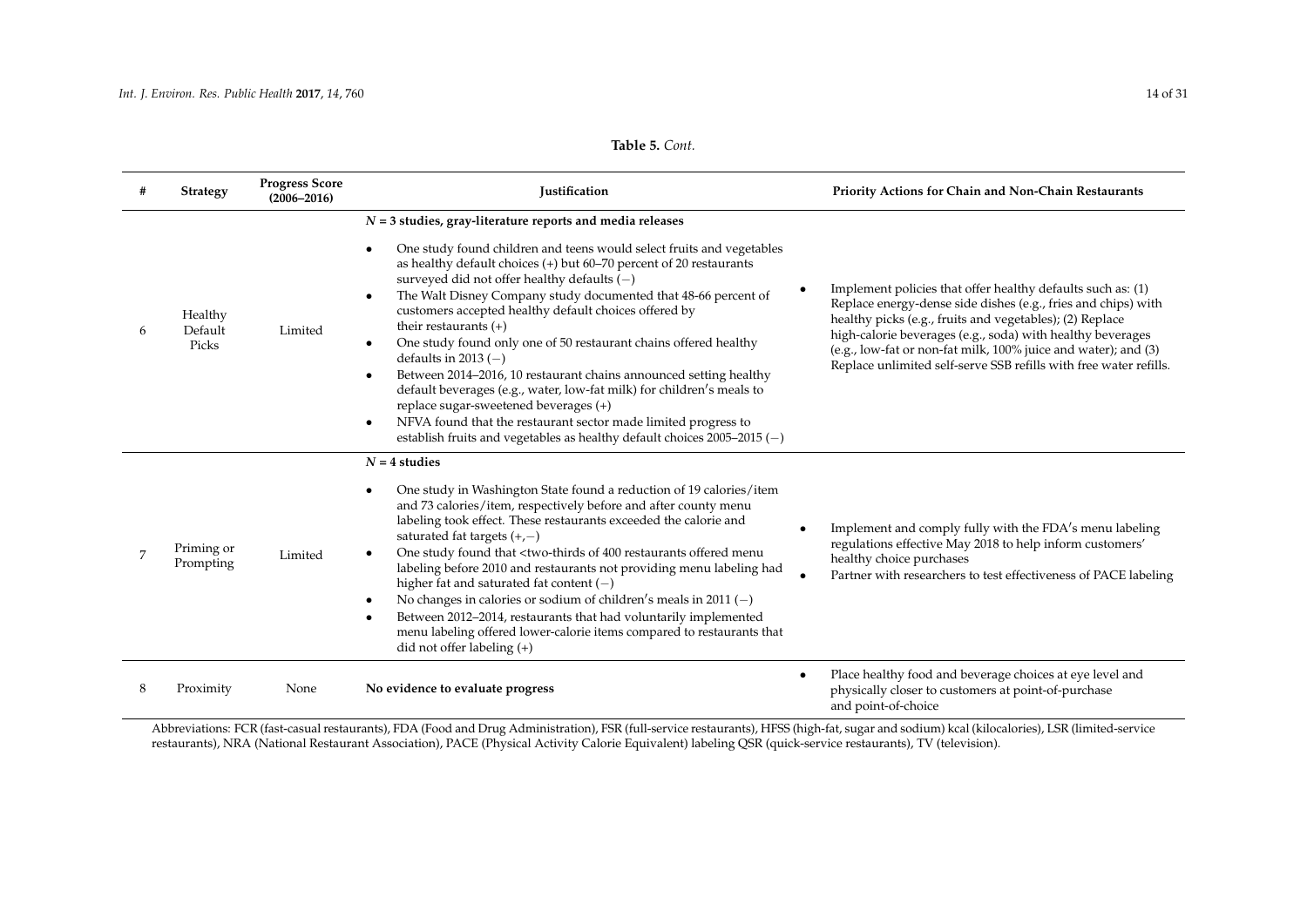# **Table 5.** *Cont.*

|                | <b>Strategy</b>             | <b>Progress Score</b><br>$(2006 - 2016)$ | Justification                                                                                                                                                                                                                                                                                                                                                                                                                                                                                                                                                                                                                                                                                                                                                                                                                                                                           | Priority Actions for Chain and Non-Chain Restaurants                                                                                                                                                                                                                                                                                                                                          |
|----------------|-----------------------------|------------------------------------------|-----------------------------------------------------------------------------------------------------------------------------------------------------------------------------------------------------------------------------------------------------------------------------------------------------------------------------------------------------------------------------------------------------------------------------------------------------------------------------------------------------------------------------------------------------------------------------------------------------------------------------------------------------------------------------------------------------------------------------------------------------------------------------------------------------------------------------------------------------------------------------------------|-----------------------------------------------------------------------------------------------------------------------------------------------------------------------------------------------------------------------------------------------------------------------------------------------------------------------------------------------------------------------------------------------|
| 6              | Healthy<br>Default<br>Picks | Limited                                  | $N = 3$ studies, gray-literature reports and media releases<br>One study found children and teens would select fruits and vegetables<br>٠<br>as healthy default choices $(+)$ but 60-70 percent of 20 restaurants<br>surveyed did not offer healthy defaults $(-)$<br>The Walt Disney Company study documented that 48-66 percent of<br>customers accepted healthy default choices offered by<br>their restaurants $(+)$<br>One study found only one of 50 restaurant chains offered healthy<br>$\bullet$<br>defaults in 2013 $(-)$<br>Between 2014-2016, 10 restaurant chains announced setting healthy<br>$\bullet$<br>default beverages (e.g., water, low-fat milk) for children's meals to<br>replace sugar-sweetened beverages (+)<br>NFVA found that the restaurant sector made limited progress to<br>establish fruits and vegetables as healthy default choices $2005-2015$ (-) | Implement policies that offer healthy defaults such as: (1)<br>Replace energy-dense side dishes (e.g., fries and chips) with<br>healthy picks (e.g., fruits and vegetables); (2) Replace<br>high-calorie beverages (e.g., soda) with healthy beverages<br>(e.g., low-fat or non-fat milk, 100% juice and water); and (3)<br>Replace unlimited self-serve SSB refills with free water refills. |
| $\overline{7}$ | Priming or<br>Prompting     | Limited                                  | $N = 4$ studies<br>One study in Washington State found a reduction of 19 calories/item<br>٠<br>and 73 calories/item, respectively before and after county menu<br>labeling took effect. These restaurants exceeded the calorie and<br>saturated fat targets $(+,-)$<br>One study found that <two-thirds 400="" menu<br="" of="" offered="" restaurants="">labeling before 2010 and restaurants not providing menu labeling had<br/>higher fat and saturated fat content <math>(-)</math><br/>No changes in calories or sodium of children's meals in 2011 (-)<br/>٠<br/>Between 2012-2014, restaurants that had voluntarily implemented<br/><math display="inline">\bullet</math><br/>menu labeling offered lower-calorie items compared to restaurants that<br/>did not offer labeling <math>(+)</math></two-thirds>                                                                   | Implement and comply fully with the FDA's menu labeling<br>regulations effective May 2018 to help inform customers'<br>healthy choice purchases<br>Partner with researchers to test effectiveness of PACE labeling                                                                                                                                                                            |
| 8              | Proximity                   | None                                     | No evidence to evaluate progress                                                                                                                                                                                                                                                                                                                                                                                                                                                                                                                                                                                                                                                                                                                                                                                                                                                        | Place healthy food and beverage choices at eye level and<br>physically closer to customers at point-of-purchase<br>and point-of-choice                                                                                                                                                                                                                                                        |

<span id="page-13-0"></span>Abbreviations: FCR (fast-casual restaurants), FDA (Food and Drug Administration), FSR (full-service restaurants), HFSS (high-fat, sugar and sodium) kcal (kilocalories), LSR (limited-service restaurants), NRA (National Restaurant Association), PACE (Physical Activity Calorie Equivalent) labeling QSR (quick-service restaurants), TV (television).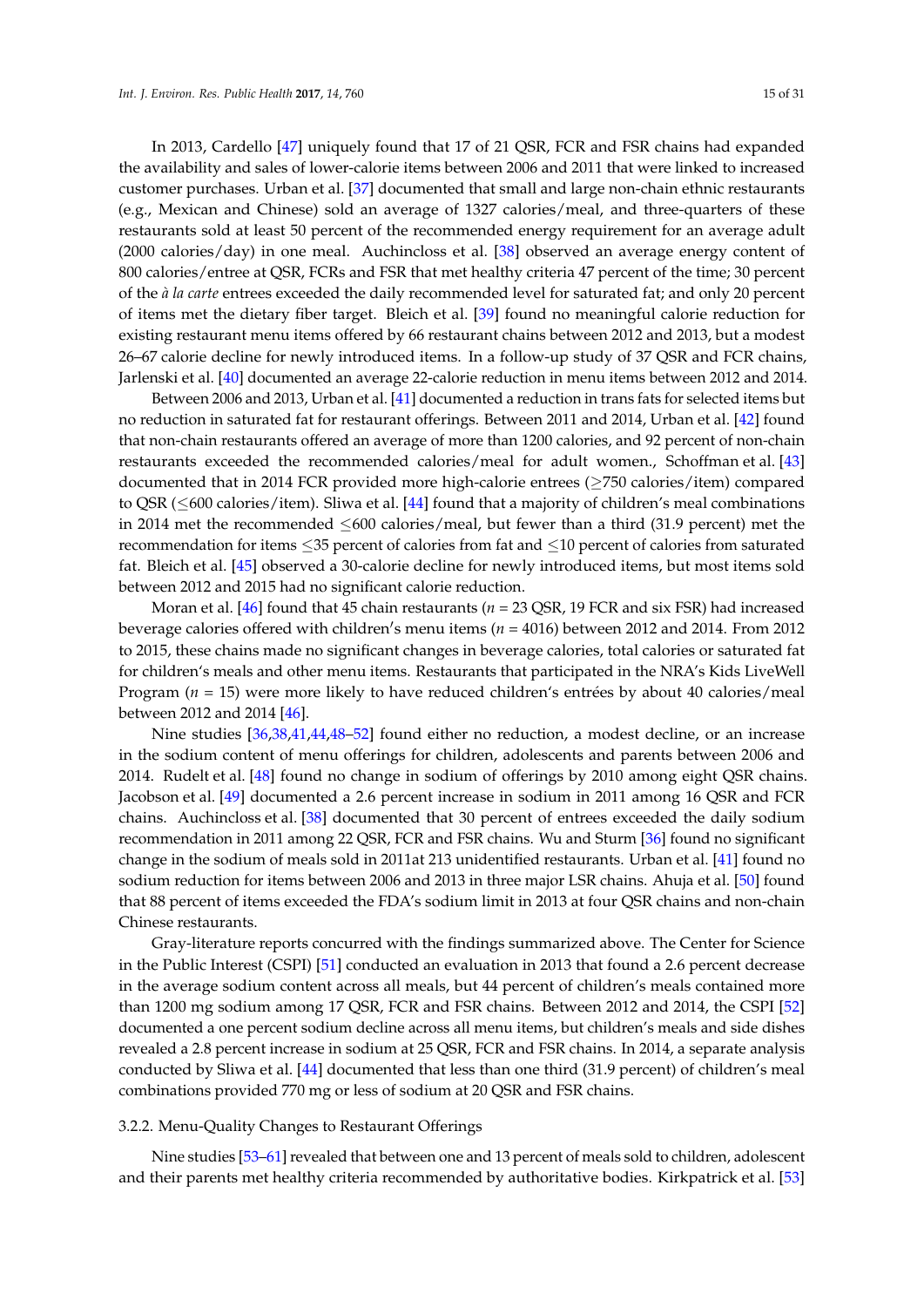In 2013, Cardello [\[47\]](#page-24-3) uniquely found that 17 of 21 QSR, FCR and FSR chains had expanded the availability and sales of lower-calorie items between 2006 and 2011 that were linked to increased customer purchases. Urban et al. [\[37\]](#page-24-4) documented that small and large non-chain ethnic restaurants (e.g., Mexican and Chinese) sold an average of 1327 calories/meal, and three-quarters of these restaurants sold at least 50 percent of the recommended energy requirement for an average adult (2000 calories/day) in one meal. Auchincloss et al. [\[38\]](#page-24-5) observed an average energy content of 800 calories/entree at QSR, FCRs and FSR that met healthy criteria 47 percent of the time; 30 percent of the *à la carte* entrees exceeded the daily recommended level for saturated fat; and only 20 percent of items met the dietary fiber target. Bleich et al. [\[39\]](#page-24-6) found no meaningful calorie reduction for existing restaurant menu items offered by 66 restaurant chains between 2012 and 2013, but a modest 26–67 calorie decline for newly introduced items. In a follow-up study of 37 QSR and FCR chains, Jarlenski et al. [\[40\]](#page-24-7) documented an average 22-calorie reduction in menu items between 2012 and 2014.

Between 2006 and 2013, Urban et al. [\[41\]](#page-24-8) documented a reduction in trans fats for selected items but no reduction in saturated fat for restaurant offerings. Between 2011 and 2014, Urban et al. [\[42\]](#page-24-9) found that non-chain restaurants offered an average of more than 1200 calories, and 92 percent of non-chain restaurants exceeded the recommended calories/meal for adult women., Schoffman et al. [\[43\]](#page-24-10) documented that in 2014 FCR provided more high-calorie entrees (≥750 calories/item) compared to QSR (≤600 calories/item). Sliwa et al. [\[44\]](#page-24-11) found that a majority of children's meal combinations in 2014 met the recommended ≤600 calories/meal, but fewer than a third (31.9 percent) met the recommendation for items ≤35 percent of calories from fat and ≤10 percent of calories from saturated fat. Bleich et al. [\[45\]](#page-24-12) observed a 30-calorie decline for newly introduced items, but most items sold between 2012 and 2015 had no significant calorie reduction.

Moran et al. [\[46\]](#page-24-0) found that 45 chain restaurants ( $n = 23$  QSR, 19 FCR and six FSR) had increased beverage calories offered with children's menu items ( $n = 4016$ ) between 2012 and 2014. From 2012 to 2015, these chains made no significant changes in beverage calories, total calories or saturated fat for children's meals and other menu items. Restaurants that participated in the NRA's Kids LiveWell Program (*n* = 15) were more likely to have reduced children's entrées by about 40 calories/meal between 2012 and 2014 [\[46\]](#page-24-0).

Nine studies [\[36,](#page-24-2)[38](#page-24-5)[,41](#page-24-8)[,44](#page-24-11)[,48–](#page-24-13)[52\]](#page-24-14) found either no reduction, a modest decline, or an increase in the sodium content of menu offerings for children, adolescents and parents between 2006 and 2014. Rudelt et al. [\[48\]](#page-24-13) found no change in sodium of offerings by 2010 among eight QSR chains. Jacobson et al. [\[49\]](#page-24-15) documented a 2.6 percent increase in sodium in 2011 among 16 QSR and FCR chains. Auchincloss et al. [\[38\]](#page-24-5) documented that 30 percent of entrees exceeded the daily sodium recommendation in 2011 among 22 QSR, FCR and FSR chains. Wu and Sturm [\[36\]](#page-24-2) found no significant change in the sodium of meals sold in 2011at 213 unidentified restaurants. Urban et al. [\[41\]](#page-24-8) found no sodium reduction for items between 2006 and 2013 in three major LSR chains. Ahuja et al. [\[50\]](#page-24-16) found that 88 percent of items exceeded the FDA's sodium limit in 2013 at four QSR chains and non-chain Chinese restaurants.

Gray-literature reports concurred with the findings summarized above. The Center for Science in the Public Interest (CSPI) [\[51\]](#page-24-17) conducted an evaluation in 2013 that found a 2.6 percent decrease in the average sodium content across all meals, but 44 percent of children's meals contained more than 1200 mg sodium among 17 QSR, FCR and FSR chains. Between 2012 and 2014, the CSPI [\[52\]](#page-24-14) documented a one percent sodium decline across all menu items, but children's meals and side dishes revealed a 2.8 percent increase in sodium at 25 QSR, FCR and FSR chains. In 2014, a separate analysis conducted by Sliwa et al. [\[44\]](#page-24-11) documented that less than one third (31.9 percent) of children's meal combinations provided 770 mg or less of sodium at 20 QSR and FSR chains.

## 3.2.2. Menu-Quality Changes to Restaurant Offerings

Nine studies [\[53–](#page-24-18)[61\]](#page-25-0) revealed that between one and 13 percent of meals sold to children, adolescent and their parents met healthy criteria recommended by authoritative bodies. Kirkpatrick et al. [\[53\]](#page-24-18)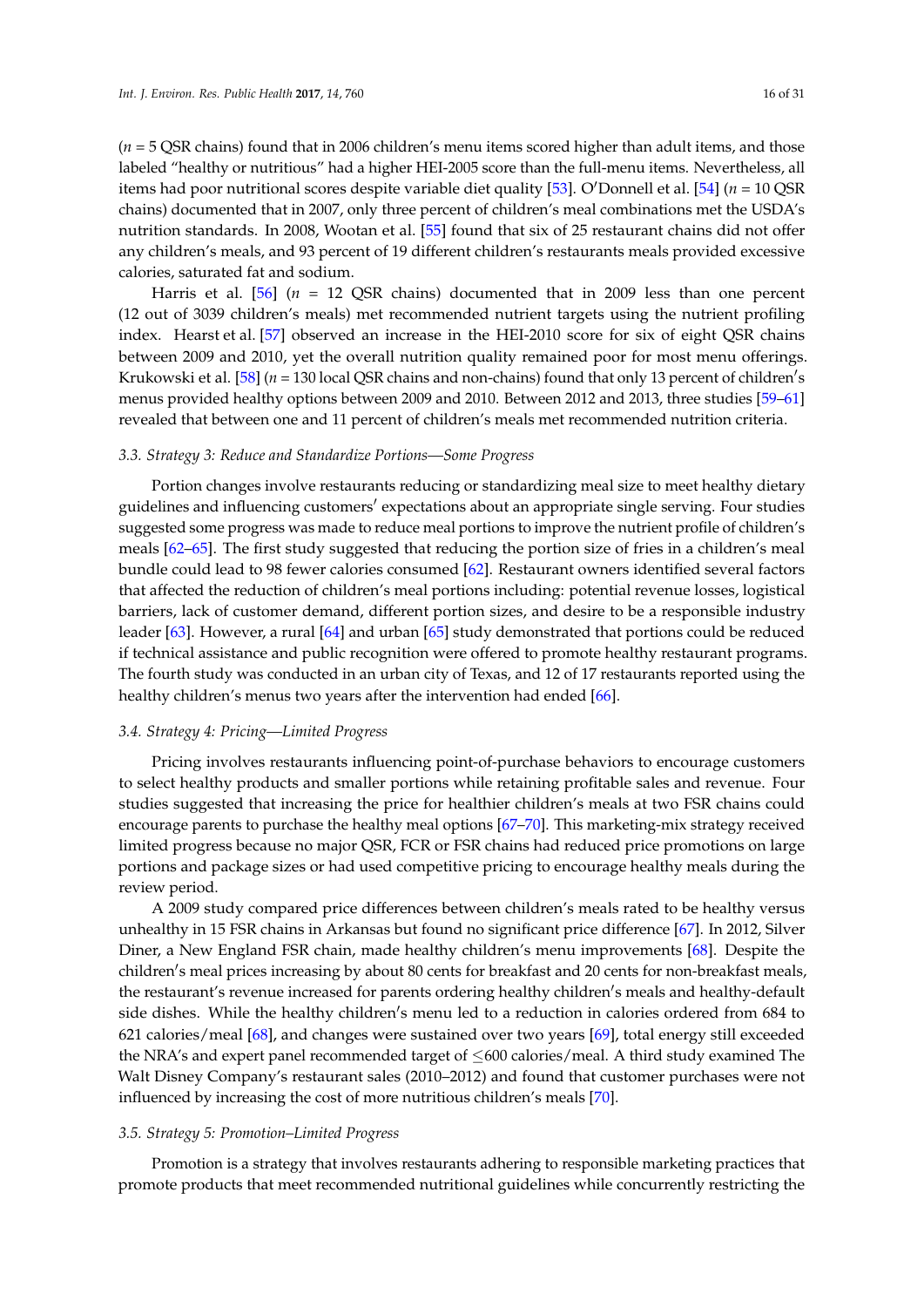(*n* = 5 QSR chains) found that in 2006 children's menu items scored higher than adult items, and those labeled "healthy or nutritious" had a higher HEI-2005 score than the full-menu items. Nevertheless, all items had poor nutritional scores despite variable diet quality [\[53\]](#page-24-18). O'Donnell et al. [\[54\]](#page-24-19) ( $n = 10 \text{ QSR}$ ) chains) documented that in 2007, only three percent of children's meal combinations met the USDA's nutrition standards. In 2008, Wootan et al. [\[55\]](#page-24-20) found that six of 25 restaurant chains did not offer any children's meals, and 93 percent of 19 different children's restaurants meals provided excessive calories, saturated fat and sodium.

Harris et al. [\[56\]](#page-25-1) (*n* = 12 QSR chains) documented that in 2009 less than one percent (12 out of 3039 children's meals) met recommended nutrient targets using the nutrient profiling index. Hearst et al. [\[57\]](#page-25-2) observed an increase in the HEI-2010 score for six of eight QSR chains between 2009 and 2010, yet the overall nutrition quality remained poor for most menu offerings. Krukowski et al. [\[58\]](#page-25-3) (*n* = 130 local QSR chains and non-chains) found that only 13 percent of children's menus provided healthy options between 2009 and 2010. Between 2012 and 2013, three studies [\[59–](#page-25-4)[61\]](#page-25-0) revealed that between one and 11 percent of children's meals met recommended nutrition criteria.

#### *3.3. Strategy 3: Reduce and Standardize Portions—Some Progress*

Portion changes involve restaurants reducing or standardizing meal size to meet healthy dietary guidelines and influencing customers' expectations about an appropriate single serving. Four studies suggested some progress was made to reduce meal portions to improve the nutrient profile of children's meals [\[62–](#page-25-5)[65\]](#page-25-6). The first study suggested that reducing the portion size of fries in a children's meal bundle could lead to 98 fewer calories consumed [\[62\]](#page-25-5). Restaurant owners identified several factors that affected the reduction of children's meal portions including: potential revenue losses, logistical barriers, lack of customer demand, different portion sizes, and desire to be a responsible industry leader [\[63\]](#page-25-7). However, a rural [\[64\]](#page-25-8) and urban [\[65\]](#page-25-6) study demonstrated that portions could be reduced if technical assistance and public recognition were offered to promote healthy restaurant programs. The fourth study was conducted in an urban city of Texas, and 12 of 17 restaurants reported using the healthy children's menus two years after the intervention had ended [\[66\]](#page-25-9).

# *3.4. Strategy 4: Pricing—Limited Progress*

Pricing involves restaurants influencing point-of-purchase behaviors to encourage customers to select healthy products and smaller portions while retaining profitable sales and revenue. Four studies suggested that increasing the price for healthier children's meals at two FSR chains could encourage parents to purchase the healthy meal options [\[67–](#page-25-10)[70\]](#page-25-11). This marketing-mix strategy received limited progress because no major QSR, FCR or FSR chains had reduced price promotions on large portions and package sizes or had used competitive pricing to encourage healthy meals during the review period.

A 2009 study compared price differences between children's meals rated to be healthy versus unhealthy in 15 FSR chains in Arkansas but found no significant price difference [\[67\]](#page-25-10). In 2012, Silver Diner, a New England FSR chain, made healthy children's menu improvements [\[68\]](#page-25-12). Despite the children's meal prices increasing by about 80 cents for breakfast and 20 cents for non-breakfast meals, the restaurant's revenue increased for parents ordering healthy children's meals and healthy-default side dishes. While the healthy children's menu led to a reduction in calories ordered from 684 to 621 calories/meal [\[68\]](#page-25-12), and changes were sustained over two years [\[69\]](#page-25-13), total energy still exceeded the NRA's and expert panel recommended target of ≤600 calories/meal. A third study examined The Walt Disney Company's restaurant sales (2010–2012) and found that customer purchases were not influenced by increasing the cost of more nutritious children's meals [\[70\]](#page-25-11).

#### *3.5. Strategy 5: Promotion–Limited Progress*

Promotion is a strategy that involves restaurants adhering to responsible marketing practices that promote products that meet recommended nutritional guidelines while concurrently restricting the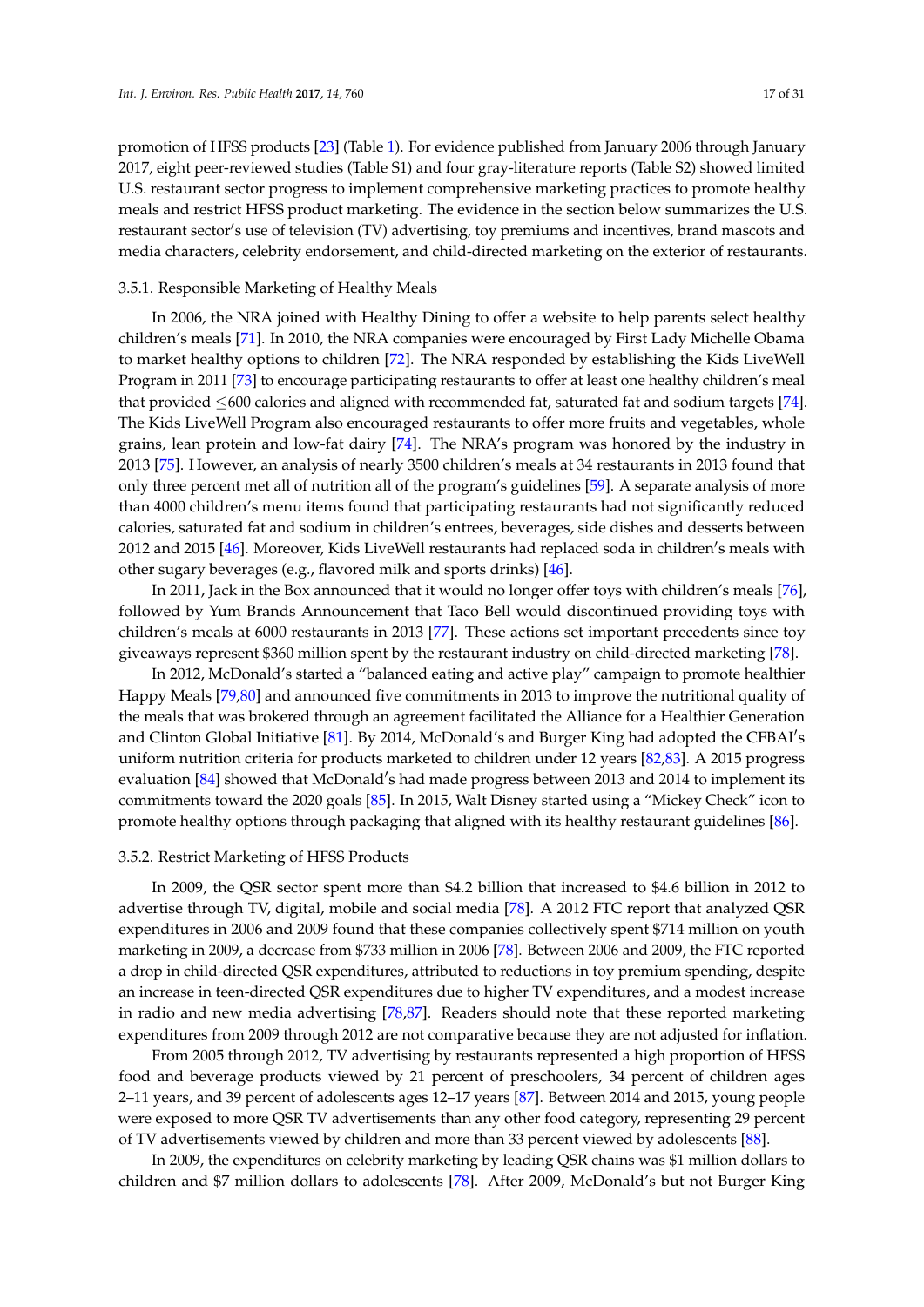promotion of HFSS products [\[23\]](#page-23-9) (Table [1\)](#page-4-0). For evidence published from January 2006 through January 2017, eight peer-reviewed studies (Table S1) and four gray-literature reports (Table S2) showed limited U.S. restaurant sector progress to implement comprehensive marketing practices to promote healthy meals and restrict HFSS product marketing. The evidence in the section below summarizes the U.S. restaurant sector's use of television (TV) advertising, toy premiums and incentives, brand mascots and media characters, celebrity endorsement, and child-directed marketing on the exterior of restaurants.

### 3.5.1. Responsible Marketing of Healthy Meals

In 2006, the NRA joined with Healthy Dining to offer a website to help parents select healthy children's meals [\[71\]](#page-25-14). In 2010, the NRA companies were encouraged by First Lady Michelle Obama to market healthy options to children [\[72\]](#page-25-15). The NRA responded by establishing the Kids LiveWell Program in 2011 [\[73\]](#page-25-16) to encourage participating restaurants to offer at least one healthy children's meal that provided  $\leq 600$  calories and aligned with recommended fat, saturated fat and sodium targets [\[74\]](#page-25-17). The Kids LiveWell Program also encouraged restaurants to offer more fruits and vegetables, whole grains, lean protein and low-fat dairy [\[74\]](#page-25-17). The NRA's program was honored by the industry in 2013 [\[75\]](#page-26-0). However, an analysis of nearly 3500 children's meals at 34 restaurants in 2013 found that only three percent met all of nutrition all of the program's guidelines [\[59\]](#page-25-4). A separate analysis of more than 4000 children's menu items found that participating restaurants had not significantly reduced calories, saturated fat and sodium in children's entrees, beverages, side dishes and desserts between 2012 and 2015 [\[46\]](#page-24-0). Moreover, Kids LiveWell restaurants had replaced soda in children's meals with other sugary beverages (e.g., flavored milk and sports drinks) [\[46\]](#page-24-0).

In 2011, Jack in the Box announced that it would no longer offer toys with children's meals [\[76\]](#page-26-1), followed by Yum Brands Announcement that Taco Bell would discontinued providing toys with children's meals at 6000 restaurants in 2013 [\[77\]](#page-26-2). These actions set important precedents since toy giveaways represent \$360 million spent by the restaurant industry on child-directed marketing [\[78\]](#page-26-3).

In 2012, McDonald's started a "balanced eating and active play" campaign to promote healthier Happy Meals [\[79](#page-26-4)[,80\]](#page-26-5) and announced five commitments in 2013 to improve the nutritional quality of the meals that was brokered through an agreement facilitated the Alliance for a Healthier Generation and Clinton Global Initiative [\[81\]](#page-26-6). By 2014, McDonald's and Burger King had adopted the CFBAI's uniform nutrition criteria for products marketed to children under 12 years [\[82,](#page-26-7)[83\]](#page-26-8). A 2015 progress evaluation [\[84\]](#page-26-9) showed that McDonald's had made progress between 2013 and 2014 to implement its commitments toward the 2020 goals [\[85\]](#page-26-10). In 2015, Walt Disney started using a "Mickey Check" icon to promote healthy options through packaging that aligned with its healthy restaurant guidelines [\[86\]](#page-26-11).

#### 3.5.2. Restrict Marketing of HFSS Products

In 2009, the QSR sector spent more than \$4.2 billion that increased to \$4.6 billion in 2012 to advertise through TV, digital, mobile and social media [\[78\]](#page-26-3). A 2012 FTC report that analyzed QSR expenditures in 2006 and 2009 found that these companies collectively spent \$714 million on youth marketing in 2009, a decrease from \$733 million in 2006 [\[78\]](#page-26-3). Between 2006 and 2009, the FTC reported a drop in child-directed QSR expenditures, attributed to reductions in toy premium spending, despite an increase in teen-directed QSR expenditures due to higher TV expenditures, and a modest increase in radio and new media advertising [\[78,](#page-26-3)[87\]](#page-26-12). Readers should note that these reported marketing expenditures from 2009 through 2012 are not comparative because they are not adjusted for inflation.

From 2005 through 2012, TV advertising by restaurants represented a high proportion of HFSS food and beverage products viewed by 21 percent of preschoolers, 34 percent of children ages 2–11 years, and 39 percent of adolescents ages 12–17 years [\[87\]](#page-26-12). Between 2014 and 2015, young people were exposed to more QSR TV advertisements than any other food category, representing 29 percent of TV advertisements viewed by children and more than 33 percent viewed by adolescents [\[88\]](#page-26-13).

In 2009, the expenditures on celebrity marketing by leading QSR chains was \$1 million dollars to children and \$7 million dollars to adolescents [\[78\]](#page-26-3). After 2009, McDonald's but not Burger King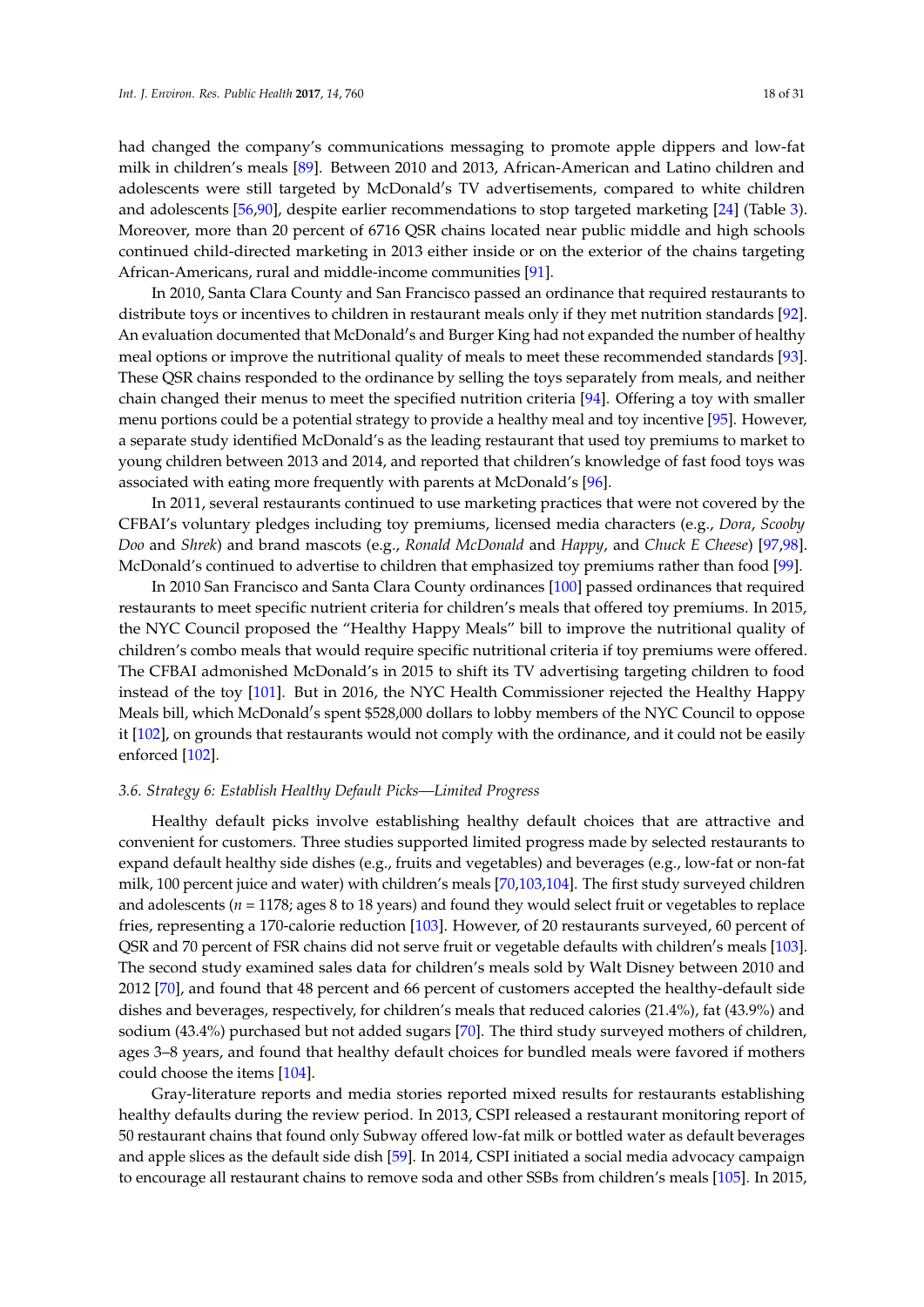had changed the company's communications messaging to promote apple dippers and low-fat milk in children's meals [\[89\]](#page-26-14). Between 2010 and 2013, African-American and Latino children and adolescents were still targeted by McDonald's TV advertisements, compared to white children and adolescents [\[56](#page-25-1)[,90\]](#page-26-15), despite earlier recommendations to stop targeted marketing [\[24\]](#page-23-10) (Table [3\)](#page-8-0). Moreover, more than 20 percent of 6716 QSR chains located near public middle and high schools continued child-directed marketing in 2013 either inside or on the exterior of the chains targeting African-Americans, rural and middle-income communities [\[91\]](#page-26-16).

In 2010, Santa Clara County and San Francisco passed an ordinance that required restaurants to distribute toys or incentives to children in restaurant meals only if they met nutrition standards [\[92\]](#page-27-0). An evaluation documented that McDonald's and Burger King had not expanded the number of healthy meal options or improve the nutritional quality of meals to meet these recommended standards [\[93\]](#page-27-1). These QSR chains responded to the ordinance by selling the toys separately from meals, and neither chain changed their menus to meet the specified nutrition criteria [\[94\]](#page-27-2). Offering a toy with smaller menu portions could be a potential strategy to provide a healthy meal and toy incentive [\[95\]](#page-27-3). However, a separate study identified McDonald's as the leading restaurant that used toy premiums to market to young children between 2013 and 2014, and reported that children's knowledge of fast food toys was associated with eating more frequently with parents at McDonald's [\[96\]](#page-27-4).

In 2011, several restaurants continued to use marketing practices that were not covered by the CFBAI's voluntary pledges including toy premiums, licensed media characters (e.g., *Dora*, *Scooby Doo* and *Shrek*) and brand mascots (e.g., *Ronald McDonald* and *Happy*, and *Chuck E Cheese*) [\[97,](#page-27-5)[98\]](#page-27-6). McDonald's continued to advertise to children that emphasized toy premiums rather than food [\[99\]](#page-27-7).

In 2010 San Francisco and Santa Clara County ordinances [\[100\]](#page-27-8) passed ordinances that required restaurants to meet specific nutrient criteria for children's meals that offered toy premiums. In 2015, the NYC Council proposed the "Healthy Happy Meals" bill to improve the nutritional quality of children's combo meals that would require specific nutritional criteria if toy premiums were offered. The CFBAI admonished McDonald's in 2015 to shift its TV advertising targeting children to food instead of the toy [\[101\]](#page-27-9). But in 2016, the NYC Health Commissioner rejected the Healthy Happy Meals bill, which McDonald's spent \$528,000 dollars to lobby members of the NYC Council to oppose it [\[102\]](#page-27-10), on grounds that restaurants would not comply with the ordinance, and it could not be easily enforced [\[102\]](#page-27-10).

#### *3.6. Strategy 6: Establish Healthy Default Picks—Limited Progress*

Healthy default picks involve establishing healthy default choices that are attractive and convenient for customers. Three studies supported limited progress made by selected restaurants to expand default healthy side dishes (e.g., fruits and vegetables) and beverages (e.g., low-fat or non-fat milk, 100 percent juice and water) with children's meals [\[70](#page-25-11)[,103](#page-27-11)[,104\]](#page-27-12). The first study surveyed children and adolescents (*n* = 1178; ages 8 to 18 years) and found they would select fruit or vegetables to replace fries, representing a 170-calorie reduction [\[103\]](#page-27-11). However, of 20 restaurants surveyed, 60 percent of QSR and 70 percent of FSR chains did not serve fruit or vegetable defaults with children's meals [\[103\]](#page-27-11). The second study examined sales data for children's meals sold by Walt Disney between 2010 and 2012 [\[70\]](#page-25-11), and found that 48 percent and 66 percent of customers accepted the healthy-default side dishes and beverages, respectively, for children's meals that reduced calories (21.4%), fat (43.9%) and sodium (43.4%) purchased but not added sugars [\[70\]](#page-25-11). The third study surveyed mothers of children, ages 3–8 years, and found that healthy default choices for bundled meals were favored if mothers could choose the items [\[104\]](#page-27-12).

Gray-literature reports and media stories reported mixed results for restaurants establishing healthy defaults during the review period. In 2013, CSPI released a restaurant monitoring report of 50 restaurant chains that found only Subway offered low-fat milk or bottled water as default beverages and apple slices as the default side dish [\[59\]](#page-25-4). In 2014, CSPI initiated a social media advocacy campaign to encourage all restaurant chains to remove soda and other SSBs from children's meals [\[105\]](#page-27-13). In 2015,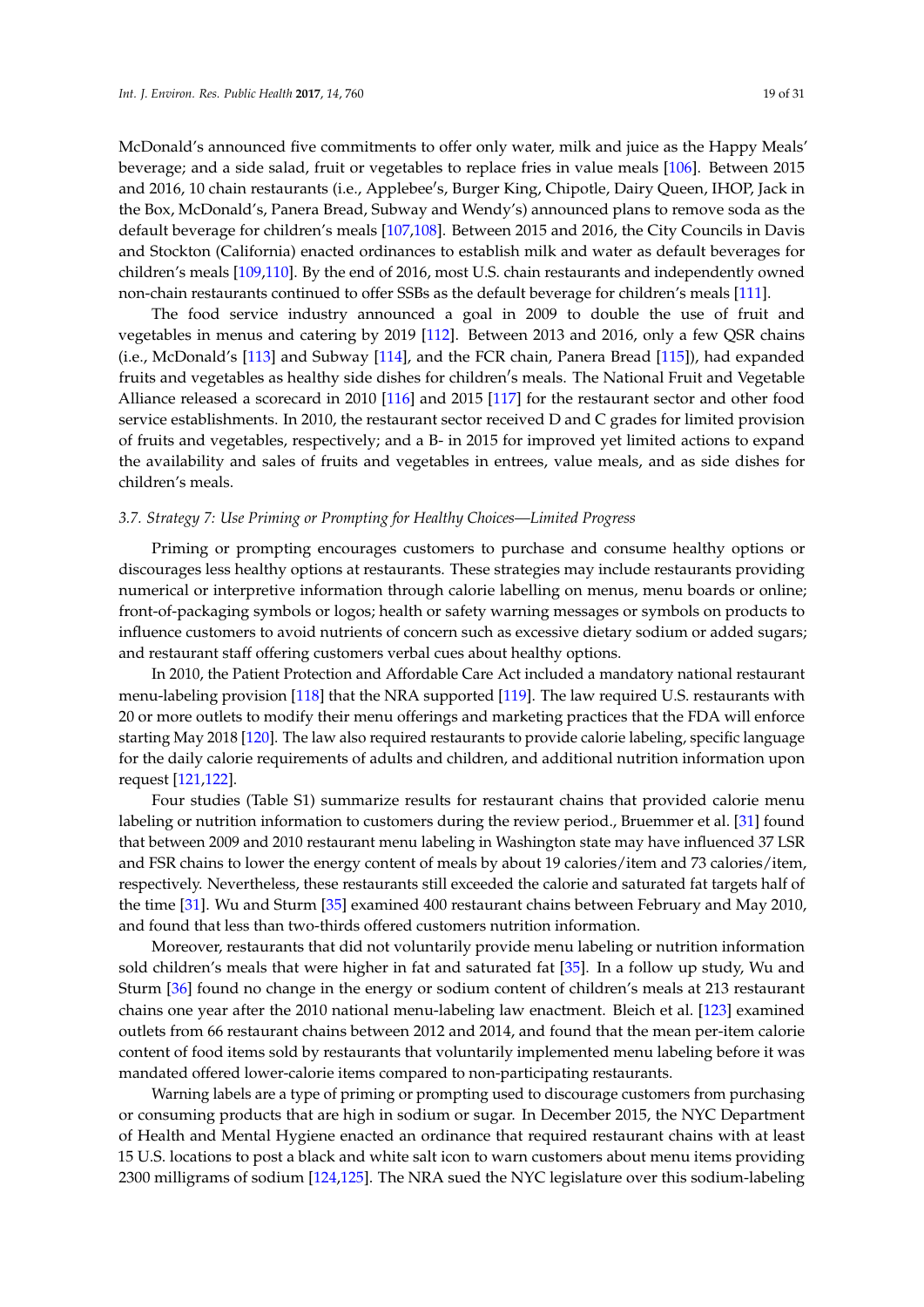McDonald's announced five commitments to offer only water, milk and juice as the Happy Meals' beverage; and a side salad, fruit or vegetables to replace fries in value meals [\[106\]](#page-27-14). Between 2015 and 2016, 10 chain restaurants (i.e., Applebee's, Burger King, Chipotle, Dairy Queen, IHOP, Jack in the Box, McDonald's, Panera Bread, Subway and Wendy's) announced plans to remove soda as the default beverage for children's meals [\[107,](#page-27-15)[108\]](#page-27-16). Between 2015 and 2016, the City Councils in Davis and Stockton (California) enacted ordinances to establish milk and water as default beverages for children's meals [\[109,](#page-27-17)[110\]](#page-28-0). By the end of 2016, most U.S. chain restaurants and independently owned non-chain restaurants continued to offer SSBs as the default beverage for children's meals [\[111\]](#page-28-1).

The food service industry announced a goal in 2009 to double the use of fruit and vegetables in menus and catering by 2019 [\[112\]](#page-28-2). Between 2013 and 2016, only a few QSR chains (i.e., McDonald's [\[113\]](#page-28-3) and Subway [\[114\]](#page-28-4), and the FCR chain, Panera Bread [\[115\]](#page-28-5)), had expanded fruits and vegetables as healthy side dishes for children's meals. The National Fruit and Vegetable Alliance released a scorecard in 2010 [\[116\]](#page-28-6) and 2015 [\[117\]](#page-28-7) for the restaurant sector and other food service establishments. In 2010, the restaurant sector received D and C grades for limited provision of fruits and vegetables, respectively; and a B- in 2015 for improved yet limited actions to expand the availability and sales of fruits and vegetables in entrees, value meals, and as side dishes for children's meals.

# *3.7. Strategy 7: Use Priming or Prompting for Healthy Choices—Limited Progress*

Priming or prompting encourages customers to purchase and consume healthy options or discourages less healthy options at restaurants. These strategies may include restaurants providing numerical or interpretive information through calorie labelling on menus, menu boards or online; front-of-packaging symbols or logos; health or safety warning messages or symbols on products to influence customers to avoid nutrients of concern such as excessive dietary sodium or added sugars; and restaurant staff offering customers verbal cues about healthy options.

In 2010, the Patient Protection and Affordable Care Act included a mandatory national restaurant menu-labeling provision [\[118\]](#page-28-8) that the NRA supported [\[119\]](#page-28-9). The law required U.S. restaurants with 20 or more outlets to modify their menu offerings and marketing practices that the FDA will enforce starting May 2018 [\[120\]](#page-28-10). The law also required restaurants to provide calorie labeling, specific language for the daily calorie requirements of adults and children, and additional nutrition information upon request [\[121,](#page-28-11)[122\]](#page-28-12).

Four studies (Table S1) summarize results for restaurant chains that provided calorie menu labeling or nutrition information to customers during the review period., Bruemmer et al. [\[31\]](#page-23-17) found that between 2009 and 2010 restaurant menu labeling in Washington state may have influenced 37 LSR and FSR chains to lower the energy content of meals by about 19 calories/item and 73 calories/item, respectively. Nevertheless, these restaurants still exceeded the calorie and saturated fat targets half of the time [\[31\]](#page-23-17). Wu and Sturm [\[35\]](#page-24-1) examined 400 restaurant chains between February and May 2010, and found that less than two-thirds offered customers nutrition information.

Moreover, restaurants that did not voluntarily provide menu labeling or nutrition information sold children's meals that were higher in fat and saturated fat [\[35\]](#page-24-1). In a follow up study, Wu and Sturm [\[36\]](#page-24-2) found no change in the energy or sodium content of children's meals at 213 restaurant chains one year after the 2010 national menu-labeling law enactment. Bleich et al. [\[123\]](#page-28-13) examined outlets from 66 restaurant chains between 2012 and 2014, and found that the mean per-item calorie content of food items sold by restaurants that voluntarily implemented menu labeling before it was mandated offered lower-calorie items compared to non-participating restaurants.

Warning labels are a type of priming or prompting used to discourage customers from purchasing or consuming products that are high in sodium or sugar. In December 2015, the NYC Department of Health and Mental Hygiene enacted an ordinance that required restaurant chains with at least 15 U.S. locations to post a black and white salt icon to warn customers about menu items providing 2300 milligrams of sodium [\[124,](#page-28-14)[125\]](#page-28-15). The NRA sued the NYC legislature over this sodium-labeling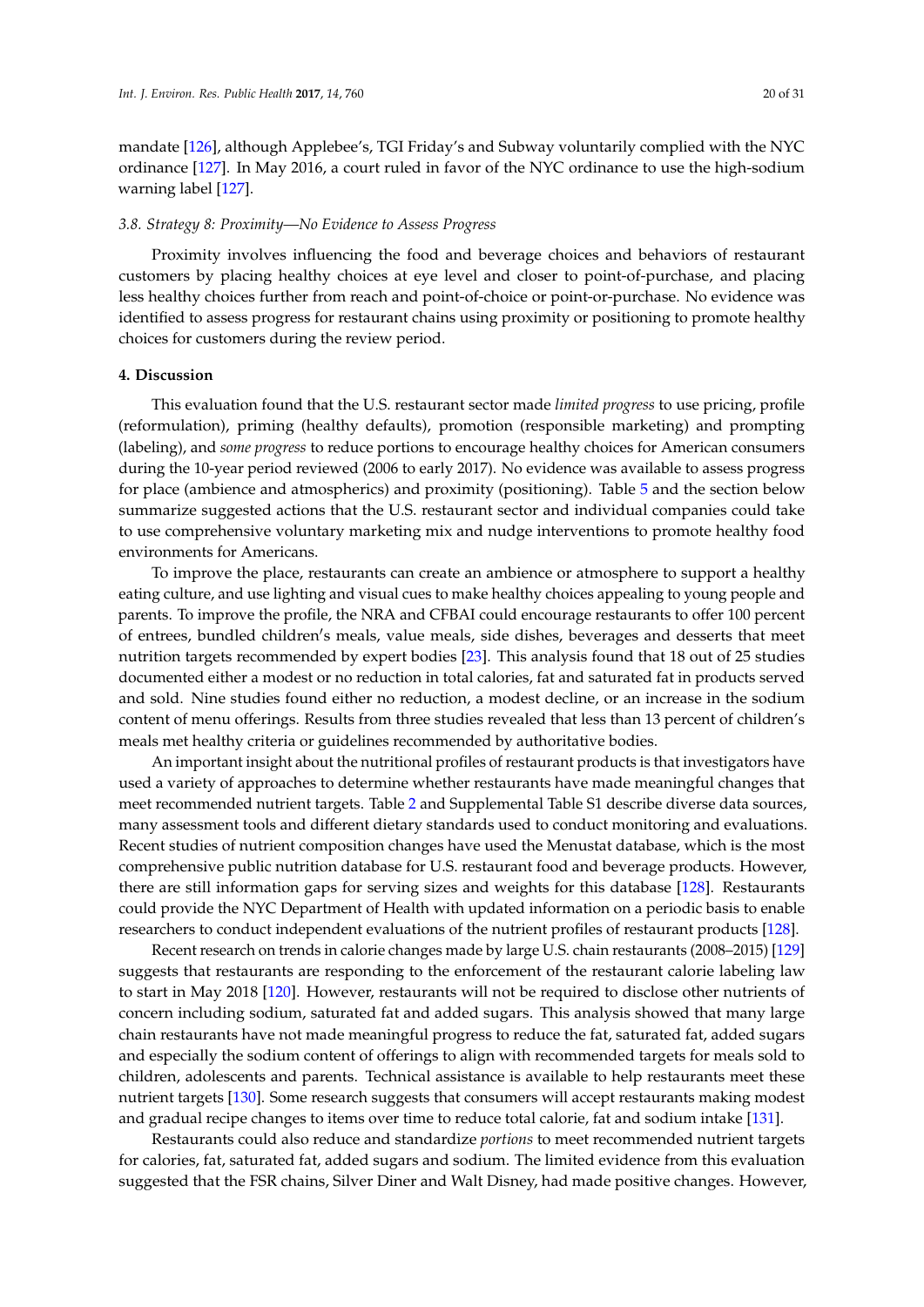mandate [\[126\]](#page-28-16), although Applebee's, TGI Friday's and Subway voluntarily complied with the NYC ordinance [\[127\]](#page-29-0). In May 2016, a court ruled in favor of the NYC ordinance to use the high-sodium warning label [\[127\]](#page-29-0).

#### *3.8. Strategy 8: Proximity—No Evidence to Assess Progress*

Proximity involves influencing the food and beverage choices and behaviors of restaurant customers by placing healthy choices at eye level and closer to point-of-purchase, and placing less healthy choices further from reach and point-of-choice or point-or-purchase. No evidence was identified to assess progress for restaurant chains using proximity or positioning to promote healthy choices for customers during the review period.

#### **4. Discussion**

This evaluation found that the U.S. restaurant sector made *limited progress* to use pricing, profile (reformulation), priming (healthy defaults), promotion (responsible marketing) and prompting (labeling), and *some progress* to reduce portions to encourage healthy choices for American consumers during the 10-year period reviewed (2006 to early 2017). No evidence was available to assess progress for place (ambience and atmospherics) and proximity (positioning). Table [5](#page-13-0) and the section below summarize suggested actions that the U.S. restaurant sector and individual companies could take to use comprehensive voluntary marketing mix and nudge interventions to promote healthy food environments for Americans.

To improve the place, restaurants can create an ambience or atmosphere to support a healthy eating culture, and use lighting and visual cues to make healthy choices appealing to young people and parents. To improve the profile, the NRA and CFBAI could encourage restaurants to offer 100 percent of entrees, bundled children's meals, value meals, side dishes, beverages and desserts that meet nutrition targets recommended by expert bodies [\[23\]](#page-23-9). This analysis found that 18 out of 25 studies documented either a modest or no reduction in total calories, fat and saturated fat in products served and sold. Nine studies found either no reduction, a modest decline, or an increase in the sodium content of menu offerings. Results from three studies revealed that less than 13 percent of children's meals met healthy criteria or guidelines recommended by authoritative bodies.

An important insight about the nutritional profiles of restaurant products is that investigators have used a variety of approaches to determine whether restaurants have made meaningful changes that meet recommended nutrient targets. Table [2](#page-7-0) and Supplemental Table S1 describe diverse data sources, many assessment tools and different dietary standards used to conduct monitoring and evaluations. Recent studies of nutrient composition changes have used the Menustat database, which is the most comprehensive public nutrition database for U.S. restaurant food and beverage products. However, there are still information gaps for serving sizes and weights for this database [\[128\]](#page-29-1). Restaurants could provide the NYC Department of Health with updated information on a periodic basis to enable researchers to conduct independent evaluations of the nutrient profiles of restaurant products [\[128\]](#page-29-1).

Recent research on trends in calorie changes made by large U.S. chain restaurants (2008–2015) [\[129\]](#page-29-2) suggests that restaurants are responding to the enforcement of the restaurant calorie labeling law to start in May 2018 [\[120\]](#page-28-10). However, restaurants will not be required to disclose other nutrients of concern including sodium, saturated fat and added sugars. This analysis showed that many large chain restaurants have not made meaningful progress to reduce the fat, saturated fat, added sugars and especially the sodium content of offerings to align with recommended targets for meals sold to children, adolescents and parents. Technical assistance is available to help restaurants meet these nutrient targets [\[130\]](#page-29-3). Some research suggests that consumers will accept restaurants making modest and gradual recipe changes to items over time to reduce total calorie, fat and sodium intake [\[131\]](#page-29-4).

Restaurants could also reduce and standardize *portions* to meet recommended nutrient targets for calories, fat, saturated fat, added sugars and sodium. The limited evidence from this evaluation suggested that the FSR chains, Silver Diner and Walt Disney, had made positive changes. However,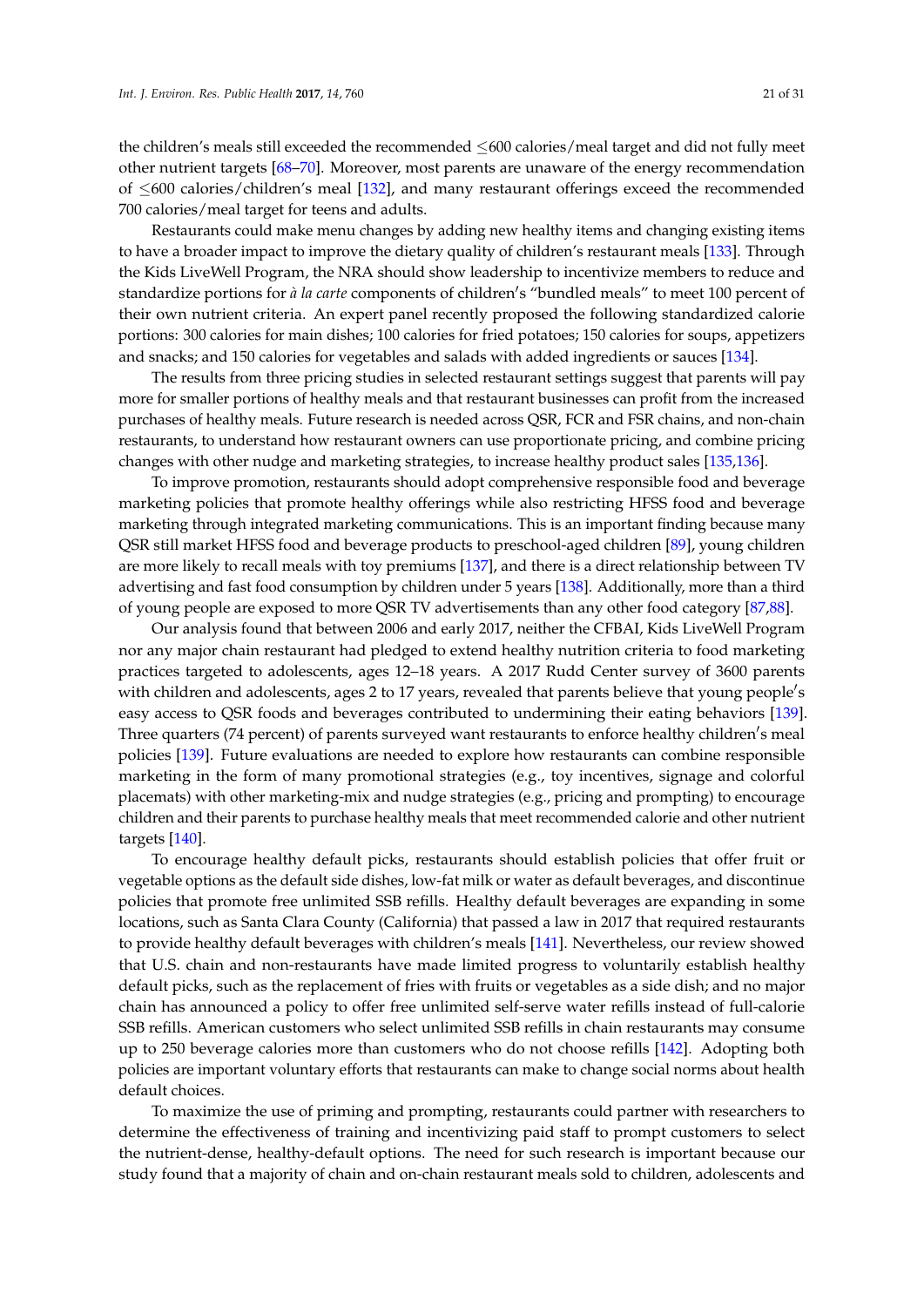the children's meals still exceeded the recommended ≤600 calories/meal target and did not fully meet other nutrient targets [\[68](#page-25-12)[–70\]](#page-25-11). Moreover, most parents are unaware of the energy recommendation of  $\leq 600$  calories/children's meal [\[132\]](#page-29-5), and many restaurant offerings exceed the recommended 700 calories/meal target for teens and adults.

Restaurants could make menu changes by adding new healthy items and changing existing items to have a broader impact to improve the dietary quality of children's restaurant meals [\[133\]](#page-29-6). Through the Kids LiveWell Program, the NRA should show leadership to incentivize members to reduce and standardize portions for *à la carte* components of children's "bundled meals" to meet 100 percent of their own nutrient criteria. An expert panel recently proposed the following standardized calorie portions: 300 calories for main dishes; 100 calories for fried potatoes; 150 calories for soups, appetizers and snacks; and 150 calories for vegetables and salads with added ingredients or sauces [\[134\]](#page-29-7).

The results from three pricing studies in selected restaurant settings suggest that parents will pay more for smaller portions of healthy meals and that restaurant businesses can profit from the increased purchases of healthy meals. Future research is needed across QSR, FCR and FSR chains, and non-chain restaurants, to understand how restaurant owners can use proportionate pricing, and combine pricing changes with other nudge and marketing strategies, to increase healthy product sales [\[135](#page-29-8)[,136\]](#page-29-9).

To improve promotion, restaurants should adopt comprehensive responsible food and beverage marketing policies that promote healthy offerings while also restricting HFSS food and beverage marketing through integrated marketing communications. This is an important finding because many QSR still market HFSS food and beverage products to preschool-aged children [\[89\]](#page-26-14), young children are more likely to recall meals with toy premiums [\[137\]](#page-29-10), and there is a direct relationship between TV advertising and fast food consumption by children under 5 years [\[138\]](#page-29-11). Additionally, more than a third of young people are exposed to more QSR TV advertisements than any other food category [\[87](#page-26-12)[,88\]](#page-26-13).

Our analysis found that between 2006 and early 2017, neither the CFBAI, Kids LiveWell Program nor any major chain restaurant had pledged to extend healthy nutrition criteria to food marketing practices targeted to adolescents, ages 12–18 years. A 2017 Rudd Center survey of 3600 parents with children and adolescents, ages 2 to 17 years, revealed that parents believe that young people's easy access to QSR foods and beverages contributed to undermining their eating behaviors [\[139\]](#page-29-12). Three quarters (74 percent) of parents surveyed want restaurants to enforce healthy children's meal policies [\[139\]](#page-29-12). Future evaluations are needed to explore how restaurants can combine responsible marketing in the form of many promotional strategies (e.g., toy incentives, signage and colorful placemats) with other marketing-mix and nudge strategies (e.g., pricing and prompting) to encourage children and their parents to purchase healthy meals that meet recommended calorie and other nutrient targets [\[140\]](#page-29-13).

To encourage healthy default picks, restaurants should establish policies that offer fruit or vegetable options as the default side dishes, low-fat milk or water as default beverages, and discontinue policies that promote free unlimited SSB refills. Healthy default beverages are expanding in some locations, such as Santa Clara County (California) that passed a law in 2017 that required restaurants to provide healthy default beverages with children's meals [\[141\]](#page-29-14). Nevertheless, our review showed that U.S. chain and non-restaurants have made limited progress to voluntarily establish healthy default picks, such as the replacement of fries with fruits or vegetables as a side dish; and no major chain has announced a policy to offer free unlimited self-serve water refills instead of full-calorie SSB refills. American customers who select unlimited SSB refills in chain restaurants may consume up to 250 beverage calories more than customers who do not choose refills [\[142\]](#page-29-15). Adopting both policies are important voluntary efforts that restaurants can make to change social norms about health default choices.

To maximize the use of priming and prompting, restaurants could partner with researchers to determine the effectiveness of training and incentivizing paid staff to prompt customers to select the nutrient-dense, healthy-default options. The need for such research is important because our study found that a majority of chain and on-chain restaurant meals sold to children, adolescents and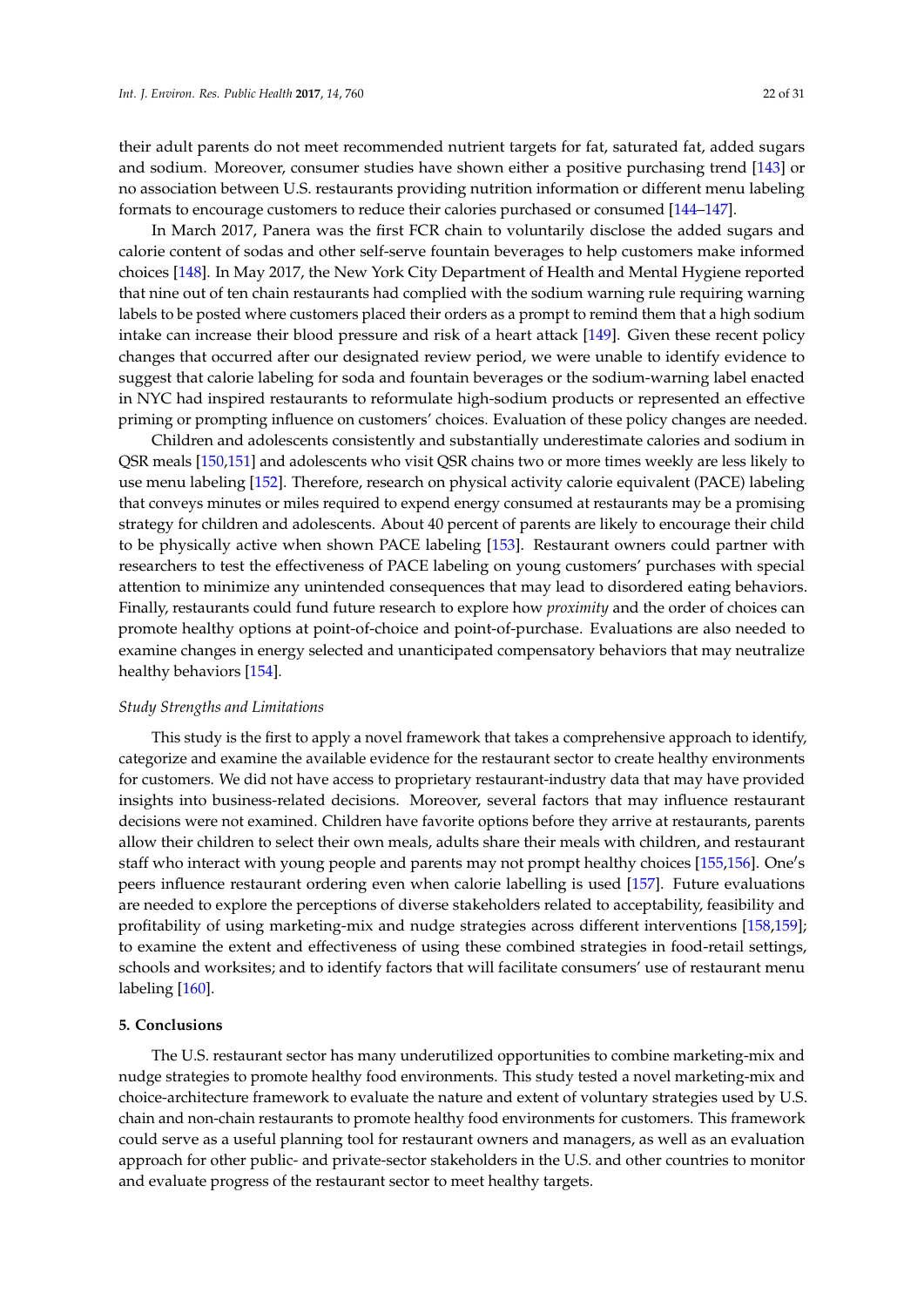their adult parents do not meet recommended nutrient targets for fat, saturated fat, added sugars and sodium. Moreover, consumer studies have shown either a positive purchasing trend [\[143\]](#page-29-16) or no association between U.S. restaurants providing nutrition information or different menu labeling formats to encourage customers to reduce their calories purchased or consumed [\[144](#page-29-17)[–147\]](#page-30-0).

In March 2017, Panera was the first FCR chain to voluntarily disclose the added sugars and calorie content of sodas and other self-serve fountain beverages to help customers make informed choices [\[148\]](#page-30-1). In May 2017, the New York City Department of Health and Mental Hygiene reported that nine out of ten chain restaurants had complied with the sodium warning rule requiring warning labels to be posted where customers placed their orders as a prompt to remind them that a high sodium intake can increase their blood pressure and risk of a heart attack [\[149\]](#page-30-2). Given these recent policy changes that occurred after our designated review period, we were unable to identify evidence to suggest that calorie labeling for soda and fountain beverages or the sodium-warning label enacted in NYC had inspired restaurants to reformulate high-sodium products or represented an effective priming or prompting influence on customers' choices. Evaluation of these policy changes are needed.

Children and adolescents consistently and substantially underestimate calories and sodium in QSR meals [\[150](#page-30-3)[,151\]](#page-30-4) and adolescents who visit QSR chains two or more times weekly are less likely to use menu labeling [\[152\]](#page-30-5). Therefore, research on physical activity calorie equivalent (PACE) labeling that conveys minutes or miles required to expend energy consumed at restaurants may be a promising strategy for children and adolescents. About 40 percent of parents are likely to encourage their child to be physically active when shown PACE labeling [\[153\]](#page-30-6). Restaurant owners could partner with researchers to test the effectiveness of PACE labeling on young customers' purchases with special attention to minimize any unintended consequences that may lead to disordered eating behaviors. Finally, restaurants could fund future research to explore how *proximity* and the order of choices can promote healthy options at point-of-choice and point-of-purchase. Evaluations are also needed to examine changes in energy selected and unanticipated compensatory behaviors that may neutralize healthy behaviors [\[154\]](#page-30-7).

#### *Study Strengths and Limitations*

This study is the first to apply a novel framework that takes a comprehensive approach to identify, categorize and examine the available evidence for the restaurant sector to create healthy environments for customers. We did not have access to proprietary restaurant-industry data that may have provided insights into business-related decisions. Moreover, several factors that may influence restaurant decisions were not examined. Children have favorite options before they arrive at restaurants, parents allow their children to select their own meals, adults share their meals with children, and restaurant staff who interact with young people and parents may not prompt healthy choices [\[155,](#page-30-8)[156\]](#page-30-9). One's peers influence restaurant ordering even when calorie labelling is used [\[157\]](#page-30-10). Future evaluations are needed to explore the perceptions of diverse stakeholders related to acceptability, feasibility and profitability of using marketing-mix and nudge strategies across different interventions [\[158,](#page-30-11)[159\]](#page-30-12); to examine the extent and effectiveness of using these combined strategies in food-retail settings, schools and worksites; and to identify factors that will facilitate consumers' use of restaurant menu labeling [\[160\]](#page-30-13).

#### **5. Conclusions**

The U.S. restaurant sector has many underutilized opportunities to combine marketing-mix and nudge strategies to promote healthy food environments. This study tested a novel marketing-mix and choice-architecture framework to evaluate the nature and extent of voluntary strategies used by U.S. chain and non-chain restaurants to promote healthy food environments for customers. This framework could serve as a useful planning tool for restaurant owners and managers, as well as an evaluation approach for other public- and private-sector stakeholders in the U.S. and other countries to monitor and evaluate progress of the restaurant sector to meet healthy targets.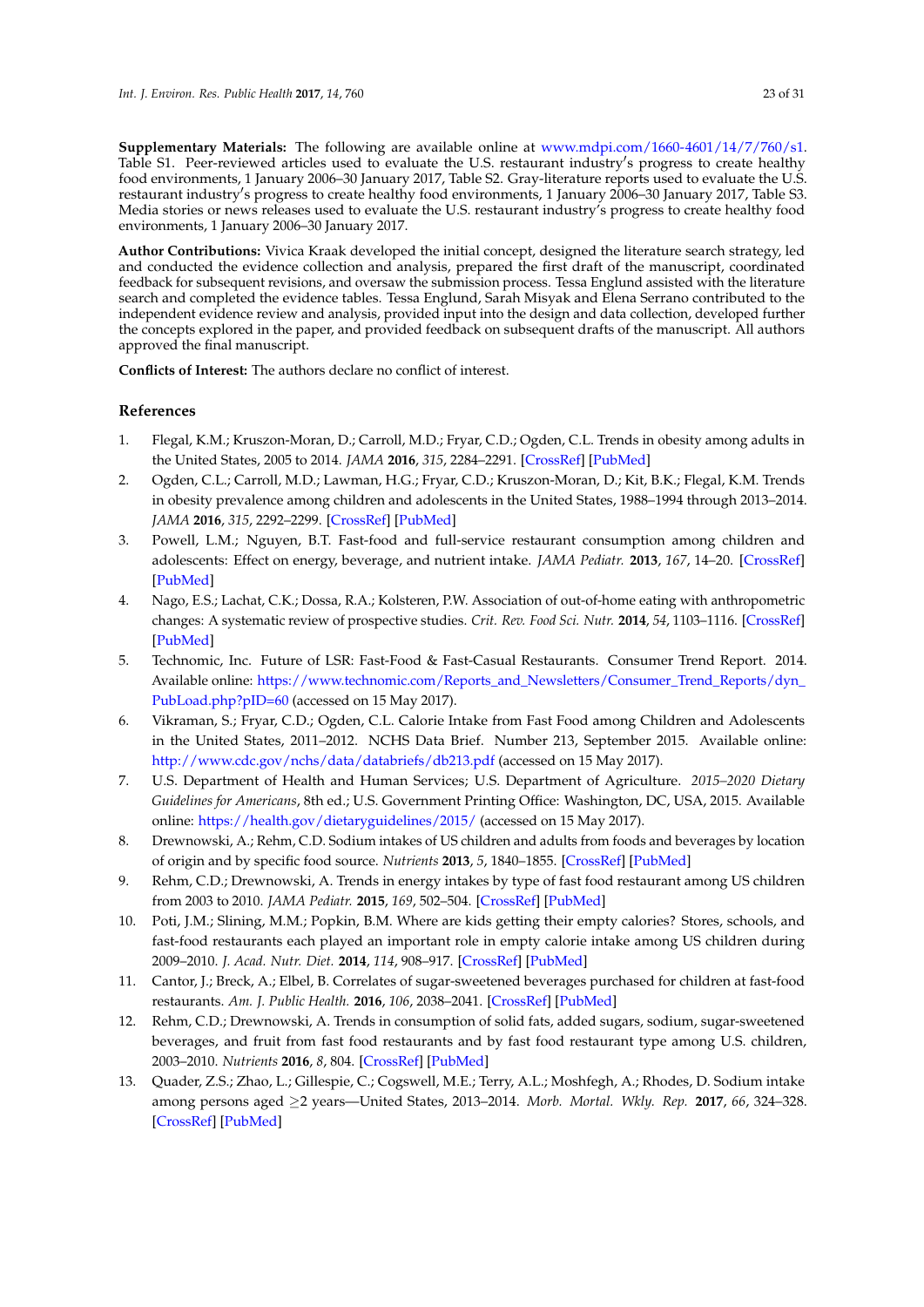**Supplementary Materials:** The following are available online at [www.mdpi.com/1660-4601/14/7/760/s1.](www.mdpi.com/1660-4601/14/7/760/s1) Table S1. Peer-reviewed articles used to evaluate the U.S. restaurant industry's progress to create healthy food environments, 1 January 2006–30 January 2017, Table S2. Gray-literature reports used to evaluate the U.S. restaurant industry's progress to create healthy food environments, 1 January 2006–30 January 2017, Table S3. Media stories or news releases used to evaluate the U.S. restaurant industry's progress to create healthy food environments, 1 January 2006–30 January 2017.

**Author Contributions:** Vivica Kraak developed the initial concept, designed the literature search strategy, led and conducted the evidence collection and analysis, prepared the first draft of the manuscript, coordinated feedback for subsequent revisions, and oversaw the submission process. Tessa Englund assisted with the literature search and completed the evidence tables. Tessa Englund, Sarah Misyak and Elena Serrano contributed to the independent evidence review and analysis, provided input into the design and data collection, developed further the concepts explored in the paper, and provided feedback on subsequent drafts of the manuscript. All authors approved the final manuscript.

**Conflicts of Interest:** The authors declare no conflict of interest.

# **References**

- <span id="page-22-0"></span>1. Flegal, K.M.; Kruszon-Moran, D.; Carroll, M.D.; Fryar, C.D.; Ogden, C.L. Trends in obesity among adults in the United States, 2005 to 2014. *JAMA* **2016**, *315*, 2284–2291. [\[CrossRef\]](http://dx.doi.org/10.1001/jama.2016.6458) [\[PubMed\]](http://www.ncbi.nlm.nih.gov/pubmed/27272580)
- <span id="page-22-1"></span>2. Ogden, C.L.; Carroll, M.D.; Lawman, H.G.; Fryar, C.D.; Kruszon-Moran, D.; Kit, B.K.; Flegal, K.M. Trends in obesity prevalence among children and adolescents in the United States, 1988–1994 through 2013–2014. *JAMA* **2016**, *315*, 2292–2299. [\[CrossRef\]](http://dx.doi.org/10.1001/jama.2016.6361) [\[PubMed\]](http://www.ncbi.nlm.nih.gov/pubmed/27272581)
- <span id="page-22-2"></span>3. Powell, L.M.; Nguyen, B.T. Fast-food and full-service restaurant consumption among children and adolescents: Effect on energy, beverage, and nutrient intake. *JAMA Pediatr.* **2013**, *167*, 14–20. [\[CrossRef\]](http://dx.doi.org/10.1001/jamapediatrics.2013.417) [\[PubMed\]](http://www.ncbi.nlm.nih.gov/pubmed/23128151)
- <span id="page-22-3"></span>4. Nago, E.S.; Lachat, C.K.; Dossa, R.A.; Kolsteren, P.W. Association of out-of-home eating with anthropometric changes: A systematic review of prospective studies. *Crit. Rev. Food Sci. Nutr.* **2014**, *54*, 1103–1116. [\[CrossRef\]](http://dx.doi.org/10.1080/10408398.2011.627095) [\[PubMed\]](http://www.ncbi.nlm.nih.gov/pubmed/24499144)
- <span id="page-22-4"></span>5. Technomic, Inc. Future of LSR: Fast-Food & Fast-Casual Restaurants. Consumer Trend Report. 2014. Available online: [https://www.technomic.com/Reports\\_and\\_Newsletters/Consumer\\_Trend\\_Reports/dyn\\_](https://www.technomic.com/Reports_and_Newsletters/Consumer_Trend_Reports/dyn_PubLoad.php?pID=60) [PubLoad.php?pID=60](https://www.technomic.com/Reports_and_Newsletters/Consumer_Trend_Reports/dyn_PubLoad.php?pID=60) (accessed on 15 May 2017).
- <span id="page-22-5"></span>6. Vikraman, S.; Fryar, C.D.; Ogden, C.L. Calorie Intake from Fast Food among Children and Adolescents in the United States, 2011–2012. NCHS Data Brief. Number 213, September 2015. Available online: <http://www.cdc.gov/nchs/data/databriefs/db213.pdf> (accessed on 15 May 2017).
- <span id="page-22-6"></span>7. U.S. Department of Health and Human Services; U.S. Department of Agriculture. *2015–2020 Dietary Guidelines for Americans*, 8th ed.; U.S. Government Printing Office: Washington, DC, USA, 2015. Available online: <https://health.gov/dietaryguidelines/2015/> (accessed on 15 May 2017).
- <span id="page-22-7"></span>8. Drewnowski, A.; Rehm, C.D. Sodium intakes of US children and adults from foods and beverages by location of origin and by specific food source. *Nutrients* **2013**, *5*, 1840–1855. [\[CrossRef\]](http://dx.doi.org/10.3390/nu5061840) [\[PubMed\]](http://www.ncbi.nlm.nih.gov/pubmed/23760055)
- <span id="page-22-8"></span>9. Rehm, C.D.; Drewnowski, A. Trends in energy intakes by type of fast food restaurant among US children from 2003 to 2010. *JAMA Pediatr.* **2015**, *169*, 502–504. [\[CrossRef\]](http://dx.doi.org/10.1001/jamapediatrics.2015.38) [\[PubMed\]](http://www.ncbi.nlm.nih.gov/pubmed/25822144)
- <span id="page-22-9"></span>10. Poti, J.M.; Slining, M.M.; Popkin, B.M. Where are kids getting their empty calories? Stores, schools, and fast-food restaurants each played an important role in empty calorie intake among US children during 2009–2010. *J. Acad. Nutr. Diet.* **2014**, *114*, 908–917. [\[CrossRef\]](http://dx.doi.org/10.1016/j.jand.2013.08.012) [\[PubMed\]](http://www.ncbi.nlm.nih.gov/pubmed/24200654)
- <span id="page-22-10"></span>11. Cantor, J.; Breck, A.; Elbel, B. Correlates of sugar-sweetened beverages purchased for children at fast-food restaurants. *Am. J. Public Health.* **2016**, *106*, 2038–2041. [\[CrossRef\]](http://dx.doi.org/10.2105/AJPH.2016.303427) [\[PubMed\]](http://www.ncbi.nlm.nih.gov/pubmed/27715306)
- <span id="page-22-11"></span>12. Rehm, C.D.; Drewnowski, A. Trends in consumption of solid fats, added sugars, sodium, sugar-sweetened beverages, and fruit from fast food restaurants and by fast food restaurant type among U.S. children, 2003–2010. *Nutrients* **2016**, *8*, 804. [\[CrossRef\]](http://dx.doi.org/10.3390/nu8120804) [\[PubMed\]](http://www.ncbi.nlm.nih.gov/pubmed/27983573)
- <span id="page-22-12"></span>13. Quader, Z.S.; Zhao, L.; Gillespie, C.; Cogswell, M.E.; Terry, A.L.; Moshfegh, A.; Rhodes, D. Sodium intake among persons aged ≥2 years—United States, 2013–2014. *Morb. Mortal. Wkly. Rep.* **2017**, *66*, 324–328. [\[CrossRef\]](http://dx.doi.org/10.15585/mmwr.mm6612a3) [\[PubMed\]](http://www.ncbi.nlm.nih.gov/pubmed/28358799)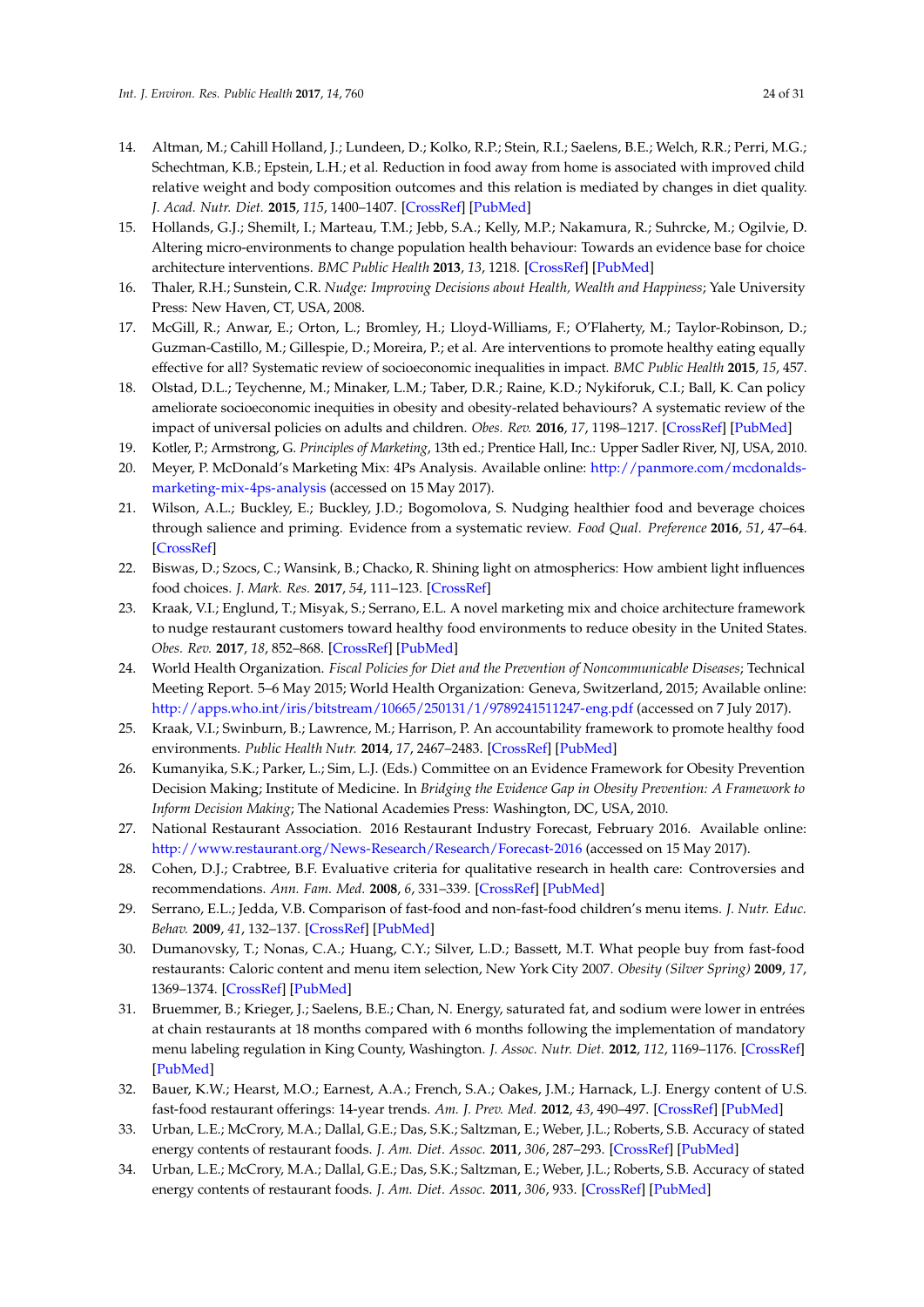- <span id="page-23-0"></span>14. Altman, M.; Cahill Holland, J.; Lundeen, D.; Kolko, R.P.; Stein, R.I.; Saelens, B.E.; Welch, R.R.; Perri, M.G.; Schechtman, K.B.; Epstein, L.H.; et al. Reduction in food away from home is associated with improved child relative weight and body composition outcomes and this relation is mediated by changes in diet quality. *J. Acad. Nutr. Diet.* **2015**, *115*, 1400–1407. [\[CrossRef\]](http://dx.doi.org/10.1016/j.jand.2015.03.009) [\[PubMed\]](http://www.ncbi.nlm.nih.gov/pubmed/25963602)
- <span id="page-23-1"></span>15. Hollands, G.J.; Shemilt, I.; Marteau, T.M.; Jebb, S.A.; Kelly, M.P.; Nakamura, R.; Suhrcke, M.; Ogilvie, D. Altering micro-environments to change population health behaviour: Towards an evidence base for choice architecture interventions. *BMC Public Health* **2013**, *13*, 1218. [\[CrossRef\]](http://dx.doi.org/10.1186/1471-2458-13-1218) [\[PubMed\]](http://www.ncbi.nlm.nih.gov/pubmed/24359583)
- <span id="page-23-2"></span>16. Thaler, R.H.; Sunstein, C.R. *Nudge: Improving Decisions about Health, Wealth and Happiness*; Yale University Press: New Haven, CT, USA, 2008.
- <span id="page-23-3"></span>17. McGill, R.; Anwar, E.; Orton, L.; Bromley, H.; Lloyd-Williams, F.; O'Flaherty, M.; Taylor-Robinson, D.; Guzman-Castillo, M.; Gillespie, D.; Moreira, P.; et al. Are interventions to promote healthy eating equally effective for all? Systematic review of socioeconomic inequalities in impact. *BMC Public Health* **2015**, *15*, 457.
- <span id="page-23-4"></span>18. Olstad, D.L.; Teychenne, M.; Minaker, L.M.; Taber, D.R.; Raine, K.D.; Nykiforuk, C.I.; Ball, K. Can policy ameliorate socioeconomic inequities in obesity and obesity-related behaviours? A systematic review of the impact of universal policies on adults and children. *Obes. Rev.* **2016**, *17*, 1198–1217. [\[CrossRef\]](http://dx.doi.org/10.1111/obr.12457) [\[PubMed\]](http://www.ncbi.nlm.nih.gov/pubmed/27484468)
- <span id="page-23-5"></span>19. Kotler, P.; Armstrong, G. *Principles of Marketing*, 13th ed.; Prentice Hall, Inc.: Upper Sadler River, NJ, USA, 2010.
- <span id="page-23-6"></span>20. Meyer, P. McDonald's Marketing Mix: 4Ps Analysis. Available online: [http://panmore.com/mcdonalds](http://panmore.com/mcdonalds-marketing-mix-4ps-analysis)[marketing-mix-4ps-analysis](http://panmore.com/mcdonalds-marketing-mix-4ps-analysis) (accessed on 15 May 2017).
- <span id="page-23-7"></span>21. Wilson, A.L.; Buckley, E.; Buckley, J.D.; Bogomolova, S. Nudging healthier food and beverage choices through salience and priming. Evidence from a systematic review. *Food Qual. Preference* **2016**, *51*, 47–64. [\[CrossRef\]](http://dx.doi.org/10.1016/j.foodqual.2016.02.009)
- <span id="page-23-8"></span>22. Biswas, D.; Szocs, C.; Wansink, B.; Chacko, R. Shining light on atmospherics: How ambient light influences food choices. *J. Mark. Res.* **2017**, *54*, 111–123. [\[CrossRef\]](http://dx.doi.org/10.1509/jmr.14.0115)
- <span id="page-23-9"></span>23. Kraak, V.I.; Englund, T.; Misyak, S.; Serrano, E.L. A novel marketing mix and choice architecture framework to nudge restaurant customers toward healthy food environments to reduce obesity in the United States. *Obes. Rev.* **2017**, *18*, 852–868. [\[CrossRef\]](http://dx.doi.org/10.1111/obr.12553) [\[PubMed\]](http://www.ncbi.nlm.nih.gov/pubmed/28560794)
- <span id="page-23-10"></span>24. World Health Organization. *Fiscal Policies for Diet and the Prevention of Noncommunicable Diseases*; Technical Meeting Report. 5–6 May 2015; World Health Organization: Geneva, Switzerland, 2015; Available online: <http://apps.who.int/iris/bitstream/10665/250131/1/9789241511247-eng.pdf> (accessed on 7 July 2017).
- <span id="page-23-11"></span>25. Kraak, V.I.; Swinburn, B.; Lawrence, M.; Harrison, P. An accountability framework to promote healthy food environments. *Public Health Nutr.* **2014**, *17*, 2467–2483. [\[CrossRef\]](http://dx.doi.org/10.1017/S1368980014000093) [\[PubMed\]](http://www.ncbi.nlm.nih.gov/pubmed/24564894)
- <span id="page-23-12"></span>26. Kumanyika, S.K.; Parker, L.; Sim, L.J. (Eds.) Committee on an Evidence Framework for Obesity Prevention Decision Making; Institute of Medicine. In *Bridging the Evidence Gap in Obesity Prevention: A Framework to Inform Decision Making*; The National Academies Press: Washington, DC, USA, 2010.
- <span id="page-23-13"></span>27. National Restaurant Association. 2016 Restaurant Industry Forecast, February 2016. Available online: <http://www.restaurant.org/News-Research/Research/Forecast-2016> (accessed on 15 May 2017).
- <span id="page-23-14"></span>28. Cohen, D.J.; Crabtree, B.F. Evaluative criteria for qualitative research in health care: Controversies and recommendations. *Ann. Fam. Med.* **2008**, *6*, 331–339. [\[CrossRef\]](http://dx.doi.org/10.1370/afm.818) [\[PubMed\]](http://www.ncbi.nlm.nih.gov/pubmed/18626033)
- <span id="page-23-15"></span>29. Serrano, E.L.; Jedda, V.B. Comparison of fast-food and non-fast-food children's menu items. *J. Nutr. Educ. Behav.* **2009**, *41*, 132–137. [\[CrossRef\]](http://dx.doi.org/10.1016/j.jneb.2008.02.005) [\[PubMed\]](http://www.ncbi.nlm.nih.gov/pubmed/19304259)
- <span id="page-23-16"></span>30. Dumanovsky, T.; Nonas, C.A.; Huang, C.Y.; Silver, L.D.; Bassett, M.T. What people buy from fast-food restaurants: Caloric content and menu item selection, New York City 2007. *Obesity (Silver Spring)* **2009**, *17*, 1369–1374. [\[CrossRef\]](http://dx.doi.org/10.1038/oby.2009.90) [\[PubMed\]](http://www.ncbi.nlm.nih.gov/pubmed/19343015)
- <span id="page-23-17"></span>31. Bruemmer, B.; Krieger, J.; Saelens, B.E.; Chan, N. Energy, saturated fat, and sodium were lower in entrées at chain restaurants at 18 months compared with 6 months following the implementation of mandatory menu labeling regulation in King County, Washington. *J. Assoc. Nutr. Diet.* **2012**, *112*, 1169–1176. [\[CrossRef\]](http://dx.doi.org/10.1016/j.jand.2012.04.019) [\[PubMed\]](http://www.ncbi.nlm.nih.gov/pubmed/22704898)
- <span id="page-23-18"></span>32. Bauer, K.W.; Hearst, M.O.; Earnest, A.A.; French, S.A.; Oakes, J.M.; Harnack, L.J. Energy content of U.S. fast-food restaurant offerings: 14-year trends. *Am. J. Prev. Med.* **2012**, *43*, 490–497. [\[CrossRef\]](http://dx.doi.org/10.1016/j.amepre.2012.06.033) [\[PubMed\]](http://www.ncbi.nlm.nih.gov/pubmed/23079171)
- <span id="page-23-19"></span>33. Urban, L.E.; McCrory, M.A.; Dallal, G.E.; Das, S.K.; Saltzman, E.; Weber, J.L.; Roberts, S.B. Accuracy of stated energy contents of restaurant foods. *J. Am. Diet. Assoc.* **2011**, *306*, 287–293. [\[CrossRef\]](http://dx.doi.org/10.1001/jama.2011.993) [\[PubMed\]](http://www.ncbi.nlm.nih.gov/pubmed/21771989)
- <span id="page-23-20"></span>34. Urban, L.E.; McCrory, M.A.; Dallal, G.E.; Das, S.K.; Saltzman, E.; Weber, J.L.; Roberts, S.B. Accuracy of stated energy contents of restaurant foods. *J. Am. Diet. Assoc.* **2011**, *306*, 933. [\[CrossRef\]](http://dx.doi.org/10.1001/jama.2011.993) [\[PubMed\]](http://www.ncbi.nlm.nih.gov/pubmed/21771989)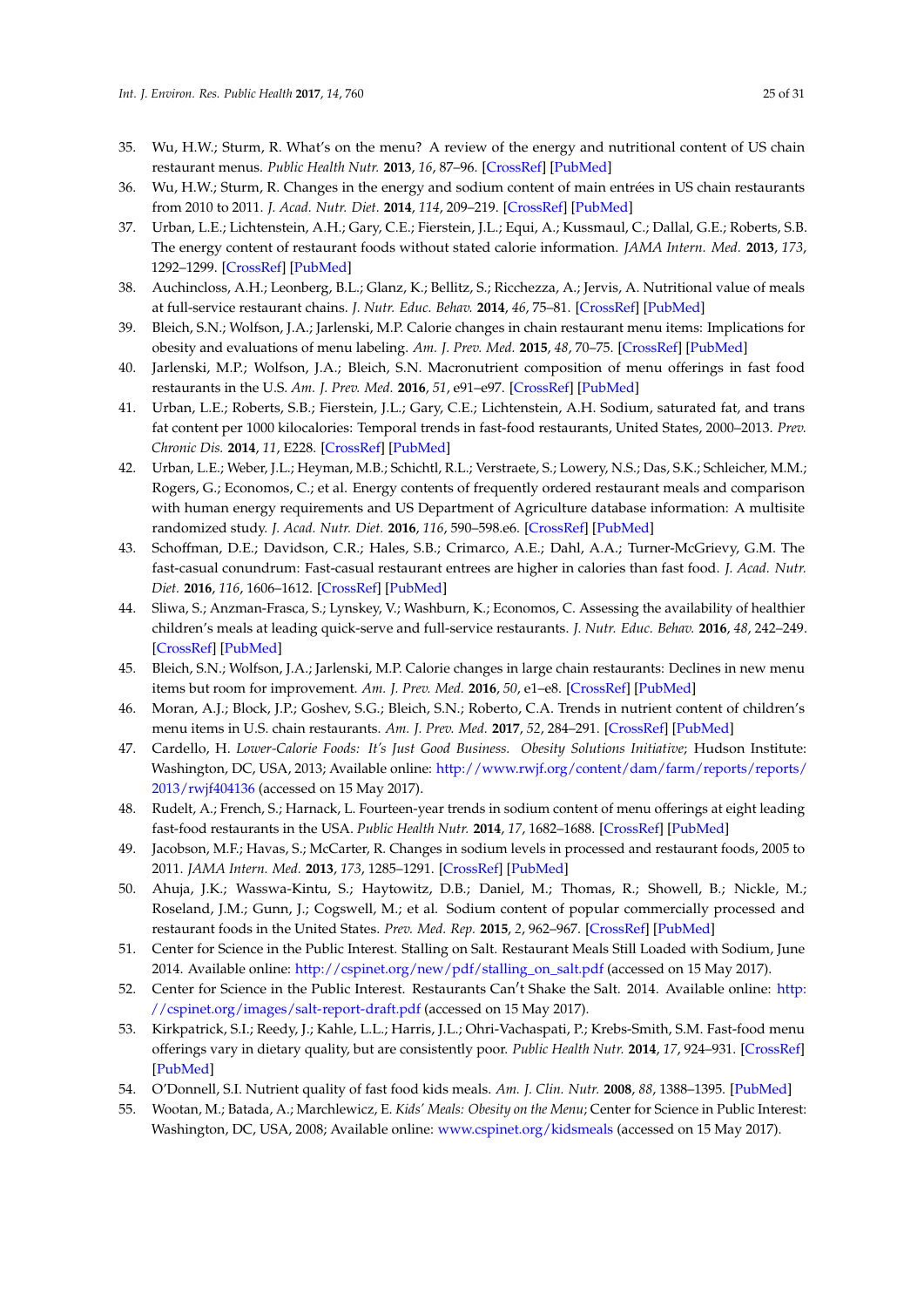- <span id="page-24-1"></span>35. Wu, H.W.; Sturm, R. What's on the menu? A review of the energy and nutritional content of US chain restaurant menus. *Public Health Nutr.* **2013**, *16*, 87–96. [\[CrossRef\]](http://dx.doi.org/10.1017/S136898001200122X) [\[PubMed\]](http://www.ncbi.nlm.nih.gov/pubmed/22575557)
- <span id="page-24-2"></span>36. Wu, H.W.; Sturm, R. Changes in the energy and sodium content of main entrées in US chain restaurants from 2010 to 2011. *J. Acad. Nutr. Diet.* **2014**, *114*, 209–219. [\[CrossRef\]](http://dx.doi.org/10.1016/j.jand.2013.07.035) [\[PubMed\]](http://www.ncbi.nlm.nih.gov/pubmed/24095622)
- <span id="page-24-4"></span>37. Urban, L.E.; Lichtenstein, A.H.; Gary, C.E.; Fierstein, J.L.; Equi, A.; Kussmaul, C.; Dallal, G.E.; Roberts, S.B. The energy content of restaurant foods without stated calorie information. *JAMA Intern. Med.* **2013**, *173*, 1292–1299. [\[CrossRef\]](http://dx.doi.org/10.1001/jamainternmed.2013.6163) [\[PubMed\]](http://www.ncbi.nlm.nih.gov/pubmed/23700076)
- <span id="page-24-5"></span>38. Auchincloss, A.H.; Leonberg, B.L.; Glanz, K.; Bellitz, S.; Ricchezza, A.; Jervis, A. Nutritional value of meals at full-service restaurant chains. *J. Nutr. Educ. Behav.* **2014**, *46*, 75–81. [\[CrossRef\]](http://dx.doi.org/10.1016/j.jneb.2013.10.008) [\[PubMed\]](http://www.ncbi.nlm.nih.gov/pubmed/24369812)
- <span id="page-24-6"></span>39. Bleich, S.N.; Wolfson, J.A.; Jarlenski, M.P. Calorie changes in chain restaurant menu items: Implications for obesity and evaluations of menu labeling. *Am. J. Prev. Med.* **2015**, *48*, 70–75. [\[CrossRef\]](http://dx.doi.org/10.1016/j.amepre.2014.08.026) [\[PubMed\]](http://www.ncbi.nlm.nih.gov/pubmed/25306397)
- <span id="page-24-7"></span>40. Jarlenski, M.P.; Wolfson, J.A.; Bleich, S.N. Macronutrient composition of menu offerings in fast food restaurants in the U.S. *Am. J. Prev. Med.* **2016**, *51*, e91–e97. [\[CrossRef\]](http://dx.doi.org/10.1016/j.amepre.2016.03.023) [\[PubMed\]](http://www.ncbi.nlm.nih.gov/pubmed/27180027)
- <span id="page-24-8"></span>41. Urban, L.E.; Roberts, S.B.; Fierstein, J.L.; Gary, C.E.; Lichtenstein, A.H. Sodium, saturated fat, and trans fat content per 1000 kilocalories: Temporal trends in fast-food restaurants, United States, 2000–2013. *Prev. Chronic Dis.* **2014**, *11*, E228. [\[CrossRef\]](http://dx.doi.org/10.5888/pcd11.140335) [\[PubMed\]](http://www.ncbi.nlm.nih.gov/pubmed/25551183)
- <span id="page-24-9"></span>42. Urban, L.E.; Weber, J.L.; Heyman, M.B.; Schichtl, R.L.; Verstraete, S.; Lowery, N.S.; Das, S.K.; Schleicher, M.M.; Rogers, G.; Economos, C.; et al. Energy contents of frequently ordered restaurant meals and comparison with human energy requirements and US Department of Agriculture database information: A multisite randomized study. *J. Acad. Nutr. Diet.* **2016**, *116*, 590–598.e6. [\[CrossRef\]](http://dx.doi.org/10.1016/j.jand.2015.11.009) [\[PubMed\]](http://www.ncbi.nlm.nih.gov/pubmed/26803805)
- <span id="page-24-10"></span>43. Schoffman, D.E.; Davidson, C.R.; Hales, S.B.; Crimarco, A.E.; Dahl, A.A.; Turner-McGrievy, G.M. The fast-casual conundrum: Fast-casual restaurant entrees are higher in calories than fast food. *J. Acad. Nutr. Diet.* **2016**, *116*, 1606–1612. [\[CrossRef\]](http://dx.doi.org/10.1016/j.jand.2016.03.020) [\[PubMed\]](http://www.ncbi.nlm.nih.gov/pubmed/27179672)
- <span id="page-24-11"></span>44. Sliwa, S.; Anzman-Frasca, S.; Lynskey, V.; Washburn, K.; Economos, C. Assessing the availability of healthier children's meals at leading quick-serve and full-service restaurants. *J. Nutr. Educ. Behav.* **2016**, *48*, 242–249. [\[CrossRef\]](http://dx.doi.org/10.1016/j.jneb.2016.01.004) [\[PubMed\]](http://www.ncbi.nlm.nih.gov/pubmed/27059312)
- <span id="page-24-12"></span>45. Bleich, S.N.; Wolfson, J.A.; Jarlenski, M.P. Calorie changes in large chain restaurants: Declines in new menu items but room for improvement. *Am. J. Prev. Med.* **2016**, *50*, e1–e8. [\[CrossRef\]](http://dx.doi.org/10.1016/j.amepre.2015.05.007) [\[PubMed\]](http://www.ncbi.nlm.nih.gov/pubmed/26163168)
- <span id="page-24-0"></span>46. Moran, A.J.; Block, J.P.; Goshev, S.G.; Bleich, S.N.; Roberto, C.A. Trends in nutrient content of children's menu items in U.S. chain restaurants. *Am. J. Prev. Med.* **2017**, *52*, 284–291. [\[CrossRef\]](http://dx.doi.org/10.1016/j.amepre.2016.11.007) [\[PubMed\]](http://www.ncbi.nlm.nih.gov/pubmed/28089130)
- <span id="page-24-3"></span>47. Cardello, H. *Lower-Calorie Foods: It's Just Good Business. Obesity Solutions Initiative*; Hudson Institute: Washington, DC, USA, 2013; Available online: [http://www.rwjf.org/content/dam/farm/reports/reports/](http://www.rwjf.org/content/dam/farm/reports/reports/2013/rwjf404136) [2013/rwjf404136](http://www.rwjf.org/content/dam/farm/reports/reports/2013/rwjf404136) (accessed on 15 May 2017).
- <span id="page-24-13"></span>48. Rudelt, A.; French, S.; Harnack, L. Fourteen-year trends in sodium content of menu offerings at eight leading fast-food restaurants in the USA. *Public Health Nutr.* **2014**, *17*, 1682–1688. [\[CrossRef\]](http://dx.doi.org/10.1017/S136898001300236X) [\[PubMed\]](http://www.ncbi.nlm.nih.gov/pubmed/24018166)
- <span id="page-24-15"></span>49. Jacobson, M.F.; Havas, S.; McCarter, R. Changes in sodium levels in processed and restaurant foods, 2005 to 2011. *JAMA Intern. Med.* **2013**, *173*, 1285–1291. [\[CrossRef\]](http://dx.doi.org/10.1001/jamainternmed.2013.6154) [\[PubMed\]](http://www.ncbi.nlm.nih.gov/pubmed/23699927)
- <span id="page-24-16"></span>50. Ahuja, J.K.; Wasswa-Kintu, S.; Haytowitz, D.B.; Daniel, M.; Thomas, R.; Showell, B.; Nickle, M.; Roseland, J.M.; Gunn, J.; Cogswell, M.; et al. Sodium content of popular commercially processed and restaurant foods in the United States. *Prev. Med. Rep.* **2015**, *2*, 962–967. [\[CrossRef\]](http://dx.doi.org/10.1016/j.pmedr.2015.11.003) [\[PubMed\]](http://www.ncbi.nlm.nih.gov/pubmed/26844175)
- <span id="page-24-17"></span>51. Center for Science in the Public Interest. Stalling on Salt. Restaurant Meals Still Loaded with Sodium, June 2014. Available online: [http://cspinet.org/new/pdf/stalling\\_on\\_salt.pdf](http://cspinet.org/new/pdf/stalling_on_salt.pdf) (accessed on 15 May 2017).
- <span id="page-24-14"></span>52. Center for Science in the Public Interest. Restaurants Can't Shake the Salt. 2014. Available online: [http:](http://cspinet.org/images/salt-report-draft.pdf) [//cspinet.org/images/salt-report-draft.pdf](http://cspinet.org/images/salt-report-draft.pdf) (accessed on 15 May 2017).
- <span id="page-24-18"></span>53. Kirkpatrick, S.I.; Reedy, J.; Kahle, L.L.; Harris, J.L.; Ohri-Vachaspati, P.; Krebs-Smith, S.M. Fast-food menu offerings vary in dietary quality, but are consistently poor. *Public Health Nutr.* **2014**, *17*, 924–931. [\[CrossRef\]](http://dx.doi.org/10.1017/S1368980012005563) [\[PubMed\]](http://www.ncbi.nlm.nih.gov/pubmed/23317511)
- <span id="page-24-19"></span>54. O'Donnell, S.I. Nutrient quality of fast food kids meals. *Am. J. Clin. Nutr.* **2008**, *88*, 1388–1395. [\[PubMed\]](http://www.ncbi.nlm.nih.gov/pubmed/18996876)
- <span id="page-24-20"></span>55. Wootan, M.; Batada, A.; Marchlewicz, E. *Kids' Meals: Obesity on the Menu*; Center for Science in Public Interest: Washington, DC, USA, 2008; Available online: <www.cspinet.org/kidsmeals> (accessed on 15 May 2017).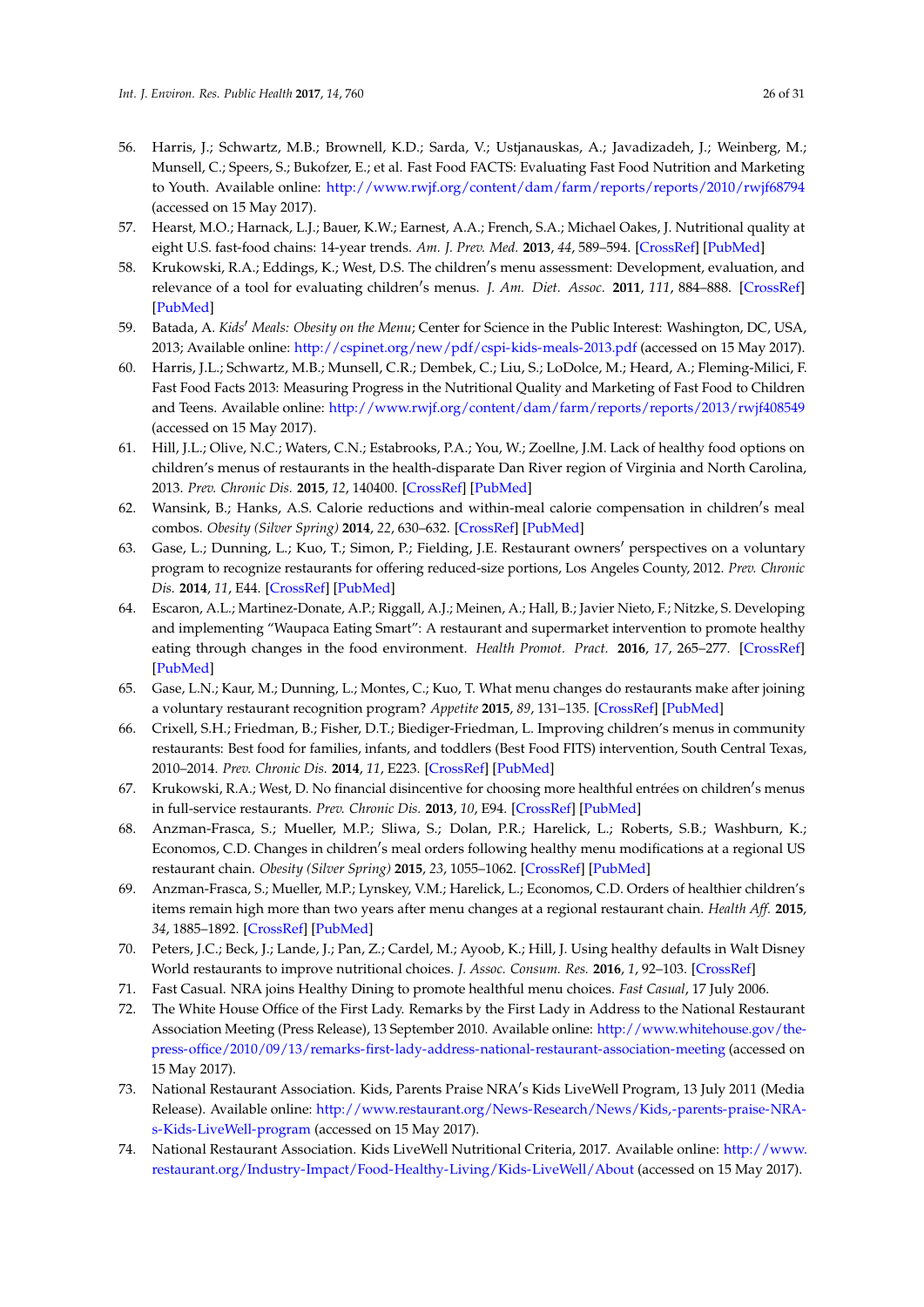- <span id="page-25-1"></span>56. Harris, J.; Schwartz, M.B.; Brownell, K.D.; Sarda, V.; Ustjanauskas, A.; Javadizadeh, J.; Weinberg, M.; Munsell, C.; Speers, S.; Bukofzer, E.; et al. Fast Food FACTS: Evaluating Fast Food Nutrition and Marketing to Youth. Available online: <http://www.rwjf.org/content/dam/farm/reports/reports/2010/rwjf68794> (accessed on 15 May 2017).
- <span id="page-25-2"></span>57. Hearst, M.O.; Harnack, L.J.; Bauer, K.W.; Earnest, A.A.; French, S.A.; Michael Oakes, J. Nutritional quality at eight U.S. fast-food chains: 14-year trends. *Am. J. Prev. Med.* **2013**, *44*, 589–594. [\[CrossRef\]](http://dx.doi.org/10.1016/j.amepre.2013.01.028) [\[PubMed\]](http://www.ncbi.nlm.nih.gov/pubmed/23683976)
- <span id="page-25-3"></span>58. Krukowski, R.A.; Eddings, K.; West, D.S. The children's menu assessment: Development, evaluation, and relevance of a tool for evaluating children's menus. *J. Am. Diet. Assoc.* **2011**, 111, 884–888. [\[CrossRef\]](http://dx.doi.org/10.1016/j.jada.2011.03.018) [\[PubMed\]](http://www.ncbi.nlm.nih.gov/pubmed/21616202)
- <span id="page-25-4"></span>59. Batada, A. *Kids<sup>I</sup> Meals: Obesity on the Menu*; Center for Science in the Public Interest: Washington, DC, USA, 2013; Available online: <http://cspinet.org/new/pdf/cspi-kids-meals-2013.pdf> (accessed on 15 May 2017).
- 60. Harris, J.L.; Schwartz, M.B.; Munsell, C.R.; Dembek, C.; Liu, S.; LoDolce, M.; Heard, A.; Fleming-Milici, F. Fast Food Facts 2013: Measuring Progress in the Nutritional Quality and Marketing of Fast Food to Children and Teens. Available online: <http://www.rwjf.org/content/dam/farm/reports/reports/2013/rwjf408549> (accessed on 15 May 2017).
- <span id="page-25-0"></span>61. Hill, J.L.; Olive, N.C.; Waters, C.N.; Estabrooks, P.A.; You, W.; Zoellne, J.M. Lack of healthy food options on children's menus of restaurants in the health-disparate Dan River region of Virginia and North Carolina, 2013. *Prev. Chronic Dis.* **2015**, *12*, 140400. [\[CrossRef\]](http://dx.doi.org/10.5888/pcd12.140400) [\[PubMed\]](http://www.ncbi.nlm.nih.gov/pubmed/25811495)
- <span id="page-25-5"></span>62. Wansink, B.; Hanks, A.S. Calorie reductions and within-meal calorie compensation in children's meal combos. *Obesity (Silver Spring)* **2014**, *22*, 630–632. [\[CrossRef\]](http://dx.doi.org/10.1002/oby.20668) [\[PubMed\]](http://www.ncbi.nlm.nih.gov/pubmed/24376232)
- <span id="page-25-7"></span>63. Gase, L.; Dunning, L.; Kuo, T.; Simon, P.; Fielding, J.E. Restaurant owners' perspectives on a voluntary program to recognize restaurants for offering reduced-size portions, Los Angeles County, 2012. *Prev. Chronic Dis.* **2014**, *11*, E44. [\[CrossRef\]](http://dx.doi.org/10.5888/pcd11.130310) [\[PubMed\]](http://www.ncbi.nlm.nih.gov/pubmed/24650622)
- <span id="page-25-8"></span>64. Escaron, A.L.; Martinez-Donate, A.P.; Riggall, A.J.; Meinen, A.; Hall, B.; Javier Nieto, F.; Nitzke, S. Developing and implementing "Waupaca Eating Smart": A restaurant and supermarket intervention to promote healthy eating through changes in the food environment. *Health Promot. Pract.* **2016**, *17*, 265–277. [\[CrossRef\]](http://dx.doi.org/10.1177/1524839915612742) [\[PubMed\]](http://www.ncbi.nlm.nih.gov/pubmed/26546508)
- <span id="page-25-6"></span>65. Gase, L.N.; Kaur, M.; Dunning, L.; Montes, C.; Kuo, T. What menu changes do restaurants make after joining a voluntary restaurant recognition program? *Appetite* **2015**, *89*, 131–135. [\[CrossRef\]](http://dx.doi.org/10.1016/j.appet.2015.01.026) [\[PubMed\]](http://www.ncbi.nlm.nih.gov/pubmed/25661094)
- <span id="page-25-9"></span>66. Crixell, S.H.; Friedman, B.; Fisher, D.T.; Biediger-Friedman, L. Improving children's menus in community restaurants: Best food for families, infants, and toddlers (Best Food FITS) intervention, South Central Texas, 2010–2014. *Prev. Chronic Dis.* **2014**, *11*, E223. [\[CrossRef\]](http://dx.doi.org/10.5888/pcd11.140361) [\[PubMed\]](http://www.ncbi.nlm.nih.gov/pubmed/25539127)
- <span id="page-25-10"></span>67. Krukowski, R.A.; West, D. No financial disincentive for choosing more healthful entrées on children's menus in full-service restaurants. *Prev. Chronic Dis.* **2013**, *10*, E94. [\[CrossRef\]](http://dx.doi.org/10.5888/pcd10.120266) [\[PubMed\]](http://www.ncbi.nlm.nih.gov/pubmed/23742942)
- <span id="page-25-12"></span>68. Anzman-Frasca, S.; Mueller, M.P.; Sliwa, S.; Dolan, P.R.; Harelick, L.; Roberts, S.B.; Washburn, K.; Economos, C.D. Changes in children's meal orders following healthy menu modifications at a regional US restaurant chain. *Obesity (Silver Spring)* **2015**, *23*, 1055–1062. [\[CrossRef\]](http://dx.doi.org/10.1002/oby.21061) [\[PubMed\]](http://www.ncbi.nlm.nih.gov/pubmed/25919925)
- <span id="page-25-13"></span>69. Anzman-Frasca, S.; Mueller, M.P.; Lynskey, V.M.; Harelick, L.; Economos, C.D. Orders of healthier children's items remain high more than two years after menu changes at a regional restaurant chain. *Health Aff.* **2015**, *34*, 1885–1892. [\[CrossRef\]](http://dx.doi.org/10.1377/hlthaff.2015.0651) [\[PubMed\]](http://www.ncbi.nlm.nih.gov/pubmed/26526246)
- <span id="page-25-11"></span>70. Peters, J.C.; Beck, J.; Lande, J.; Pan, Z.; Cardel, M.; Ayoob, K.; Hill, J. Using healthy defaults in Walt Disney World restaurants to improve nutritional choices. *J. Assoc. Consum. Res.* **2016**, *1*, 92–103. [\[CrossRef\]](http://dx.doi.org/10.1086/684364)
- <span id="page-25-15"></span><span id="page-25-14"></span>71. Fast Casual. NRA joins Healthy Dining to promote healthful menu choices. *Fast Casual*, 17 July 2006.
- 72. The White House Office of the First Lady. Remarks by the First Lady in Address to the National Restaurant Association Meeting (Press Release), 13 September 2010. Available online: [http://www.whitehouse.gov/the](http://www.whitehouse.gov/the-press-office/2010/09/13/remarks-first-lady-address-national-restaurant-association-meeting)[press-office/2010/09/13/remarks-first-lady-address-national-restaurant-association-meeting](http://www.whitehouse.gov/the-press-office/2010/09/13/remarks-first-lady-address-national-restaurant-association-meeting) (accessed on 15 May 2017).
- <span id="page-25-16"></span>73. National Restaurant Association. Kids, Parents Praise NRA's Kids LiveWell Program, 13 July 2011 (Media Release). Available online: [http://www.restaurant.org/News-Research/News/Kids,-parents-praise-NRA](http://www.restaurant.org/News-Research/News/Kids,-parents-praise-NRA-s-Kids-LiveWell-program)[s-Kids-LiveWell-program](http://www.restaurant.org/News-Research/News/Kids,-parents-praise-NRA-s-Kids-LiveWell-program) (accessed on 15 May 2017).
- <span id="page-25-17"></span>74. National Restaurant Association. Kids LiveWell Nutritional Criteria, 2017. Available online: [http://www.](http://www.restaurant.org/Industry-Impact/Food-Healthy-Living/Kids-LiveWell/About) [restaurant.org/Industry-Impact/Food-Healthy-Living/Kids-LiveWell/About](http://www.restaurant.org/Industry-Impact/Food-Healthy-Living/Kids-LiveWell/About) (accessed on 15 May 2017).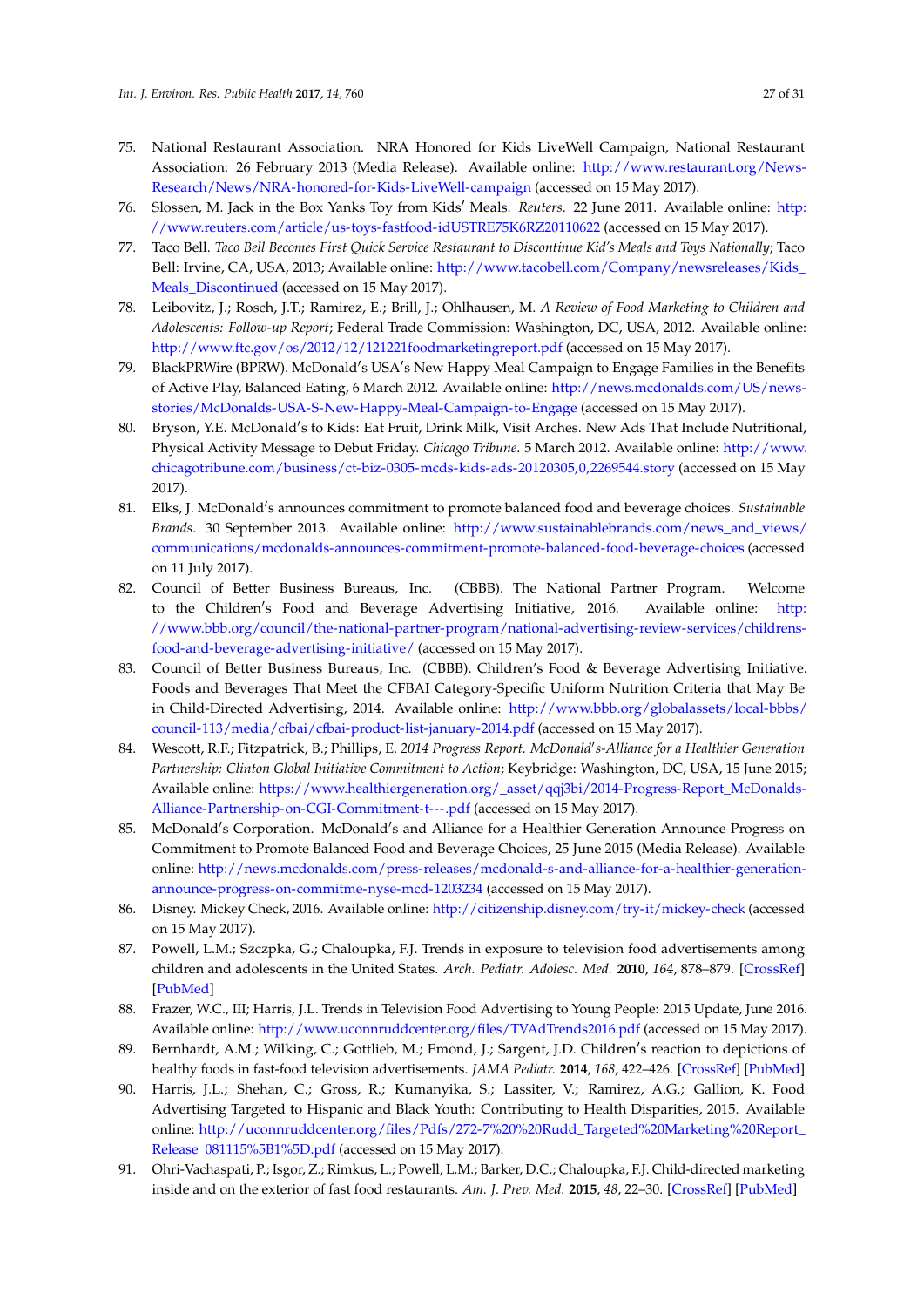- <span id="page-26-0"></span>75. National Restaurant Association. NRA Honored for Kids LiveWell Campaign, National Restaurant Association: 26 February 2013 (Media Release). Available online: [http://www.restaurant.org/News-](http://www.restaurant.org/News-Research/News/NRA-honored-for-Kids-LiveWell-campaign)[Research/News/NRA-honored-for-Kids-LiveWell-campaign](http://www.restaurant.org/News-Research/News/NRA-honored-for-Kids-LiveWell-campaign) (accessed on 15 May 2017).
- <span id="page-26-1"></span>76. Slossen, M. Jack in the Box Yanks Toy from Kids<sup>'</sup> Meals. *Reuters*. 22 June 2011. Available online: [http:](http://www.reuters.com/article/us-toys-fastfood-idUSTRE75K6RZ20110622) [//www.reuters.com/article/us-toys-fastfood-idUSTRE75K6RZ20110622](http://www.reuters.com/article/us-toys-fastfood-idUSTRE75K6RZ20110622) (accessed on 15 May 2017).
- <span id="page-26-2"></span>77. Taco Bell. *Taco Bell Becomes First Quick Service Restaurant to Discontinue Kid's Meals and Toys Nationally*; Taco Bell: Irvine, CA, USA, 2013; Available online: [http://www.tacobell.com/Company/newsreleases/Kids\\_](http://www.tacobell.com/Company/newsreleases/Kids_Meals_Discontinued) Meals Discontinued (accessed on 15 May 2017).
- <span id="page-26-3"></span>78. Leibovitz, J.; Rosch, J.T.; Ramirez, E.; Brill, J.; Ohlhausen, M. *A Review of Food Marketing to Children and Adolescents: Follow-up Report*; Federal Trade Commission: Washington, DC, USA, 2012. Available online: <http://www.ftc.gov/os/2012/12/121221foodmarketingreport.pdf> (accessed on 15 May 2017).
- <span id="page-26-4"></span>79. BlackPRWire (BPRW). McDonald's USA's New Happy Meal Campaign to Engage Families in the Benefits of Active Play, Balanced Eating, 6 March 2012. Available online: [http://news.mcdonalds.com/US/news](http://news.mcdonalds.com/US/news-stories/McDonalds-USA-S-New-Happy-Meal-Campaign-to-Engage)[stories/McDonalds-USA-S-New-Happy-Meal-Campaign-to-Engage](http://news.mcdonalds.com/US/news-stories/McDonalds-USA-S-New-Happy-Meal-Campaign-to-Engage) (accessed on 15 May 2017).
- <span id="page-26-5"></span>80. Bryson, Y.E. McDonald's to Kids: Eat Fruit, Drink Milk, Visit Arches. New Ads That Include Nutritional, Physical Activity Message to Debut Friday. *Chicago Tribune*. 5 March 2012. Available online: [http://www.](http://www.chicagotribune.com/business/ct-biz-0305-mcds-kids-ads-20120305,0,2269544.story) [chicagotribune.com/business/ct-biz-0305-mcds-kids-ads-20120305,0,2269544.story](http://www.chicagotribune.com/business/ct-biz-0305-mcds-kids-ads-20120305,0,2269544.story) (accessed on 15 May 2017).
- <span id="page-26-6"></span>81. Elks, J. McDonald's announces commitment to promote balanced food and beverage choices. Sustainable *Brands*. 30 September 2013. Available online: [http://www.sustainablebrands.com/news\\_and\\_views/](http://www.sustainablebrands.com/news_and_views/communications/mcdonalds-announces-commitment-promote-balanced-food-beverage-choices) [communications/mcdonalds-announces-commitment-promote-balanced-food-beverage-choices](http://www.sustainablebrands.com/news_and_views/communications/mcdonalds-announces-commitment-promote-balanced-food-beverage-choices) (accessed on 11 July 2017).
- <span id="page-26-7"></span>82. Council of Better Business Bureaus, Inc. (CBBB). The National Partner Program. Welcome to the Children's Food and Beverage Advertising Initiative, 2016. Available online: [http:](http://www.bbb.org/council/the-national-partner-program/national-advertising-review-services/childrens-food-and-beverage-advertising-initiative/) [//www.bbb.org/council/the-national-partner-program/national-advertising-review-services/childrens](http://www.bbb.org/council/the-national-partner-program/national-advertising-review-services/childrens-food-and-beverage-advertising-initiative/)[food-and-beverage-advertising-initiative/](http://www.bbb.org/council/the-national-partner-program/national-advertising-review-services/childrens-food-and-beverage-advertising-initiative/) (accessed on 15 May 2017).
- <span id="page-26-8"></span>83. Council of Better Business Bureaus, Inc. (CBBB). Children's Food & Beverage Advertising Initiative. Foods and Beverages That Meet the CFBAI Category-Specific Uniform Nutrition Criteria that May Be in Child-Directed Advertising, 2014. Available online: [http://www.bbb.org/globalassets/local-bbbs/](http://www.bbb.org/globalassets/local-bbbs/council-113/media/cfbai/cfbai-product-list-january-2014.pdf) [council-113/media/cfbai/cfbai-product-list-january-2014.pdf](http://www.bbb.org/globalassets/local-bbbs/council-113/media/cfbai/cfbai-product-list-january-2014.pdf) (accessed on 15 May 2017).
- <span id="page-26-9"></span>84. Wescott, R.F.; Fitzpatrick, B.; Phillips, E. 2014 Progress Report. McDonald's-Alliance for a Healthier Generation *Partnership: Clinton Global Initiative Commitment to Action*; Keybridge: Washington, DC, USA, 15 June 2015; Available online: [https://www.healthiergeneration.org/\\_asset/qqj3bi/2014-Progress-Report\\_McDonalds-](https://www.healthiergeneration.org/_asset/qqj3bi/2014-Progress-Report_McDonalds-Alliance-Partnership-on-CGI-Commitment-t---.pdf)[Alliance-Partnership-on-CGI-Commitment-t---.pdf](https://www.healthiergeneration.org/_asset/qqj3bi/2014-Progress-Report_McDonalds-Alliance-Partnership-on-CGI-Commitment-t---.pdf) (accessed on 15 May 2017).
- <span id="page-26-10"></span>85. McDonald's Corporation. McDonald's and Alliance for a Healthier Generation Announce Progress on Commitment to Promote Balanced Food and Beverage Choices, 25 June 2015 (Media Release). Available online: [http://news.mcdonalds.com/press-releases/mcdonald-s-and-alliance-for-a-healthier-generation](http://news.mcdonalds.com/press-releases/mcdonald-s-and-alliance-for-a-healthier-generation-announce-progress-on-commitme-nyse-mcd-1203234)[announce-progress-on-commitme-nyse-mcd-1203234](http://news.mcdonalds.com/press-releases/mcdonald-s-and-alliance-for-a-healthier-generation-announce-progress-on-commitme-nyse-mcd-1203234) (accessed on 15 May 2017).
- <span id="page-26-11"></span>86. Disney. Mickey Check, 2016. Available online: <http://citizenship.disney.com/try-it/mickey-check> (accessed on 15 May 2017).
- <span id="page-26-12"></span>87. Powell, L.M.; Szczpka, G.; Chaloupka, F.J. Trends in exposure to television food advertisements among children and adolescents in the United States. *Arch. Pediatr. Adolesc. Med.* **2010**, *164*, 878–879. [\[CrossRef\]](http://dx.doi.org/10.1001/archpediatrics.2010.139) [\[PubMed\]](http://www.ncbi.nlm.nih.gov/pubmed/20603457)
- <span id="page-26-13"></span>88. Frazer, W.C., III; Harris, J.L. Trends in Television Food Advertising to Young People: 2015 Update, June 2016. Available online: <http://www.uconnruddcenter.org/files/TVAdTrends2016.pdf> (accessed on 15 May 2017).
- <span id="page-26-14"></span>89. Bernhardt, A.M.; Wilking, C.; Gottlieb, M.; Emond, J.; Sargent, J.D. Children's reaction to depictions of healthy foods in fast-food television advertisements. *JAMA Pediatr.* **2014**, *168*, 422–426. [\[CrossRef\]](http://dx.doi.org/10.1001/jamapediatrics.2014.140) [\[PubMed\]](http://www.ncbi.nlm.nih.gov/pubmed/24686476)
- <span id="page-26-15"></span>90. Harris, J.L.; Shehan, C.; Gross, R.; Kumanyika, S.; Lassiter, V.; Ramirez, A.G.; Gallion, K. Food Advertising Targeted to Hispanic and Black Youth: Contributing to Health Disparities, 2015. Available online: [http://uconnruddcenter.org/files/Pdfs/272-7%20%20Rudd\\_Targeted%20Marketing%20Report\\_](http://uconnruddcenter.org/files/Pdfs/272-7%20%20Rudd_Targeted%20Marketing%20Report_Release_081115%5B1%5D.pdf) [Release\\_081115%5B1%5D.pdf](http://uconnruddcenter.org/files/Pdfs/272-7%20%20Rudd_Targeted%20Marketing%20Report_Release_081115%5B1%5D.pdf) (accessed on 15 May 2017).
- <span id="page-26-16"></span>91. Ohri-Vachaspati, P.; Isgor, Z.; Rimkus, L.; Powell, L.M.; Barker, D.C.; Chaloupka, F.J. Child-directed marketing inside and on the exterior of fast food restaurants. *Am. J. Prev. Med.* **2015**, *48*, 22–30. [\[CrossRef\]](http://dx.doi.org/10.1016/j.amepre.2014.08.011) [\[PubMed\]](http://www.ncbi.nlm.nih.gov/pubmed/25441231)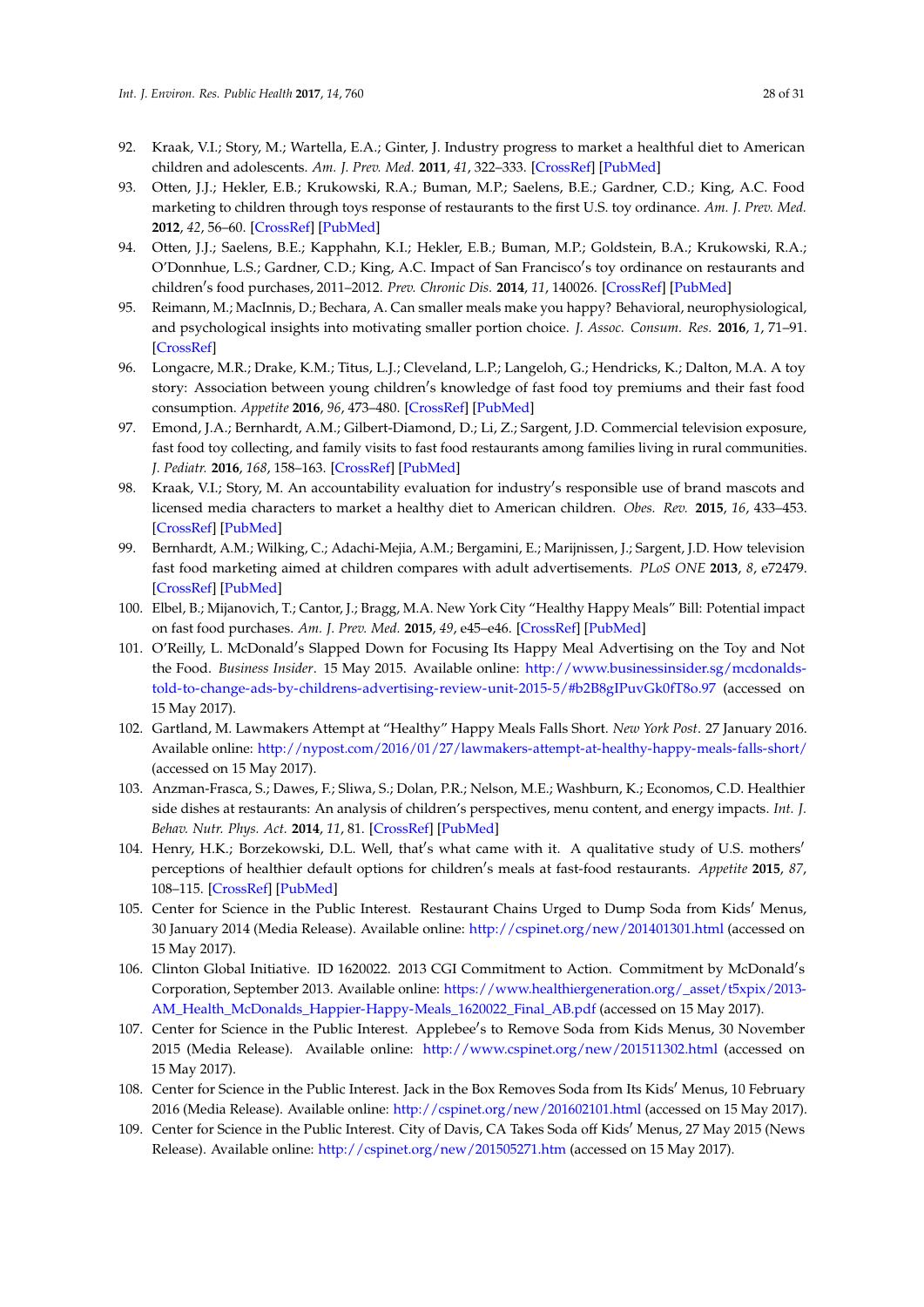- <span id="page-27-0"></span>92. Kraak, V.I.; Story, M.; Wartella, E.A.; Ginter, J. Industry progress to market a healthful diet to American children and adolescents. *Am. J. Prev. Med.* **2011**, *41*, 322–333. [\[CrossRef\]](http://dx.doi.org/10.1016/j.amepre.2011.05.029) [\[PubMed\]](http://www.ncbi.nlm.nih.gov/pubmed/21855748)
- <span id="page-27-1"></span>93. Otten, J.J.; Hekler, E.B.; Krukowski, R.A.; Buman, M.P.; Saelens, B.E.; Gardner, C.D.; King, A.C. Food marketing to children through toys response of restaurants to the first U.S. toy ordinance. *Am. J. Prev. Med.* **2012**, *42*, 56–60. [\[CrossRef\]](http://dx.doi.org/10.1016/j.amepre.2011.08.020) [\[PubMed\]](http://www.ncbi.nlm.nih.gov/pubmed/22176847)
- <span id="page-27-2"></span>94. Otten, J.J.; Saelens, B.E.; Kapphahn, K.I.; Hekler, E.B.; Buman, M.P.; Goldstein, B.A.; Krukowski, R.A.; O'Donnhue, L.S.; Gardner, C.D.; King, A.C. Impact of San Francisco's toy ordinance on restaurants and children's food purchases, 2011–2012. *Prev. Chronic Dis.* 2014, 11, 140026. [\[CrossRef\]](http://dx.doi.org/10.5888/pcd11.140026) [\[PubMed\]](http://www.ncbi.nlm.nih.gov/pubmed/25032837)
- <span id="page-27-3"></span>95. Reimann, M.; MacInnis, D.; Bechara, A. Can smaller meals make you happy? Behavioral, neurophysiological, and psychological insights into motivating smaller portion choice. *J. Assoc. Consum. Res.* **2016**, *1*, 71–91. [\[CrossRef\]](http://dx.doi.org/10.1086/684285)
- <span id="page-27-4"></span>96. Longacre, M.R.; Drake, K.M.; Titus, L.J.; Cleveland, L.P.; Langeloh, G.; Hendricks, K.; Dalton, M.A. A toy story: Association between young children's knowledge of fast food toy premiums and their fast food consumption. *Appetite* **2016**, *96*, 473–480. [\[CrossRef\]](http://dx.doi.org/10.1016/j.appet.2015.10.006) [\[PubMed\]](http://www.ncbi.nlm.nih.gov/pubmed/26471803)
- <span id="page-27-5"></span>97. Emond, J.A.; Bernhardt, A.M.; Gilbert-Diamond, D.; Li, Z.; Sargent, J.D. Commercial television exposure, fast food toy collecting, and family visits to fast food restaurants among families living in rural communities. *J. Pediatr.* **2016**, *168*, 158–163. [\[CrossRef\]](http://dx.doi.org/10.1016/j.jpeds.2015.09.063) [\[PubMed\]](http://www.ncbi.nlm.nih.gov/pubmed/26526362)
- <span id="page-27-6"></span>98. Kraak, V.I.; Story, M. An accountability evaluation for industry's responsible use of brand mascots and licensed media characters to market a healthy diet to American children. *Obes. Rev.* **2015**, *16*, 433–453. [\[CrossRef\]](http://dx.doi.org/10.1111/obr.12279) [\[PubMed\]](http://www.ncbi.nlm.nih.gov/pubmed/25875469)
- <span id="page-27-7"></span>99. Bernhardt, A.M.; Wilking, C.; Adachi-Mejia, A.M.; Bergamini, E.; Marijnissen, J.; Sargent, J.D. How television fast food marketing aimed at children compares with adult advertisements. *PLoS ONE* **2013**, *8*, e72479. [\[CrossRef\]](http://dx.doi.org/10.1371/journal.pone.0072479) [\[PubMed\]](http://www.ncbi.nlm.nih.gov/pubmed/24015250)
- <span id="page-27-8"></span>100. Elbel, B.; Mijanovich, T.; Cantor, J.; Bragg, M.A. New York City "Healthy Happy Meals" Bill: Potential impact on fast food purchases. *Am. J. Prev. Med.* **2015**, *49*, e45–e46. [\[CrossRef\]](http://dx.doi.org/10.1016/j.amepre.2015.05.030) [\[PubMed\]](http://www.ncbi.nlm.nih.gov/pubmed/26337115)
- <span id="page-27-9"></span>101. O'Reilly, L. McDonald's Slapped Down for Focusing Its Happy Meal Advertising on the Toy and Not the Food. *Business Insider*. 15 May 2015. Available online: [http://www.businessinsider.sg/mcdonalds](http://www.businessinsider.sg/mcdonalds-told-to-change-ads-by-childrens-advertising-review-unit-2015-5/#b2B8gIPuvGk0fT8o.97)[told-to-change-ads-by-childrens-advertising-review-unit-2015-5/#b2B8gIPuvGk0fT8o.97](http://www.businessinsider.sg/mcdonalds-told-to-change-ads-by-childrens-advertising-review-unit-2015-5/#b2B8gIPuvGk0fT8o.97) (accessed on 15 May 2017).
- <span id="page-27-10"></span>102. Gartland, M. Lawmakers Attempt at "Healthy" Happy Meals Falls Short. *New York Post*. 27 January 2016. Available online: <http://nypost.com/2016/01/27/lawmakers-attempt-at-healthy-happy-meals-falls-short/> (accessed on 15 May 2017).
- <span id="page-27-11"></span>103. Anzman-Frasca, S.; Dawes, F.; Sliwa, S.; Dolan, P.R.; Nelson, M.E.; Washburn, K.; Economos, C.D. Healthier side dishes at restaurants: An analysis of children's perspectives, menu content, and energy impacts. *Int. J. Behav. Nutr. Phys. Act.* **2014**, *11*, 81. [\[CrossRef\]](http://dx.doi.org/10.1186/1479-5868-11-81) [\[PubMed\]](http://www.ncbi.nlm.nih.gov/pubmed/24996545)
- <span id="page-27-12"></span>104. Henry, H.K.; Borzekowski, D.L. Well, that's what came with it. A qualitative study of U.S. mothers' perceptions of healthier default options for children's meals at fast-food restaurants. *Appetite* 2015, 87, 108–115. [\[CrossRef\]](http://dx.doi.org/10.1016/j.appet.2014.12.201) [\[PubMed\]](http://www.ncbi.nlm.nih.gov/pubmed/25529818)
- <span id="page-27-13"></span>105. Center for Science in the Public Interest. Restaurant Chains Urged to Dump Soda from Kids' Menus, 30 January 2014 (Media Release). Available online: <http://cspinet.org/new/201401301.html> (accessed on 15 May 2017).
- <span id="page-27-14"></span>106. Clinton Global Initiative. ID 1620022. 2013 CGI Commitment to Action. Commitment by McDonald's Corporation, September 2013. Available online: [https://www.healthiergeneration.org/\\_asset/t5xpix/2013-](https://www.healthiergeneration.org/_asset/t5xpix/2013-AM_Health_McDonalds_Happier-Happy-Meals_1620022_Final_AB.pdf) [AM\\_Health\\_McDonalds\\_Happier-Happy-Meals\\_1620022\\_Final\\_AB.pdf](https://www.healthiergeneration.org/_asset/t5xpix/2013-AM_Health_McDonalds_Happier-Happy-Meals_1620022_Final_AB.pdf) (accessed on 15 May 2017).
- <span id="page-27-15"></span>107. Center for Science in the Public Interest. Applebee's to Remove Soda from Kids Menus, 30 November 2015 (Media Release). Available online: <http://www.cspinet.org/new/201511302.html> (accessed on 15 May 2017).
- <span id="page-27-16"></span>108. Center for Science in the Public Interest. Jack in the Box Removes Soda from Its Kids' Menus, 10 February 2016 (Media Release). Available online: <http://cspinet.org/new/201602101.html> (accessed on 15 May 2017).
- <span id="page-27-17"></span>109. Center for Science in the Public Interest. City of Davis, CA Takes Soda off Kids' Menus, 27 May 2015 (News Release). Available online: <http://cspinet.org/new/201505271.htm> (accessed on 15 May 2017).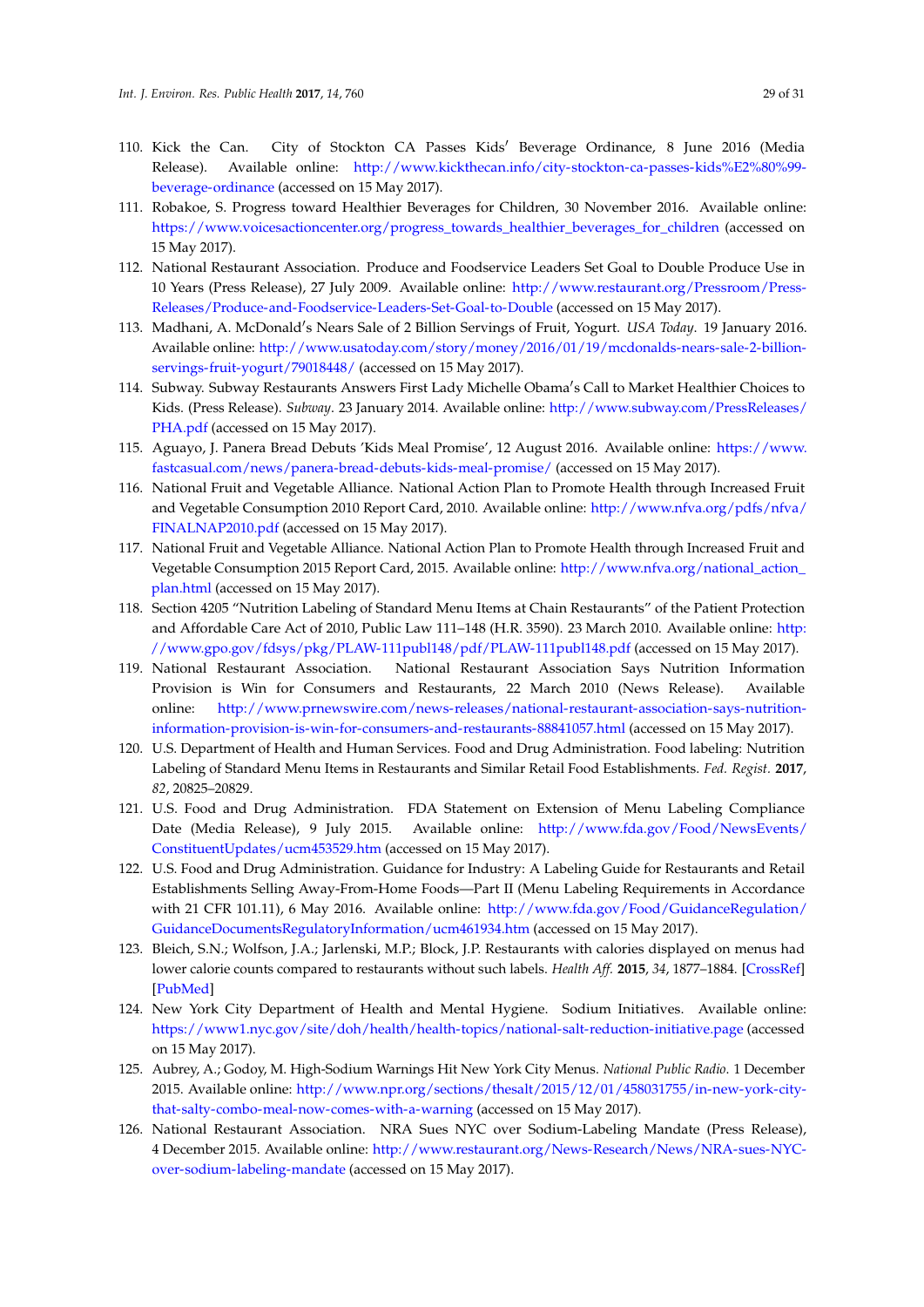- <span id="page-28-0"></span>110. Kick the Can. City of Stockton CA Passes Kids' Beverage Ordinance, 8 June 2016 (Media Release). Available online: [http://www.kickthecan.info/city-stockton-ca-passes-kids%E2%80%99](http://www.kickthecan.info/city-stockton-ca-passes-kids%E2%80%99-beverage-ordinance) [beverage-ordinance](http://www.kickthecan.info/city-stockton-ca-passes-kids%E2%80%99-beverage-ordinance) (accessed on 15 May 2017).
- <span id="page-28-1"></span>111. Robakoe, S. Progress toward Healthier Beverages for Children, 30 November 2016. Available online: [https://www.voicesactioncenter.org/progress\\_towards\\_healthier\\_beverages\\_for\\_children](https://www.voicesactioncenter.org/progress_towards_healthier_beverages_for_children) (accessed on 15 May 2017).
- <span id="page-28-2"></span>112. National Restaurant Association. Produce and Foodservice Leaders Set Goal to Double Produce Use in 10 Years (Press Release), 27 July 2009. Available online: [http://www.restaurant.org/Pressroom/Press-](http://www.restaurant.org/Pressroom/Press-Releases/Produce-and-Foodservice-Leaders-Set-Goal-to-Double)[Releases/Produce-and-Foodservice-Leaders-Set-Goal-to-Double](http://www.restaurant.org/Pressroom/Press-Releases/Produce-and-Foodservice-Leaders-Set-Goal-to-Double) (accessed on 15 May 2017).
- <span id="page-28-3"></span>113. Madhani, A. McDonald's Nears Sale of 2 Billion Servings of Fruit, Yogurt. *USA Today*. 19 January 2016. Available online: [http://www.usatoday.com/story/money/2016/01/19/mcdonalds-nears-sale-2-billion](http://www.usatoday.com/story/money/2016/01/19/mcdonalds-nears-sale-2-billion-servings-fruit-yogurt/79018448/)[servings-fruit-yogurt/79018448/](http://www.usatoday.com/story/money/2016/01/19/mcdonalds-nears-sale-2-billion-servings-fruit-yogurt/79018448/) (accessed on 15 May 2017).
- <span id="page-28-4"></span>114. Subway. Subway Restaurants Answers First Lady Michelle Obama's Call to Market Healthier Choices to Kids. (Press Release). *Subway*. 23 January 2014. Available online: [http://www.subway.com/PressReleases/](http://www.subway.com/PressReleases/PHA.pdf) [PHA.pdf](http://www.subway.com/PressReleases/PHA.pdf) (accessed on 15 May 2017).
- <span id="page-28-5"></span>115. Aguayo, J. Panera Bread Debuts 'Kids Meal Promise', 12 August 2016. Available online: [https://www.](https://www.fastcasual.com/news/panera-bread-debuts-kids-meal-promise/) [fastcasual.com/news/panera-bread-debuts-kids-meal-promise/](https://www.fastcasual.com/news/panera-bread-debuts-kids-meal-promise/) (accessed on 15 May 2017).
- <span id="page-28-6"></span>116. National Fruit and Vegetable Alliance. National Action Plan to Promote Health through Increased Fruit and Vegetable Consumption 2010 Report Card, 2010. Available online: [http://www.nfva.org/pdfs/nfva/](http://www.nfva.org/pdfs/nfva/FINALNAP2010.pdf) [FINALNAP2010.pdf](http://www.nfva.org/pdfs/nfva/FINALNAP2010.pdf) (accessed on 15 May 2017).
- <span id="page-28-7"></span>117. National Fruit and Vegetable Alliance. National Action Plan to Promote Health through Increased Fruit and Vegetable Consumption 2015 Report Card, 2015. Available online: [http://www.nfva.org/national\\_action\\_](http://www.nfva.org/national_action_plan.html) [plan.html](http://www.nfva.org/national_action_plan.html) (accessed on 15 May 2017).
- <span id="page-28-8"></span>118. Section 4205 "Nutrition Labeling of Standard Menu Items at Chain Restaurants" of the Patient Protection and Affordable Care Act of 2010, Public Law 111–148 (H.R. 3590). 23 March 2010. Available online: [http:](http://www.gpo.gov/fdsys/pkg/PLAW-111publ148/pdf/PLAW-111publ148.pdf) [//www.gpo.gov/fdsys/pkg/PLAW-111publ148/pdf/PLAW-111publ148.pdf](http://www.gpo.gov/fdsys/pkg/PLAW-111publ148/pdf/PLAW-111publ148.pdf) (accessed on 15 May 2017).
- <span id="page-28-9"></span>119. National Restaurant Association. National Restaurant Association Says Nutrition Information Provision is Win for Consumers and Restaurants, 22 March 2010 (News Release). Available online: [http://www.prnewswire.com/news-releases/national-restaurant-association-says-nutrition](http://www.prnewswire.com/news-releases/national-restaurant-association-says-nutrition-information-provision-is-win-for-consumers-and-restaurants-88841057.html)[information-provision-is-win-for-consumers-and-restaurants-88841057.html](http://www.prnewswire.com/news-releases/national-restaurant-association-says-nutrition-information-provision-is-win-for-consumers-and-restaurants-88841057.html) (accessed on 15 May 2017).
- <span id="page-28-10"></span>120. U.S. Department of Health and Human Services. Food and Drug Administration. Food labeling: Nutrition Labeling of Standard Menu Items in Restaurants and Similar Retail Food Establishments. *Fed. Regist.* **2017**, *82*, 20825–20829.
- <span id="page-28-11"></span>121. U.S. Food and Drug Administration. FDA Statement on Extension of Menu Labeling Compliance Date (Media Release), 9 July 2015. Available online: [http://www.fda.gov/Food/NewsEvents/](http://www.fda.gov/Food/NewsEvents/ConstituentUpdates/ucm453529.htm) [ConstituentUpdates/ucm453529.htm](http://www.fda.gov/Food/NewsEvents/ConstituentUpdates/ucm453529.htm) (accessed on 15 May 2017).
- <span id="page-28-12"></span>122. U.S. Food and Drug Administration. Guidance for Industry: A Labeling Guide for Restaurants and Retail Establishments Selling Away-From-Home Foods—Part II (Menu Labeling Requirements in Accordance with 21 CFR 101.11), 6 May 2016. Available online: [http://www.fda.gov/Food/GuidanceRegulation/](http://www.fda.gov/Food/GuidanceRegulation/GuidanceDocumentsRegulatoryInformation/ucm461934.htm) [GuidanceDocumentsRegulatoryInformation/ucm461934.htm](http://www.fda.gov/Food/GuidanceRegulation/GuidanceDocumentsRegulatoryInformation/ucm461934.htm) (accessed on 15 May 2017).
- <span id="page-28-13"></span>123. Bleich, S.N.; Wolfson, J.A.; Jarlenski, M.P.; Block, J.P. Restaurants with calories displayed on menus had lower calorie counts compared to restaurants without such labels. *Health Aff.* **2015**, *34*, 1877–1884. [\[CrossRef\]](http://dx.doi.org/10.1377/hlthaff.2015.0512) [\[PubMed\]](http://www.ncbi.nlm.nih.gov/pubmed/26526245)
- <span id="page-28-14"></span>124. New York City Department of Health and Mental Hygiene. Sodium Initiatives. Available online: <https://www1.nyc.gov/site/doh/health/health-topics/national-salt-reduction-initiative.page> (accessed on 15 May 2017).
- <span id="page-28-15"></span>125. Aubrey, A.; Godoy, M. High-Sodium Warnings Hit New York City Menus. *National Public Radio*. 1 December 2015. Available online: [http://www.npr.org/sections/thesalt/2015/12/01/458031755/in-new-york-city](http://www.npr.org/sections/thesalt/2015/12/01/458031755/in-new-york-city-that-salty-combo-meal-now-comes-with-a-warning)[that-salty-combo-meal-now-comes-with-a-warning](http://www.npr.org/sections/thesalt/2015/12/01/458031755/in-new-york-city-that-salty-combo-meal-now-comes-with-a-warning) (accessed on 15 May 2017).
- <span id="page-28-16"></span>126. National Restaurant Association. NRA Sues NYC over Sodium-Labeling Mandate (Press Release), 4 December 2015. Available online: [http://www.restaurant.org/News-Research/News/NRA-sues-NYC](http://www.restaurant.org/News-Research/News/NRA-sues-NYC-over-sodium-labeling-mandate)[over-sodium-labeling-mandate](http://www.restaurant.org/News-Research/News/NRA-sues-NYC-over-sodium-labeling-mandate) (accessed on 15 May 2017).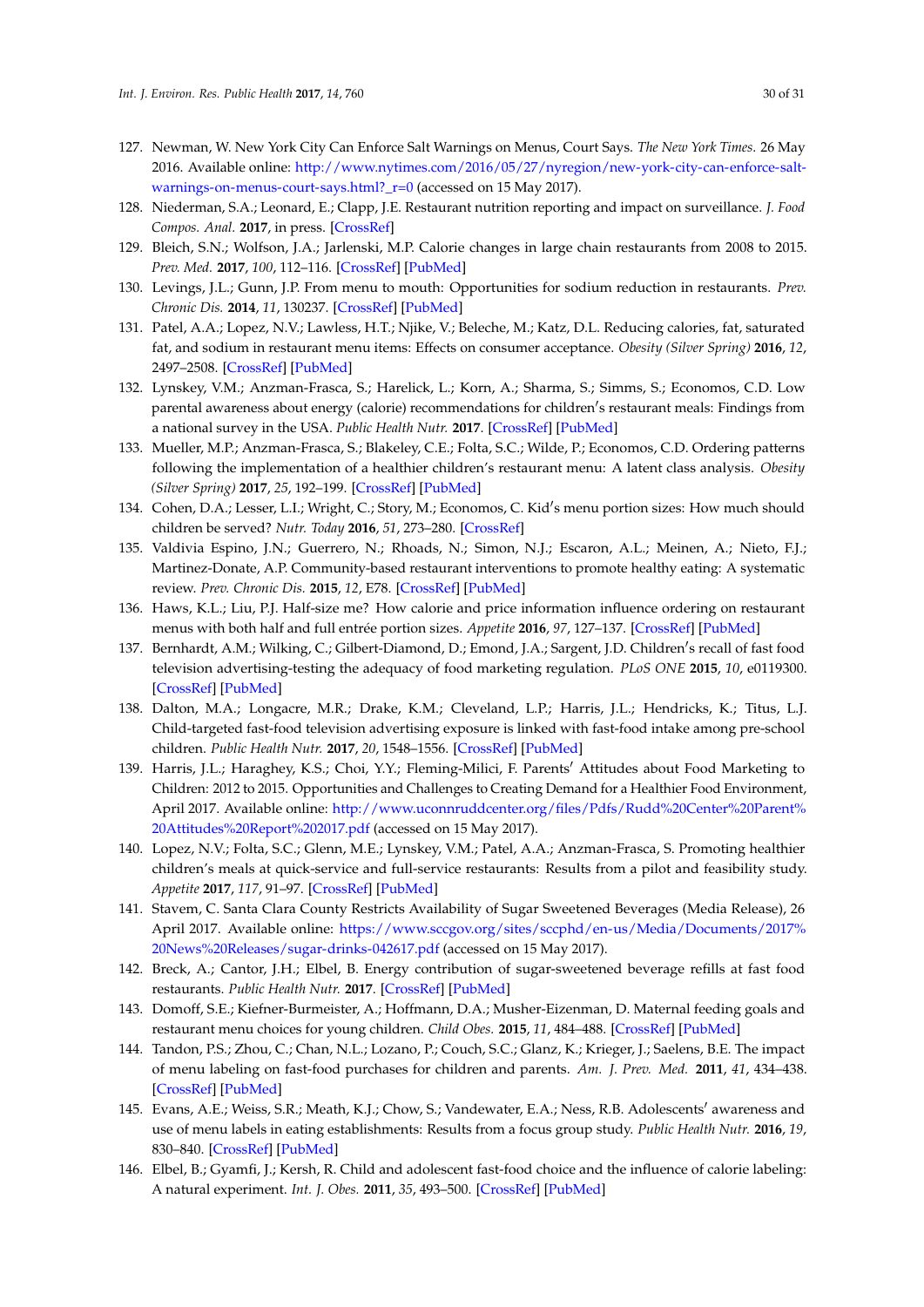- <span id="page-29-0"></span>127. Newman, W. New York City Can Enforce Salt Warnings on Menus, Court Says. *The New York Times*. 26 May 2016. Available online: [http://www.nytimes.com/2016/05/27/nyregion/new-york-city-can-enforce-salt](http://www.nytimes.com/2016/05/27/nyregion/new-york-city-can-enforce-salt-warnings-on-menus-court-says.html?_r=0)[warnings-on-menus-court-says.html?\\_r=0](http://www.nytimes.com/2016/05/27/nyregion/new-york-city-can-enforce-salt-warnings-on-menus-court-says.html?_r=0) (accessed on 15 May 2017).
- <span id="page-29-1"></span>128. Niederman, S.A.; Leonard, E.; Clapp, J.E. Restaurant nutrition reporting and impact on surveillance. *J. Food Compos. Anal.* **2017**, in press. [\[CrossRef\]](http://dx.doi.org/10.1016/j.jfca.2017.04.011)
- <span id="page-29-2"></span>129. Bleich, S.N.; Wolfson, J.A.; Jarlenski, M.P. Calorie changes in large chain restaurants from 2008 to 2015. *Prev. Med.* **2017**, *100*, 112–116. [\[CrossRef\]](http://dx.doi.org/10.1016/j.ypmed.2017.04.004) [\[PubMed\]](http://www.ncbi.nlm.nih.gov/pubmed/28389331)
- <span id="page-29-3"></span>130. Levings, J.L.; Gunn, J.P. From menu to mouth: Opportunities for sodium reduction in restaurants. *Prev. Chronic Dis.* **2014**, *11*, 130237. [\[CrossRef\]](http://dx.doi.org/10.5888/pcd11.130237) [\[PubMed\]](http://www.ncbi.nlm.nih.gov/pubmed/24456646)
- <span id="page-29-4"></span>131. Patel, A.A.; Lopez, N.V.; Lawless, H.T.; Njike, V.; Beleche, M.; Katz, D.L. Reducing calories, fat, saturated fat, and sodium in restaurant menu items: Effects on consumer acceptance. *Obesity (Silver Spring)* **2016**, *12*, 2497–2508. [\[CrossRef\]](http://dx.doi.org/10.1002/oby.21684) [\[PubMed\]](http://www.ncbi.nlm.nih.gov/pubmed/27891828)
- <span id="page-29-5"></span>132. Lynskey, V.M.; Anzman-Frasca, S.; Harelick, L.; Korn, A.; Sharma, S.; Simms, S.; Economos, C.D. Low parental awareness about energy (calorie) recommendations for children's restaurant meals: Findings from a national survey in the USA. *Public Health Nutr.* **2017**. [\[CrossRef\]](http://dx.doi.org/10.1017/S1368980017000647) [\[PubMed\]](http://www.ncbi.nlm.nih.gov/pubmed/28449726)
- <span id="page-29-6"></span>133. Mueller, M.P.; Anzman-Frasca, S.; Blakeley, C.E.; Folta, S.C.; Wilde, P.; Economos, C.D. Ordering patterns following the implementation of a healthier children's restaurant menu: A latent class analysis. *Obesity (Silver Spring)* **2017**, *25*, 192–199. [\[CrossRef\]](http://dx.doi.org/10.1002/oby.21708) [\[PubMed\]](http://www.ncbi.nlm.nih.gov/pubmed/27860318)
- <span id="page-29-7"></span>134. Cohen, D.A.; Lesser, L.I.; Wright, C.; Story, M.; Economos, C. Kid's menu portion sizes: How much should children be served? *Nutr. Today* **2016**, *51*, 273–280. [\[CrossRef\]](http://dx.doi.org/10.1097/NT.0000000000000179)
- <span id="page-29-8"></span>135. Valdivia Espino, J.N.; Guerrero, N.; Rhoads, N.; Simon, N.J.; Escaron, A.L.; Meinen, A.; Nieto, F.J.; Martinez-Donate, A.P. Community-based restaurant interventions to promote healthy eating: A systematic review. *Prev. Chronic Dis.* **2015**, *12*, E78. [\[CrossRef\]](http://dx.doi.org/10.5888/pcd12.140455) [\[PubMed\]](http://www.ncbi.nlm.nih.gov/pubmed/25996986)
- <span id="page-29-9"></span>136. Haws, K.L.; Liu, P.J. Half-size me? How calorie and price information influence ordering on restaurant menus with both half and full entrée portion sizes. *Appetite* **2016**, *97*, 127–137. [\[CrossRef\]](http://dx.doi.org/10.1016/j.appet.2015.11.031) [\[PubMed\]](http://www.ncbi.nlm.nih.gov/pubmed/26654889)
- <span id="page-29-10"></span>137. Bernhardt, A.M.; Wilking, C.; Gilbert-Diamond, D.; Emond, J.A.; Sargent, J.D. Children's recall of fast food television advertising-testing the adequacy of food marketing regulation. *PLoS ONE* **2015**, *10*, e0119300. [\[CrossRef\]](http://dx.doi.org/10.1371/journal.pone.0119300) [\[PubMed\]](http://www.ncbi.nlm.nih.gov/pubmed/25738653)
- <span id="page-29-11"></span>138. Dalton, M.A.; Longacre, M.R.; Drake, K.M.; Cleveland, L.P.; Harris, J.L.; Hendricks, K.; Titus, L.J. Child-targeted fast-food television advertising exposure is linked with fast-food intake among pre-school children. *Public Health Nutr.* **2017**, *20*, 1548–1556. [\[CrossRef\]](http://dx.doi.org/10.1017/S1368980017000520) [\[PubMed\]](http://www.ncbi.nlm.nih.gov/pubmed/28416041)
- <span id="page-29-12"></span>139. Harris, J.L.; Haraghey, K.S.; Choi, Y.Y.; Fleming-Milici, F. Parents' Attitudes about Food Marketing to Children: 2012 to 2015. Opportunities and Challenges to Creating Demand for a Healthier Food Environment, April 2017. Available online: [http://www.uconnruddcenter.org/files/Pdfs/Rudd%20Center%20Parent%](http://www.uconnruddcenter.org/files/Pdfs/Rudd%20Center%20Parent%20Attitudes%20Report%202017.pdf) [20Attitudes%20Report%202017.pdf](http://www.uconnruddcenter.org/files/Pdfs/Rudd%20Center%20Parent%20Attitudes%20Report%202017.pdf) (accessed on 15 May 2017).
- <span id="page-29-13"></span>140. Lopez, N.V.; Folta, S.C.; Glenn, M.E.; Lynskey, V.M.; Patel, A.A.; Anzman-Frasca, S. Promoting healthier children's meals at quick-service and full-service restaurants: Results from a pilot and feasibility study. *Appetite* **2017**, *117*, 91–97. [\[CrossRef\]](http://dx.doi.org/10.1016/j.appet.2017.06.015) [\[PubMed\]](http://www.ncbi.nlm.nih.gov/pubmed/28625854)
- <span id="page-29-14"></span>141. Stavem, C. Santa Clara County Restricts Availability of Sugar Sweetened Beverages (Media Release), 26 April 2017. Available online: [https://www.sccgov.org/sites/sccphd/en-us/Media/Documents/2017%](https://www.sccgov.org/sites/sccphd/en-us/Media/Documents/2017%20News%20Releases/sugar-drinks-042617.pdf) [20News%20Releases/sugar-drinks-042617.pdf](https://www.sccgov.org/sites/sccphd/en-us/Media/Documents/2017%20News%20Releases/sugar-drinks-042617.pdf) (accessed on 15 May 2017).
- <span id="page-29-15"></span>142. Breck, A.; Cantor, J.H.; Elbel, B. Energy contribution of sugar-sweetened beverage refills at fast food restaurants. *Public Health Nutr.* **2017**. [\[CrossRef\]](http://dx.doi.org/10.1017/S1368980017000611) [\[PubMed\]](http://www.ncbi.nlm.nih.gov/pubmed/28485266)
- <span id="page-29-16"></span>143. Domoff, S.E.; Kiefner-Burmeister, A.; Hoffmann, D.A.; Musher-Eizenman, D. Maternal feeding goals and restaurant menu choices for young children. *Child Obes.* **2015**, *11*, 484–488. [\[CrossRef\]](http://dx.doi.org/10.1089/chi.2015.0014) [\[PubMed\]](http://www.ncbi.nlm.nih.gov/pubmed/26511386)
- <span id="page-29-17"></span>144. Tandon, P.S.; Zhou, C.; Chan, N.L.; Lozano, P.; Couch, S.C.; Glanz, K.; Krieger, J.; Saelens, B.E. The impact of menu labeling on fast-food purchases for children and parents. *Am. J. Prev. Med.* **2011**, *41*, 434–438. [\[CrossRef\]](http://dx.doi.org/10.1016/j.amepre.2011.06.033) [\[PubMed\]](http://www.ncbi.nlm.nih.gov/pubmed/21961472)
- 145. Evans, A.E.; Weiss, S.R.; Meath, K.J.; Chow, S.; Vandewater, E.A.; Ness, R.B. Adolescents' awareness and use of menu labels in eating establishments: Results from a focus group study. *Public Health Nutr.* **2016**, *19*, 830–840. [\[CrossRef\]](http://dx.doi.org/10.1017/S1368980015001044) [\[PubMed\]](http://www.ncbi.nlm.nih.gov/pubmed/25895733)
- 146. Elbel, B.; Gyamfi, J.; Kersh, R. Child and adolescent fast-food choice and the influence of calorie labeling: A natural experiment. *Int. J. Obes.* **2011**, *35*, 493–500. [\[CrossRef\]](http://dx.doi.org/10.1038/ijo.2011.4) [\[PubMed\]](http://www.ncbi.nlm.nih.gov/pubmed/21326209)